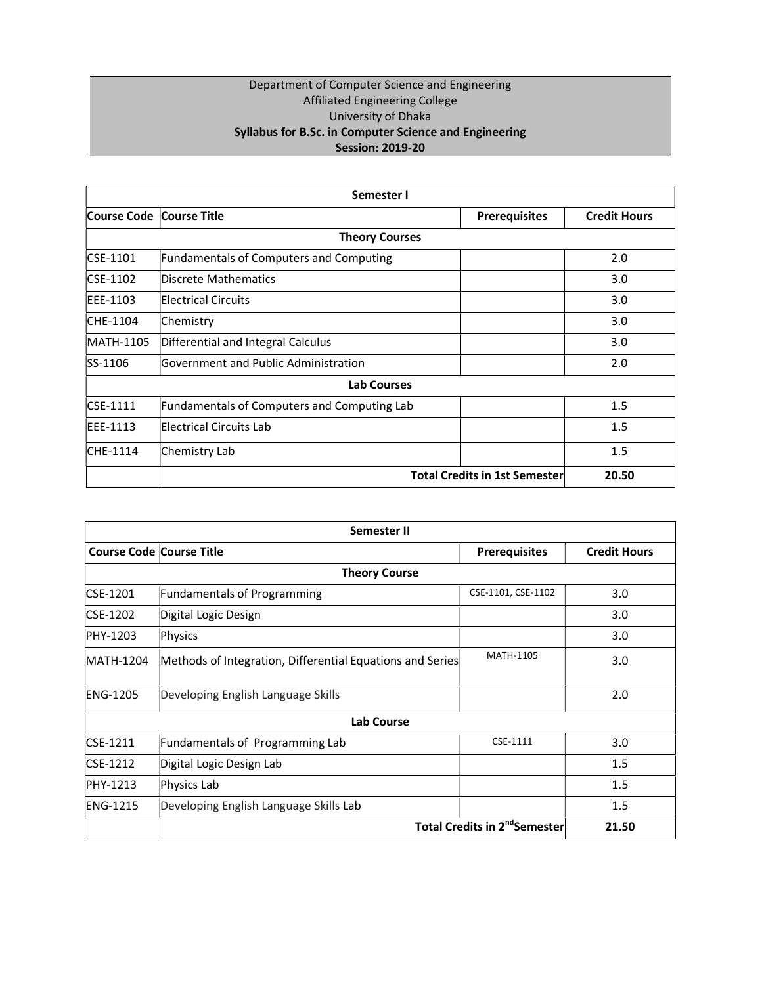### Department of Computer Science and Engineering Affiliated Engineering College University of Dhaka Syllabus for B.Sc. in Computer Science and Engineering Session: 2019-20

| Semester I               |                                                |                                      |                     |
|--------------------------|------------------------------------------------|--------------------------------------|---------------------|
| Course Code Course Title |                                                | <b>Prerequisites</b>                 | <b>Credit Hours</b> |
|                          | <b>Theory Courses</b>                          |                                      |                     |
| $CSE-1101$               | <b>Fundamentals of Computers and Computing</b> |                                      | 2.0                 |
| $CSE-1102$               | Discrete Mathematics                           |                                      | 3.0                 |
| EEE-1103                 | Electrical Circuits                            |                                      | 3.0                 |
| CHE-1104                 | Chemistry                                      |                                      | 3.0                 |
| MATH-1105                | Differential and Integral Calculus             |                                      | 3.0                 |
| SS-1106                  | Government and Public Administration           |                                      | 2.0                 |
|                          | <b>Lab Courses</b>                             |                                      |                     |
| $CSE-1111$               | Fundamentals of Computers and Computing Lab    |                                      | 1.5                 |
| EEE-1113                 | Electrical Circuits Lab                        |                                      | 1.5                 |
| CHE-1114                 | Chemistry Lab                                  |                                      | 1.5                 |
|                          |                                                | <b>Total Credits in 1st Semester</b> | 20.50               |

| <b>Semester II</b>              |                                                           |                                           |                     |
|---------------------------------|-----------------------------------------------------------|-------------------------------------------|---------------------|
| <b>Course Code Course Title</b> |                                                           | <b>Prerequisites</b>                      | <b>Credit Hours</b> |
|                                 | <b>Theory Course</b>                                      |                                           |                     |
| CSE-1201                        | <b>Fundamentals of Programming</b>                        | CSE-1101, CSE-1102                        | 3.0                 |
| CSE-1202                        | Digital Logic Design                                      |                                           | 3.0                 |
| PHY-1203                        | Physics                                                   |                                           | 3.0                 |
| MATH-1204                       | Methods of Integration, Differential Equations and Series | MATH-1105                                 | 3.0                 |
| <b>ENG-1205</b>                 | Developing English Language Skills                        |                                           | 2.0                 |
|                                 | <b>Lab Course</b>                                         |                                           |                     |
| CSE-1211                        | Fundamentals of Programming Lab                           | CSE-1111                                  | 3.0                 |
| CSE-1212                        | Digital Logic Design Lab                                  |                                           | 1.5                 |
| PHY-1213                        | Physics Lab                                               |                                           | 1.5                 |
| <b>ENG-1215</b>                 | Developing English Language Skills Lab                    |                                           | 1.5                 |
|                                 |                                                           | Total Credits in 2 <sup>nd</sup> Semester | 21.50               |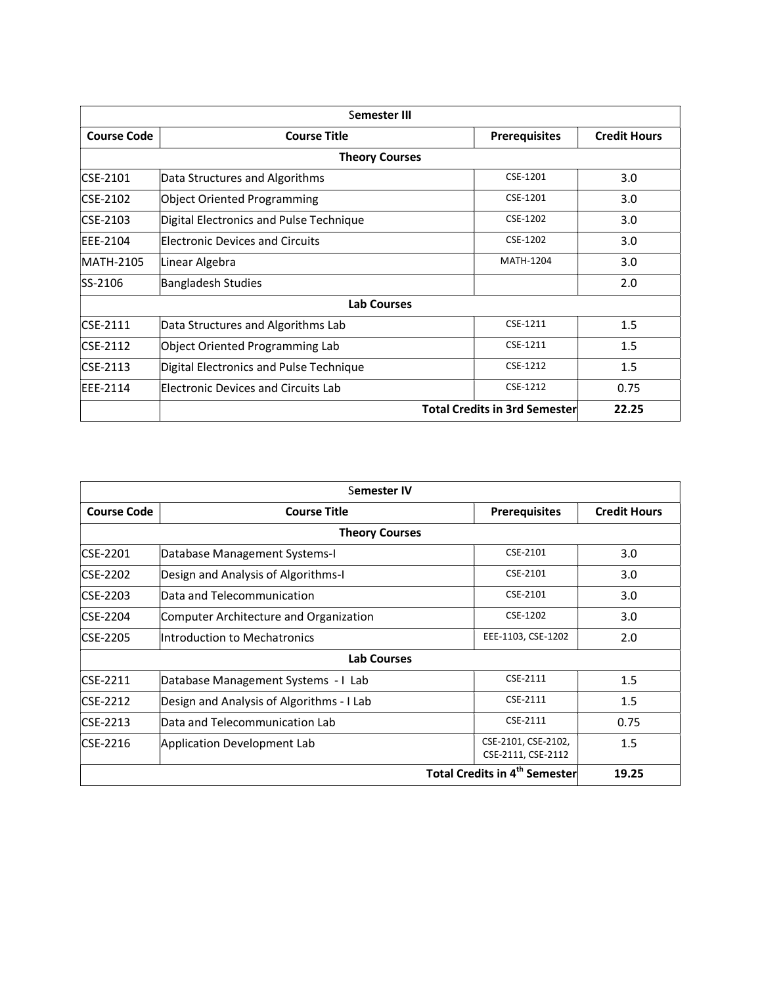| Semester III       |                                         |                                      |                     |
|--------------------|-----------------------------------------|--------------------------------------|---------------------|
| <b>Course Code</b> | <b>Course Title</b>                     | <b>Prerequisites</b>                 | <b>Credit Hours</b> |
|                    | <b>Theory Courses</b>                   |                                      |                     |
| CSE-2101           | Data Structures and Algorithms          | CSE-1201                             | 3.0                 |
| CSE-2102           | Object Oriented Programming             | CSE-1201                             | 3.0                 |
| CSE-2103           | Digital Electronics and Pulse Technique | CSE-1202                             | 3.0                 |
| <b>IEEE-2104</b>   | Electronic Devices and Circuits         | CSE-1202                             | 3.0                 |
| MATH-2105          | Linear Algebra                          | <b>MATH-1204</b>                     | 3.0                 |
| SS-2106            | <b>Bangladesh Studies</b>               |                                      | 2.0                 |
|                    | <b>Lab Courses</b>                      |                                      |                     |
| $CSF-2111$         | Data Structures and Algorithms Lab      | CSE-1211                             | 1.5                 |
| CSE-2112           | Object Oriented Programming Lab         | CSE-1211                             | 1.5                 |
| CSE-2113           | Digital Electronics and Pulse Technique | CSE-1212                             | 1.5                 |
| EEE-2114           | Electronic Devices and Circuits Lab     | CSE-1212                             | 0.75                |
|                    |                                         | <b>Total Credits in 3rd Semester</b> | 22.25               |

| Semester IV                                   |                                           |                                           |                     |
|-----------------------------------------------|-------------------------------------------|-------------------------------------------|---------------------|
| <b>Course Code</b>                            | <b>Course Title</b>                       | <b>Prerequisites</b>                      | <b>Credit Hours</b> |
|                                               | <b>Theory Courses</b>                     |                                           |                     |
| CSE-2201                                      | Database Management Systems-I             | CSE-2101                                  | 3.0                 |
| CSE-2202                                      | Design and Analysis of Algorithms-I       | CSE-2101                                  | 3.0                 |
| CSE-2203                                      | Data and Telecommunication                | CSE-2101                                  | 3.0                 |
| <b>CSE-2204</b>                               | Computer Architecture and Organization    | CSE-1202                                  | 3.0                 |
| CSE-2205                                      | Introduction to Mechatronics              | EEE-1103, CSE-1202                        | 2.0                 |
|                                               | <b>Lab Courses</b>                        |                                           |                     |
| $CSE-2211$                                    | Database Management Systems - I Lab       | CSE-2111                                  | 1.5                 |
| CSE-2212                                      | Design and Analysis of Algorithms - I Lab | CSE-2111                                  | 1.5                 |
| $CSE-2213$                                    | Data and Telecommunication Lab            | CSE-2111                                  | 0.75                |
| CSE-2216                                      | Application Development Lab               | CSE-2101, CSE-2102,<br>CSE-2111, CSE-2112 | $1.5\,$             |
| <b>Total Credits in 4th Semester</b><br>19.25 |                                           |                                           |                     |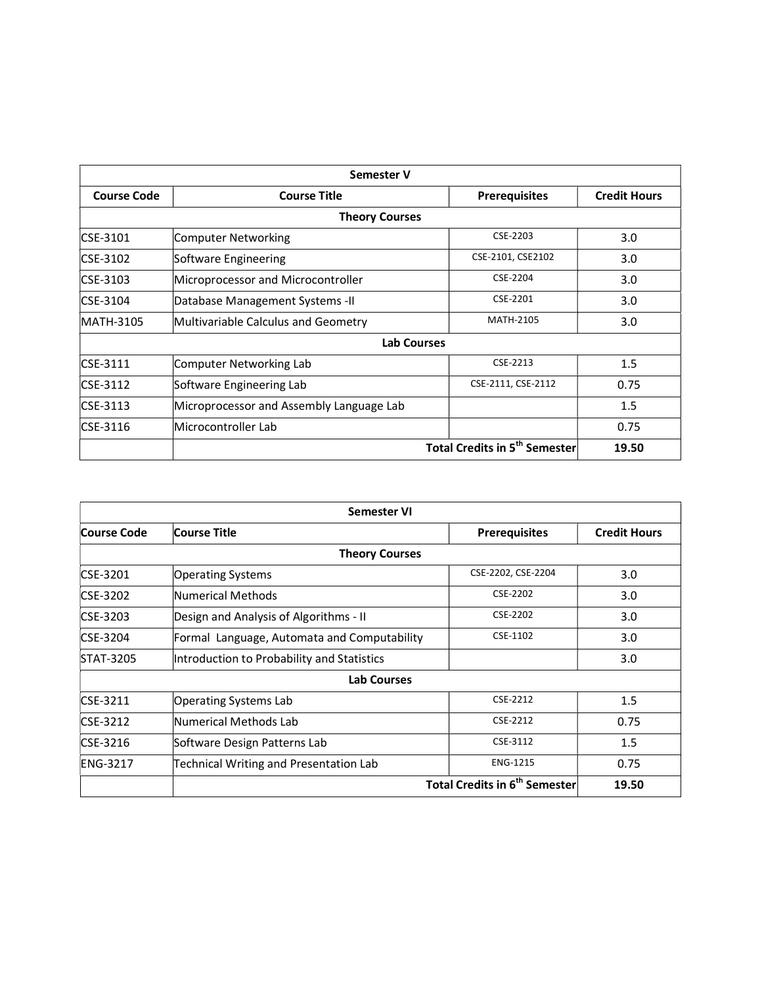| <b>Semester V</b>  |                                          |                                                 |                     |
|--------------------|------------------------------------------|-------------------------------------------------|---------------------|
| <b>Course Code</b> | <b>Course Title</b>                      | <b>Prerequisites</b>                            | <b>Credit Hours</b> |
|                    | <b>Theory Courses</b>                    |                                                 |                     |
| <b>CSE-3101</b>    | Computer Networking                      | CSE-2203                                        | 3.0                 |
| CSE-3102           | Software Engineering                     | CSE-2101, CSE2102                               | 3.0                 |
| CSE-3103           | Microprocessor and Microcontroller       | CSE-2204                                        | 3.0                 |
| $CSE-3104$         | Database Management Systems -II          | CSE-2201                                        | 3.0                 |
| MATH-3105          | Multivariable Calculus and Geometry      | MATH-2105                                       | 3.0                 |
|                    | <b>Lab Courses</b>                       |                                                 |                     |
| CSE-3111           | Computer Networking Lab                  | CSE-2213                                        | 1.5                 |
| CSE-3112           | Software Engineering Lab                 | CSE-2111, CSE-2112                              | 0.75                |
| CSE-3113           | Microprocessor and Assembly Language Lab |                                                 | 1.5                 |
| $CSE-3116$         | Microcontroller Lab                      |                                                 | 0.75                |
|                    |                                          | <b>Total Credits in 5<sup>th</sup> Semester</b> | 19.50               |

| <b>Semester VI</b> |                                             |                                                 |                     |
|--------------------|---------------------------------------------|-------------------------------------------------|---------------------|
| <b>Course Code</b> | Course Title                                | <b>Prerequisites</b>                            | <b>Credit Hours</b> |
|                    | <b>Theory Courses</b>                       |                                                 |                     |
| CSE-3201           | <b>Operating Systems</b>                    | CSE-2202, CSE-2204                              | 3.0                 |
| CSE-3202           | Numerical Methods                           | CSE-2202                                        | 3.0                 |
| CSE-3203           | Design and Analysis of Algorithms - II      | CSE-2202                                        | 3.0                 |
| CSE-3204           | Formal Language, Automata and Computability | CSE-1102                                        | 3.0                 |
| STAT-3205          | Introduction to Probability and Statistics  |                                                 | 3.0                 |
|                    | <b>Lab Courses</b>                          |                                                 |                     |
| CSE-3211           | Operating Systems Lab                       | CSE-2212                                        | 1.5                 |
| CSE-3212           | Numerical Methods Lab                       | CSE-2212                                        | 0.75                |
| CSE-3216           | Software Design Patterns Lab                | CSE-3112                                        | 1.5                 |
| <b>ENG-3217</b>    | Technical Writing and Presentation Lab      | <b>ENG-1215</b>                                 | 0.75                |
|                    |                                             | <b>Total Credits in 6<sup>th</sup> Semester</b> | 19.50               |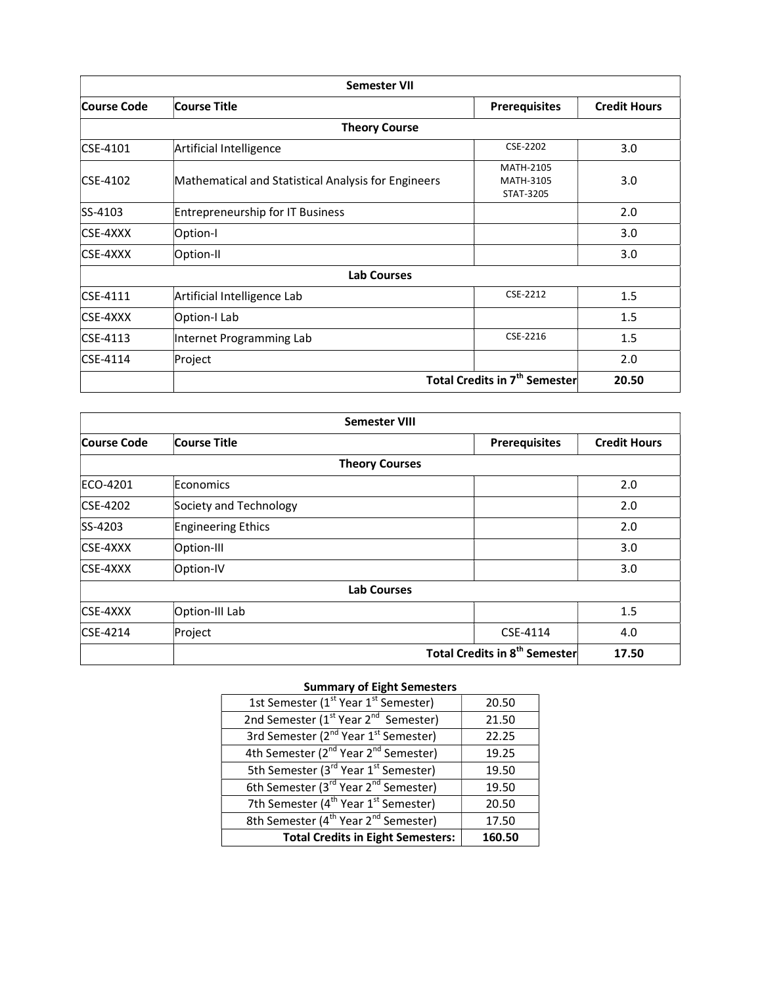|                 | <b>Semester VII</b>                                 |                                                 |                     |
|-----------------|-----------------------------------------------------|-------------------------------------------------|---------------------|
| Course Code     | Course Title                                        | <b>Prerequisites</b>                            | <b>Credit Hours</b> |
|                 | <b>Theory Course</b>                                |                                                 |                     |
| CSE-4101        | Artificial Intelligence                             | CSE-2202                                        | 3.0                 |
| CSE-4102        | Mathematical and Statistical Analysis for Engineers | MATH-2105<br>MATH-3105<br>STAT-3205             | 3.0                 |
| SS-4103         | <b>Entrepreneurship for IT Business</b>             |                                                 | 2.0                 |
| CSE-4XXX        | Option-I                                            |                                                 | 3.0                 |
| CSE-4XXX        | Option-II                                           |                                                 | 3.0                 |
|                 | <b>Lab Courses</b>                                  |                                                 |                     |
| $CSE-4111$      | Artificial Intelligence Lab                         | CSE-2212                                        | 1.5                 |
| <b>CSE-4XXX</b> | Option-I Lab                                        |                                                 | 1.5                 |
| $CSE-4113$      | Internet Programming Lab                            | CSE-2216                                        | 1.5                 |
| CSE-4114        | Project                                             |                                                 | 2.0                 |
|                 |                                                     | <b>Total Credits in 7<sup>th</sup> Semester</b> | 20.50               |

| <b>Semester VIII</b> |                        |                                           |                     |
|----------------------|------------------------|-------------------------------------------|---------------------|
| <b>Course Code</b>   | <b>Course Title</b>    | <b>Prerequisites</b>                      | <b>Credit Hours</b> |
|                      | <b>Theory Courses</b>  |                                           |                     |
| ECO-4201             | Economics              |                                           | 2.0                 |
| CSE-4202             | Society and Technology |                                           | 2.0                 |
| SS-4203              | Engineering Ethics     |                                           | 2.0                 |
| <b>CSE-4XXX</b>      | Option-III             |                                           | 3.0                 |
| <b>CSE-4XXX</b>      | Option-IV              |                                           | 3.0                 |
|                      | <b>Lab Courses</b>     |                                           |                     |
| CSE-4XXX             | Option-III Lab         |                                           | 1.5                 |
| $CSE-4214$           | Project                | CSE-4114                                  | 4.0                 |
|                      |                        | Total Credits in 8 <sup>th</sup> Semester | 17.50               |

### Summary of Eight Semesters

| 1st Semester (1 <sup>st</sup> Year 1 <sup>st</sup> Semester) | 20.50  |
|--------------------------------------------------------------|--------|
| 2nd Semester (1 <sup>st</sup> Year 2 <sup>nd</sup> Semester) | 21.50  |
| 3rd Semester (2 <sup>nd</sup> Year 1 <sup>st</sup> Semester) | 22.25  |
| 4th Semester (2 <sup>nd</sup> Year 2 <sup>nd</sup> Semester) | 19.25  |
| 5th Semester (3 <sup>rd</sup> Year 1 <sup>st</sup> Semester) | 19.50  |
| 6th Semester (3 <sup>rd</sup> Year 2 <sup>nd</sup> Semester) | 19.50  |
| 7th Semester (4 <sup>th</sup> Year 1 <sup>st</sup> Semester) | 20.50  |
| 8th Semester (4 <sup>th</sup> Year 2 <sup>nd</sup> Semester) | 17.50  |
| <b>Total Credits in Eight Semesters:</b>                     | 160.50 |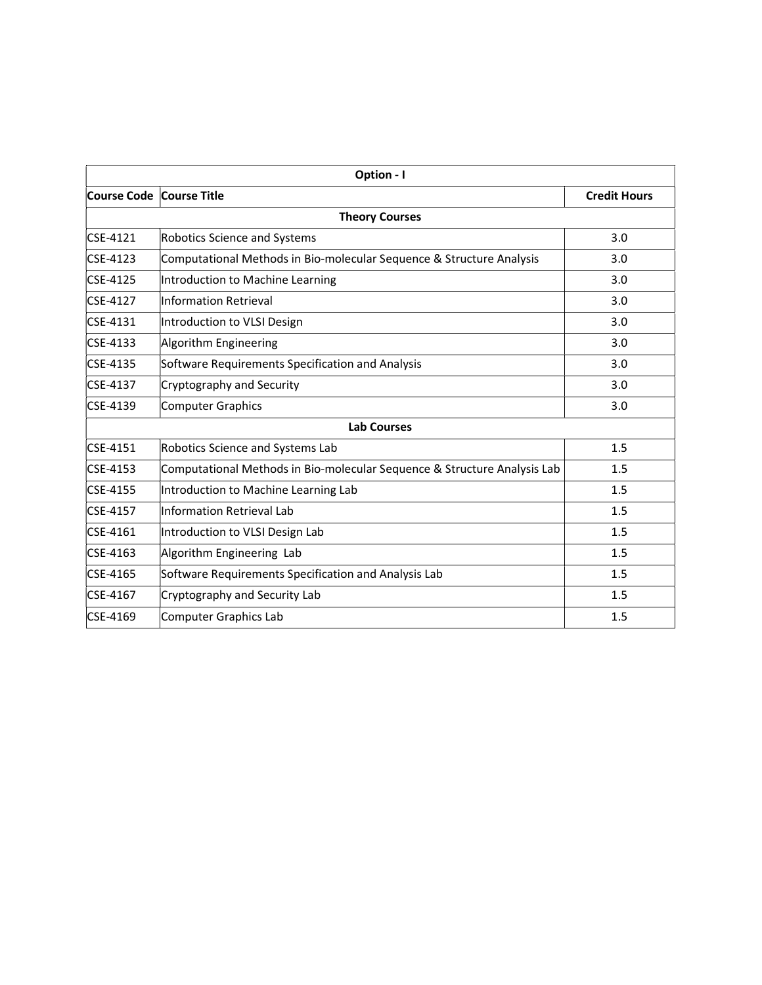| Option - I                 |                                                                          |                     |  |
|----------------------------|--------------------------------------------------------------------------|---------------------|--|
| Course Code   Course Title |                                                                          | <b>Credit Hours</b> |  |
|                            | <b>Theory Courses</b>                                                    |                     |  |
| CSE-4121                   | <b>Robotics Science and Systems</b>                                      | 3.0                 |  |
| CSE-4123                   | Computational Methods in Bio-molecular Sequence & Structure Analysis     | 3.0                 |  |
| CSE-4125                   | Introduction to Machine Learning                                         | 3.0                 |  |
| <b>CSE-4127</b>            | Information Retrieval                                                    | 3.0                 |  |
| $CSE-4131$                 | Introduction to VLSI Design                                              | 3.0                 |  |
| CSE-4133                   | Algorithm Engineering                                                    | 3.0                 |  |
| CSE-4135                   | Software Requirements Specification and Analysis                         | 3.0                 |  |
| CSE-4137                   | Cryptography and Security                                                | 3.0                 |  |
| CSE-4139                   | <b>Computer Graphics</b>                                                 | 3.0                 |  |
|                            | <b>Lab Courses</b>                                                       |                     |  |
| CSE-4151                   | Robotics Science and Systems Lab                                         | 1.5                 |  |
| CSE-4153                   | Computational Methods in Bio-molecular Sequence & Structure Analysis Lab | 1.5                 |  |
| CSE-4155                   | Introduction to Machine Learning Lab                                     | 1.5                 |  |
| CSE-4157                   | Information Retrieval Lab                                                | 1.5                 |  |
| CSE-4161                   | Introduction to VLSI Design Lab                                          | 1.5                 |  |
| CSE-4163                   | Algorithm Engineering Lab                                                | 1.5                 |  |
| CSE-4165                   | Software Requirements Specification and Analysis Lab                     | 1.5                 |  |
| CSE-4167                   | Cryptography and Security Lab                                            | 1.5                 |  |
| CSE-4169                   | <b>Computer Graphics Lab</b>                                             | 1.5                 |  |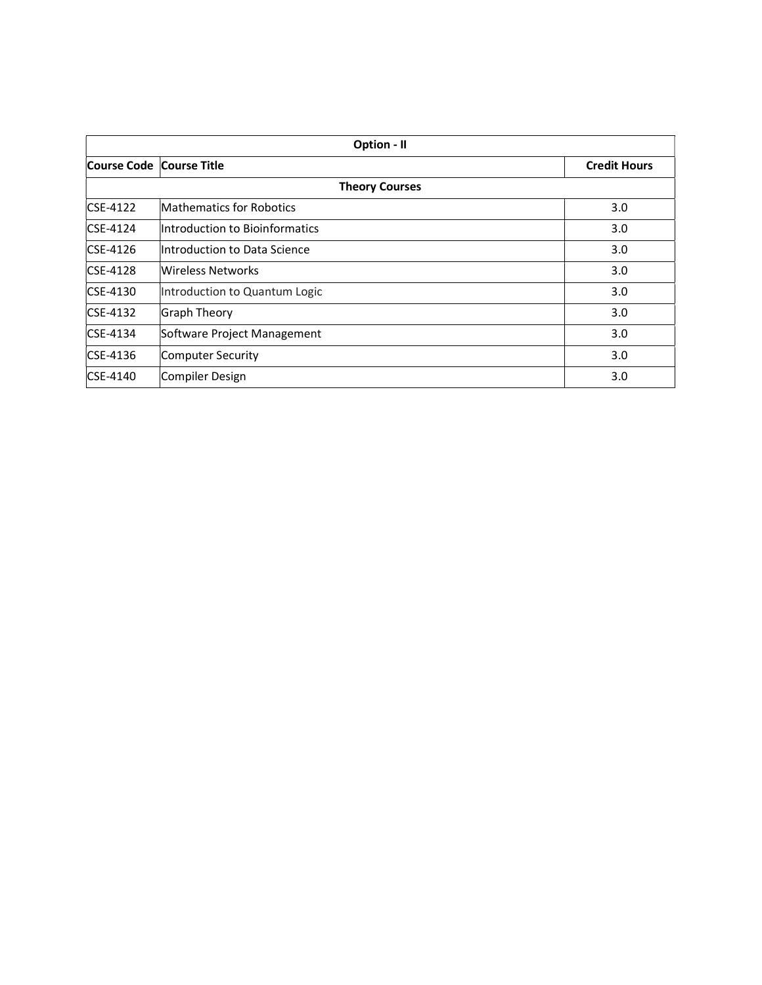| Option - II              |                                 |                     |
|--------------------------|---------------------------------|---------------------|
| Course Code Course Title |                                 | <b>Credit Hours</b> |
|                          | <b>Theory Courses</b>           |                     |
| $CSE-4122$               | <b>Mathematics for Robotics</b> | 3.0                 |
| $CSE-4124$               | Introduction to Bioinformatics  | 3.0                 |
| $CSE-4126$               | Introduction to Data Science    | 3.0                 |
| $CSE-4128$               | Wireless Networks               | 3.0                 |
| $CSE-4130$               | Introduction to Quantum Logic   | 3.0                 |
| $CSE-4132$               | Graph Theory                    | 3.0                 |
| $CSE-4134$               | Software Project Management     | 3.0                 |
| $CSE-4136$               | Computer Security               | 3.0                 |
| CSE-4140                 | Compiler Design                 | 3.0                 |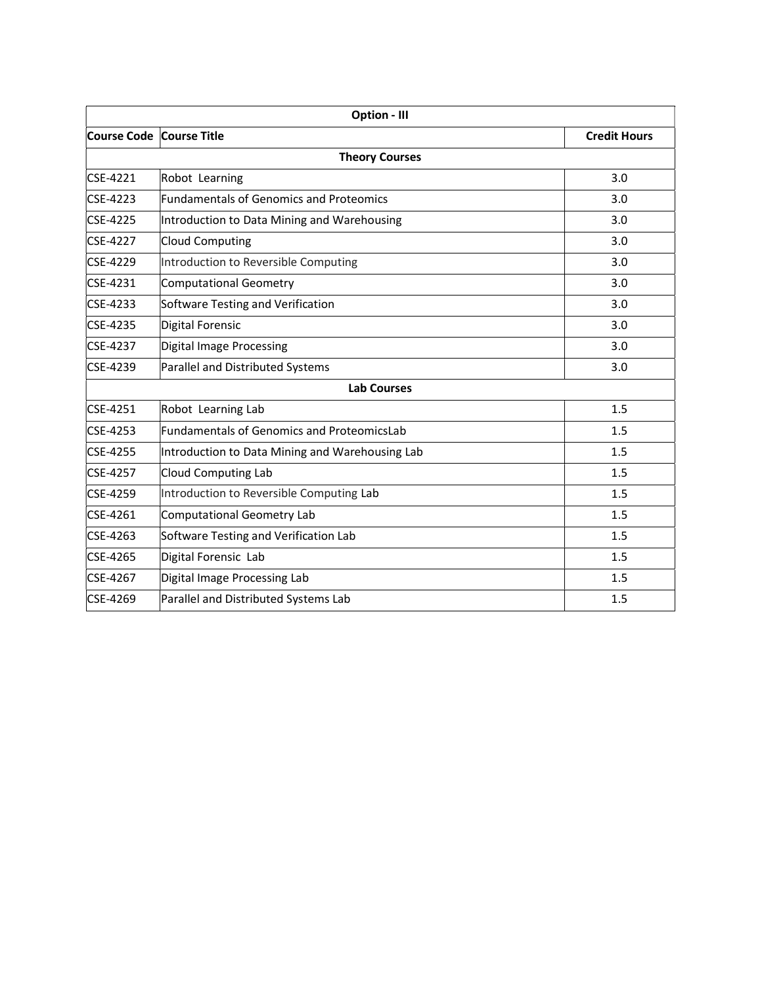| <b>Option - III</b>        |                                                   |                     |  |
|----------------------------|---------------------------------------------------|---------------------|--|
| Course Code   Course Title |                                                   | <b>Credit Hours</b> |  |
|                            | <b>Theory Courses</b>                             |                     |  |
| CSE-4221                   | Robot Learning                                    | 3.0                 |  |
| CSE-4223                   | <b>Fundamentals of Genomics and Proteomics</b>    | 3.0                 |  |
| CSE-4225                   | Introduction to Data Mining and Warehousing       | 3.0                 |  |
| <b>CSE-4227</b>            | <b>Cloud Computing</b>                            | 3.0                 |  |
| CSE-4229                   | Introduction to Reversible Computing              | 3.0                 |  |
| CSE-4231                   | <b>Computational Geometry</b>                     | 3.0                 |  |
| CSE-4233                   | Software Testing and Verification                 | 3.0                 |  |
| CSE-4235                   | Digital Forensic                                  | 3.0                 |  |
| CSE-4237                   | <b>Digital Image Processing</b>                   | 3.0                 |  |
| CSE-4239                   | Parallel and Distributed Systems                  | 3.0                 |  |
|                            | <b>Lab Courses</b>                                |                     |  |
| CSE-4251                   | Robot Learning Lab                                | 1.5                 |  |
| CSE-4253                   | <b>Fundamentals of Genomics and ProteomicsLab</b> | 1.5                 |  |
| CSE-4255                   | Introduction to Data Mining and Warehousing Lab   | 1.5                 |  |
| CSE-4257                   | <b>Cloud Computing Lab</b>                        | 1.5                 |  |
| CSE-4259                   | Introduction to Reversible Computing Lab          | 1.5                 |  |
| CSE-4261                   | <b>Computational Geometry Lab</b>                 | 1.5                 |  |
| CSE-4263                   | Software Testing and Verification Lab             | 1.5                 |  |
| CSE-4265                   | Digital Forensic Lab                              | 1.5                 |  |
| CSE-4267                   | Digital Image Processing Lab                      | 1.5                 |  |
| CSE-4269                   | Parallel and Distributed Systems Lab              | 1.5                 |  |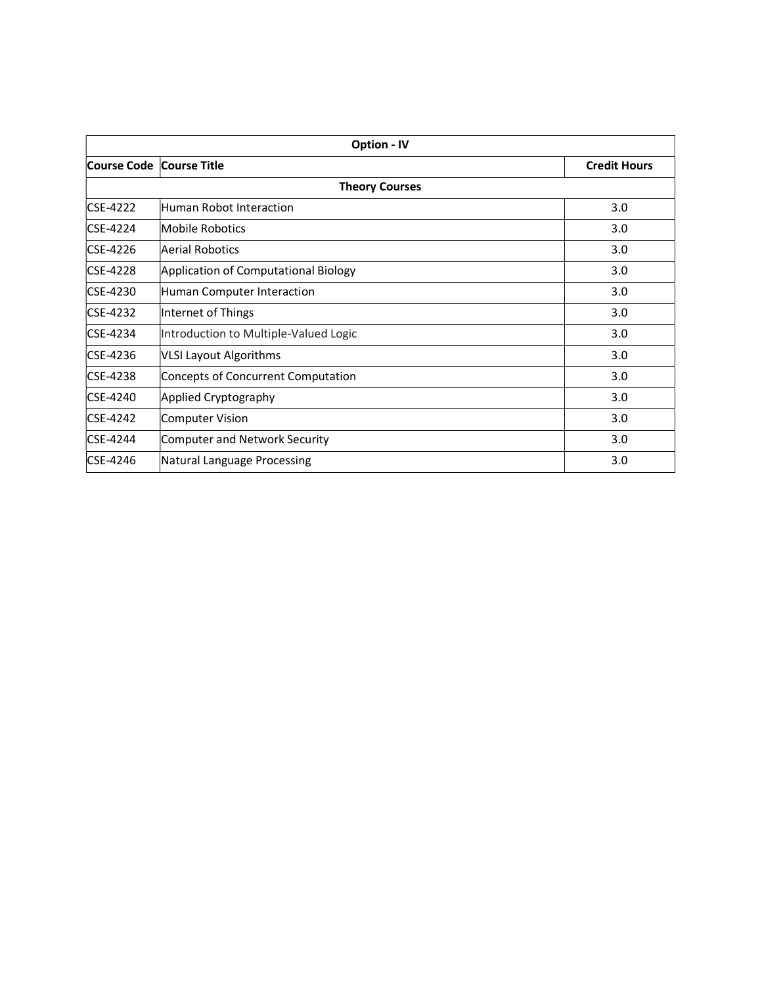| <b>Option - IV</b>       |                                       |                     |
|--------------------------|---------------------------------------|---------------------|
| Course Code Course Title |                                       | <b>Credit Hours</b> |
| <b>Theory Courses</b>    |                                       |                     |
| <b>CSE-4222</b>          | Human Robot Interaction               | 3.0                 |
| <b>CSE-4224</b>          | Mobile Robotics                       | 3.0                 |
| CSE-4226                 | Aerial Robotics                       | 3.0                 |
| <b>CSE-4228</b>          | Application of Computational Biology  | 3.0                 |
| CSE-4230                 | Human Computer Interaction            | 3.0                 |
| <b>CSE-4232</b>          | Internet of Things                    | 3.0                 |
| CSE-4234                 | Introduction to Multiple-Valued Logic | 3.0                 |
| CSE-4236                 | <b>VLSI Layout Algorithms</b>         | 3.0                 |
| CSE-4238                 | Concepts of Concurrent Computation    | 3.0                 |
| CSE-4240                 | Applied Cryptography                  | 3.0                 |
| <b>CSE-4242</b>          | <b>Computer Vision</b>                | 3.0                 |
| CSE-4244                 | Computer and Network Security         | 3.0                 |
| ICSE-4246                | Natural Language Processing           | 3.0                 |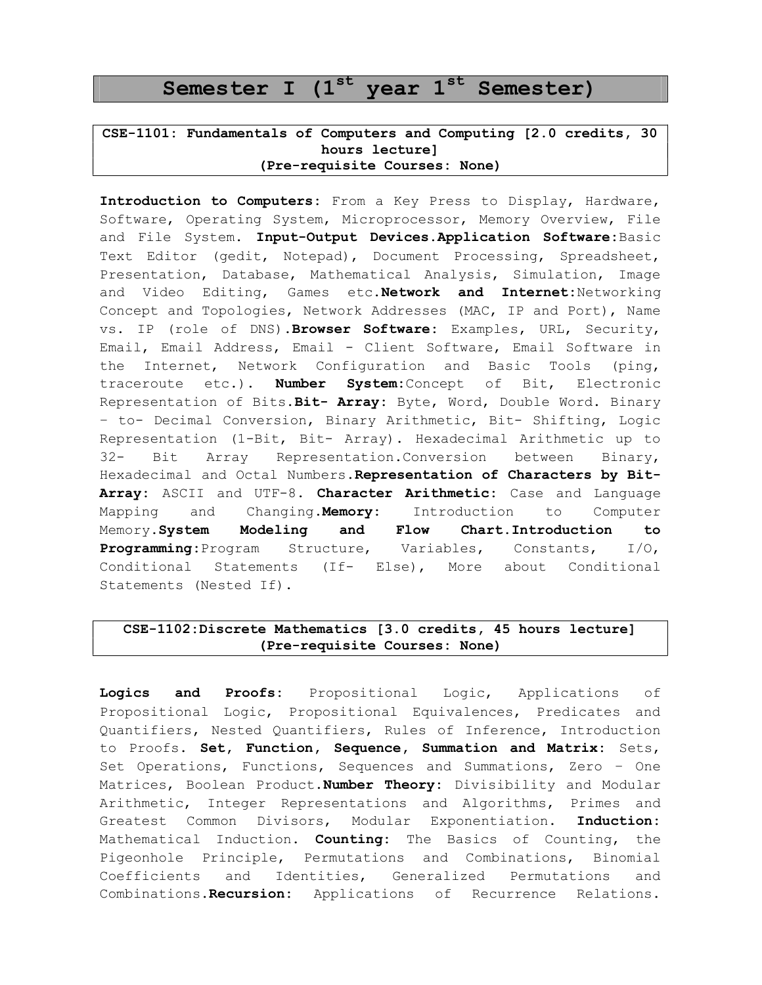# Semester I  $(1<sup>st</sup>$  year  $1<sup>st</sup>$  Semester)

### CSE-1101: Fundamentals of Computers and Computing [2.0 credits, 30 hours lecture] (Pre-requisite Courses: None)

Introduction to Computers: From a Key Press to Display, Hardware, Software, Operating System, Microprocessor, Memory Overview, File and File System. Input-Output Devices.Application Software: Basic Text Editor (gedit, Notepad), Document Processing, Spreadsheet, Presentation, Database, Mathematical Analysis, Simulation, Image and Video Editing, Games etc. Network and Internet: Networking Concept and Topologies, Network Addresses (MAC, IP and Port), Name vs. IP (role of DNS). Browser Software: Examples, URL, Security, Email, Email Address, Email - Client Software, Email Software in the Internet, Network Configuration and Basic Tools (ping, traceroute etc.). Number System: Concept of Bit, Electronic Representation of Bits. Bit- Array: Byte, Word, Double Word. Binary – to- Decimal Conversion, Binary Arithmetic, Bit- Shifting, Logic Representation (1-Bit, Bit- Array). Hexadecimal Arithmetic up to 32- Bit Array Representation.Conversion between Binary, Hexadecimal and Octal Numbers. Representation of Characters by Bit-Array: ASCII and UTF-8. Character Arithmetic: Case and Language Mapping and Changing.Memory: Introduction to Computer Memory.System Modeling and Flow Chart.Introduction to Programming:Program Structure, Variables, Constants, I/O, Conditional Statements (If- Else), More about Conditional Statements (Nested If).

### CSE-1102:Discrete Mathematics [3.0 credits, 45 hours lecture] (Pre-requisite Courses: None)

Logics and Proofs: Propositional Logic, Applications of Propositional Logic, Propositional Equivalences, Predicates and Quantifiers, Nested Quantifiers, Rules of Inference, Introduction to Proofs. Set, Function, Sequence, Summation and Matrix: Sets, Set Operations, Functions, Sequences and Summations, Zero – One Matrices, Boolean Product. Number Theory: Divisibility and Modular Arithmetic, Integer Representations and Algorithms, Primes and Greatest Common Divisors, Modular Exponentiation. Induction: Mathematical Induction. **Counting:** The Basics of Counting, the Pigeonhole Principle, Permutations and Combinations, Binomial Coefficients and Identities, Generalized Permutations and Combinations. Recursion: Applications of Recurrence Relations.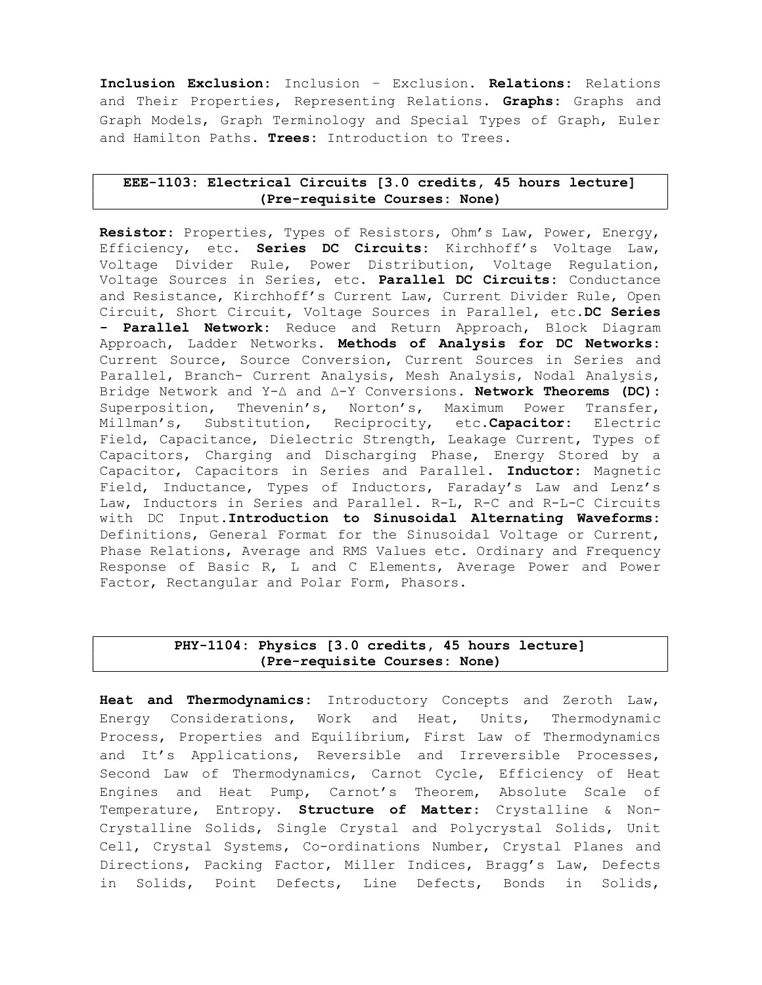Inclusion Exclusion: Inclusion – Exclusion. Relations: Relations and Their Properties, Representing Relations. Graphs: Graphs and Graph Models, Graph Terminology and Special Types of Graph, Euler and Hamilton Paths. Trees: Introduction to Trees.

### EEE-1103: Electrical Circuits [3.0 credits, 45 hours lecture] (Pre-requisite Courses: None)

Resistor: Properties, Types of Resistors, Ohm's Law, Power, Energy, Efficiency, etc. Series DC Circuits: Kirchhoff's Voltage Law, Voltage Divider Rule, Power Distribution, Voltage Regulation, Voltage Sources in Series, etc. Parallel DC Circuits: Conductance and Resistance, Kirchhoff's Current Law, Current Divider Rule, Open Circuit, Short Circuit, Voltage Sources in Parallel, etc.DC Series - Parallel Network: Reduce and Return Approach, Block Diagram Approach, Ladder Networks. Methods of Analysis for DC Networks: Current Source, Source Conversion, Current Sources in Series and Parallel, Branch- Current Analysis, Mesh Analysis, Nodal Analysis, Bridge Network and Y-∆ and ∆-Y Conversions. Network Theorems (DC): Superposition, Thevenin's, Norton's, Maximum Power Transfer, Millman's, Substitution, Reciprocity, etc. Capacitor: Electric Field, Capacitance, Dielectric Strength, Leakage Current, Types of Capacitors, Charging and Discharging Phase, Energy Stored by a Capacitor, Capacitors in Series and Parallel. Inductor: Magnetic Field, Inductance, Types of Inductors, Faraday's Law and Lenz's Law, Inductors in Series and Parallel. R-L, R-C and R-L-C Circuits with DC Input.Introduction to Sinusoidal Alternating Waveforms: Definitions, General Format for the Sinusoidal Voltage or Current, Phase Relations, Average and RMS Values etc. Ordinary and Frequency Response of Basic R, L and C Elements, Average Power and Power Factor, Rectangular and Polar Form, Phasors.

### PHY-1104: Physics [3.0 credits, 45 hours lecture] (Pre-requisite Courses: None)

Heat and Thermodynamics: Introductory Concepts and Zeroth Law, Energy Considerations, Work and Heat, Units, Thermodynamic Process, Properties and Equilibrium, First Law of Thermodynamics and It's Applications, Reversible and Irreversible Processes, Second Law of Thermodynamics, Carnot Cycle, Efficiency of Heat Engines and Heat Pump, Carnot's Theorem, Absolute Scale of Temperature, Entropy. Structure of Matter: Crystalline & Non-Crystalline Solids, Single Crystal and Polycrystal Solids, Unit Cell, Crystal Systems, Co-ordinations Number, Crystal Planes and Directions, Packing Factor, Miller Indices, Bragg's Law, Defects in Solids, Point Defects, Line Defects, Bonds in Solids,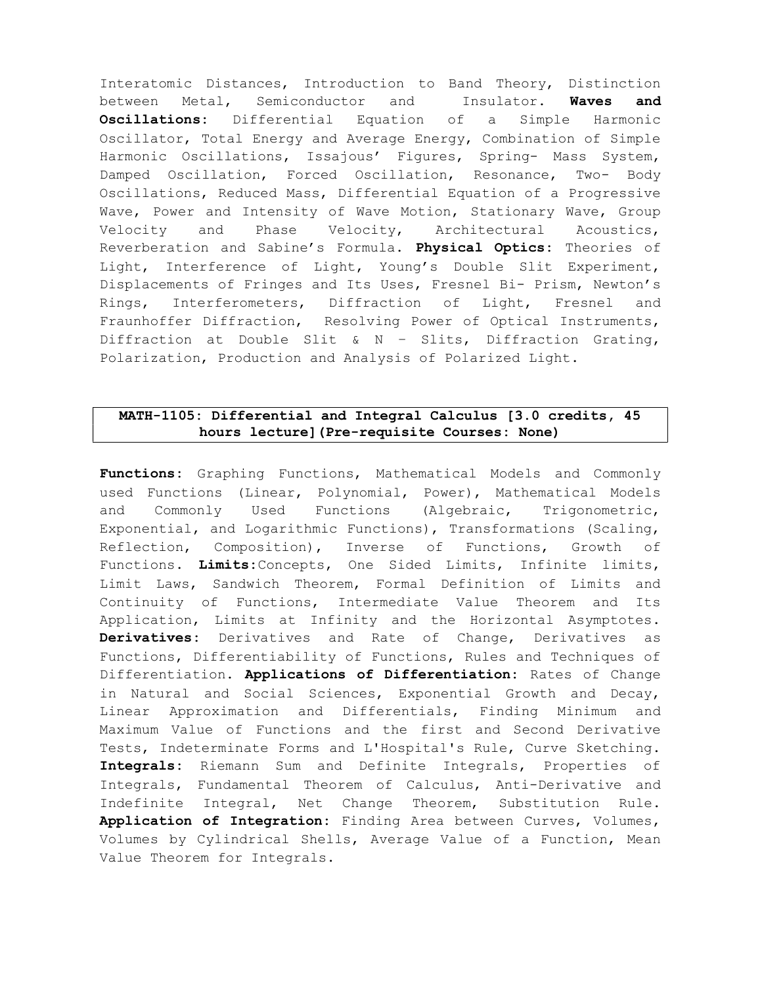Interatomic Distances, Introduction to Band Theory, Distinction between Metal, Semiconductor and Insulator. Waves and Oscillations: Differential Equation of a Simple Harmonic Oscillator, Total Energy and Average Energy, Combination of Simple Harmonic Oscillations, Issajous' Figures, Spring- Mass System, Damped Oscillation, Forced Oscillation, Resonance, Two- Body Oscillations, Reduced Mass, Differential Equation of a Progressive Wave, Power and Intensity of Wave Motion, Stationary Wave, Group Velocity and Phase Velocity, Architectural Acoustics, Reverberation and Sabine's Formula. Physical Optics: Theories of Light, Interference of Light, Young's Double Slit Experiment, Displacements of Fringes and Its Uses, Fresnel Bi- Prism, Newton's Rings, Interferometers, Diffraction of Light, Fresnel and Fraunhoffer Diffraction, Resolving Power of Optical Instruments, Diffraction at Double Slit & N – Slits, Diffraction Grating, Polarization, Production and Analysis of Polarized Light.

### MATH-1105: Differential and Integral Calculus [3.0 credits, 45 hours lecture](Pre-requisite Courses: None)

Functions: Graphing Functions, Mathematical Models and Commonly used Functions (Linear, Polynomial, Power), Mathematical Models and Commonly Used Functions (Algebraic, Trigonometric, Exponential, and Logarithmic Functions), Transformations (Scaling, Reflection, Composition), Inverse of Functions, Growth of Functions. Limits: Concepts, One Sided Limits, Infinite limits, Limit Laws, Sandwich Theorem, Formal Definition of Limits and Continuity of Functions, Intermediate Value Theorem and Its Application, Limits at Infinity and the Horizontal Asymptotes. Derivatives: Derivatives and Rate of Change, Derivatives as Functions, Differentiability of Functions, Rules and Techniques of Differentiation. Applications of Differentiation: Rates of Change in Natural and Social Sciences, Exponential Growth and Decay, Linear Approximation and Differentials, Finding Minimum and Maximum Value of Functions and the first and Second Derivative Tests, Indeterminate Forms and L'Hospital's Rule, Curve Sketching. Integrals: Riemann Sum and Definite Integrals, Properties of Integrals, Fundamental Theorem of Calculus, Anti-Derivative and Indefinite Integral, Net Change Theorem, Substitution Rule. Application of Integration: Finding Area between Curves, Volumes, Volumes by Cylindrical Shells, Average Value of a Function, Mean Value Theorem for Integrals.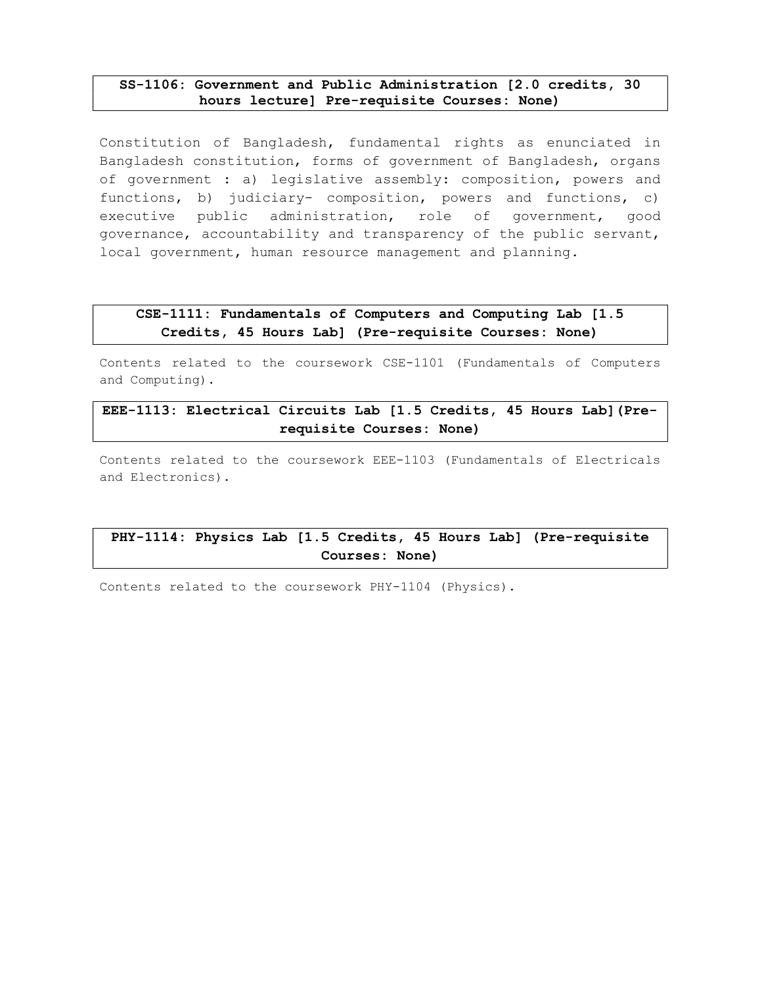### SS-1106: Government and Public Administration [2.0 credits, 30 hours lecture] Pre-requisite Courses: None)

Constitution of Bangladesh, fundamental rights as enunciated in Bangladesh constitution, forms of government of Bangladesh, organs of government : a) legislative assembly: composition, powers and functions, b) judiciary- composition, powers and functions, c) executive public administration, role of government, good governance, accountability and transparency of the public servant, local government, human resource management and planning.

### CSE-1111: Fundamentals of Computers and Computing Lab [1.5 Credits, 45 Hours Lab] (Pre-requisite Courses: None)

Contents related to the coursework CSE-1101 (Fundamentals of Computers and Computing).

# EEE-1113: Electrical Circuits Lab [1.5 Credits, 45 Hours Lab](Prerequisite Courses: None)

Contents related to the coursework EEE-1103 (Fundamentals of Electricals and Electronics).

# PHY-1114: Physics Lab [1.5 Credits, 45 Hours Lab] (Pre-requisite Courses: None)

Contents related to the coursework PHY-1104 (Physics).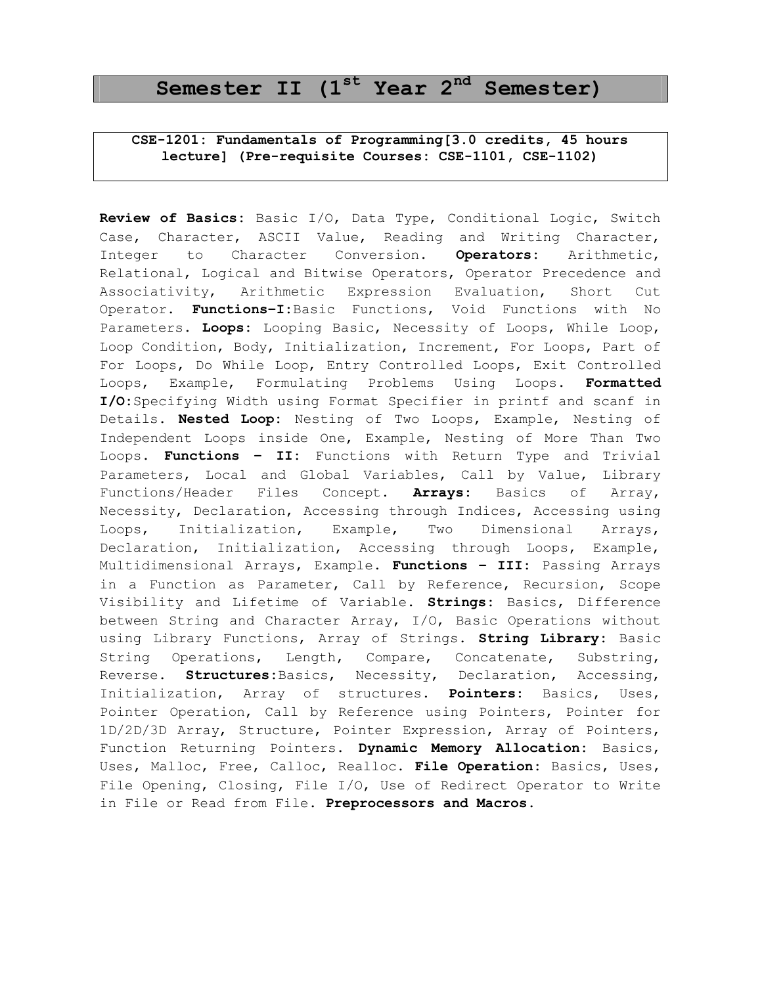# Semester II  $(1<sup>st</sup>$  Year  $2<sup>nd</sup>$  Semester)

### CSE-1201: Fundamentals of Programming[3.0 credits, 45 hours lecture] (Pre-requisite Courses: CSE-1101, CSE-1102)

Review of Basics: Basic I/O, Data Type, Conditional Logic, Switch Case, Character, ASCII Value, Reading and Writing Character, Integer to Character Conversion. Operators: Arithmetic, Relational, Logical and Bitwise Operators, Operator Precedence and Associativity, Arithmetic Expression Evaluation, Short Cut Operator. Functions-I:Basic Functions, Void Functions with No Parameters. Loops: Looping Basic, Necessity of Loops, While Loop, Loop Condition, Body, Initialization, Increment, For Loops, Part of For Loops, Do While Loop, Entry Controlled Loops, Exit Controlled Loops, Example, Formulating Problems Using Loops. Formatted I/O:Specifying Width using Format Specifier in printf and scanf in Details. Nested Loop: Nesting of Two Loops, Example, Nesting of Independent Loops inside One, Example, Nesting of More Than Two Loops. Functions - II: Functions with Return Type and Trivial Parameters, Local and Global Variables, Call by Value, Library Functions/Header Files Concept. Arrays: Basics of Array, Necessity, Declaration, Accessing through Indices, Accessing using Loops, Initialization, Example, Two Dimensional Arrays, Declaration, Initialization, Accessing through Loops, Example, Multidimensional Arrays, Example. Functions - III: Passing Arrays in a Function as Parameter, Call by Reference, Recursion, Scope Visibility and Lifetime of Variable. Strings: Basics, Difference between String and Character Array, I/O, Basic Operations without using Library Functions, Array of Strings. String Library: Basic String Operations, Length, Compare, Concatenate, Substring, Reverse. Structures: Basics, Necessity, Declaration, Accessing, Initialization, Array of structures. Pointers: Basics, Uses, Pointer Operation, Call by Reference using Pointers, Pointer for 1D/2D/3D Array, Structure, Pointer Expression, Array of Pointers, Function Returning Pointers. Dynamic Memory Allocation: Basics, Uses, Malloc, Free, Calloc, Realloc. File Operation: Basics, Uses, File Opening, Closing, File I/O, Use of Redirect Operator to Write in File or Read from File. Preprocessors and Macros.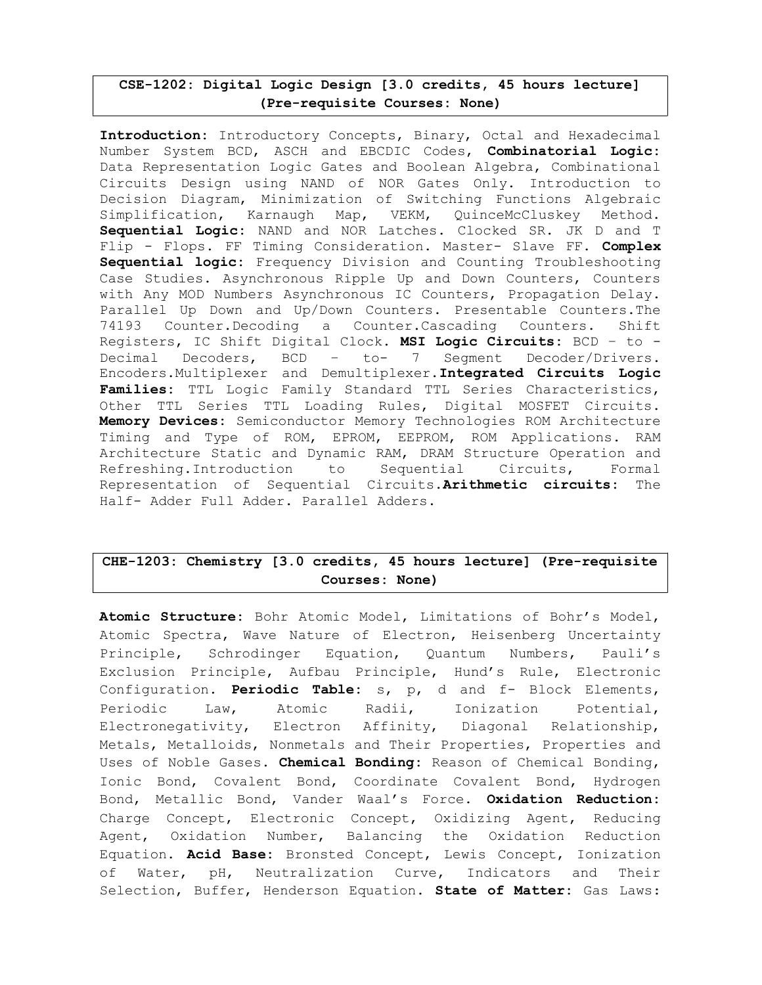### CSE-1202: Digital Logic Design [3.0 credits, 45 hours lecture] (Pre-requisite Courses: None)

Introduction: Introductory Concepts, Binary, Octal and Hexadecimal Number System BCD, ASCH and EBCDIC Codes, Combinatorial Logic: Data Representation Logic Gates and Boolean Algebra, Combinational Circuits Design using NAND of NOR Gates Only. Introduction to Decision Diagram, Minimization of Switching Functions Algebraic Simplification, Karnaugh Map, VEKM, QuinceMcCluskey Method. Sequential Logic: NAND and NOR Latches. Clocked SR. JK D and T Flip - Flops. FF Timing Consideration. Master- Slave FF. Complex Sequential logic: Frequency Division and Counting Troubleshooting Case Studies. Asynchronous Ripple Up and Down Counters, Counters with Any MOD Numbers Asynchronous IC Counters, Propagation Delay. Parallel Up Down and Up/Down Counters. Presentable Counters.The 74193 Counter.Decoding a Counter.Cascading Counters. Shift Registers, IC Shift Digital Clock. MSI Logic Circuits: BCD - to -Decimal Decoders, BCD – to- 7 Segment Decoder/Drivers. Encoders.Multiplexer and Demultiplexer.Integrated Circuits Logic Families: TTL Logic Family Standard TTL Series Characteristics, Other TTL Series TTL Loading Rules, Digital MOSFET Circuits. Memory Devices: Semiconductor Memory Technologies ROM Architecture Timing and Type of ROM, EPROM, EEPROM, ROM Applications. RAM Architecture Static and Dynamic RAM, DRAM Structure Operation and Refreshing.Introduction to Sequential Circuits, Formal Representation of Sequential Circuits. Arithmetic circuits: The Half- Adder Full Adder. Parallel Adders.

# CHE-1203: Chemistry [3.0 credits, 45 hours lecture] (Pre-requisite Courses: None)

Atomic Structure: Bohr Atomic Model, Limitations of Bohr's Model, Atomic Spectra, Wave Nature of Electron, Heisenberg Uncertainty Principle, Schrodinger Equation, Quantum Numbers, Pauli's Exclusion Principle, Aufbau Principle, Hund's Rule, Electronic Configuration. Periodic Table: s, p, d and f- Block Elements, Periodic Law, Atomic Radii, Ionization Potential, Electronegativity, Electron Affinity, Diagonal Relationship, Metals, Metalloids, Nonmetals and Their Properties, Properties and Uses of Noble Gases. Chemical Bonding: Reason of Chemical Bonding, Ionic Bond, Covalent Bond, Coordinate Covalent Bond, Hydrogen Bond, Metallic Bond, Vander Waal's Force. Oxidation Reduction: Charge Concept, Electronic Concept, Oxidizing Agent, Reducing Agent, Oxidation Number, Balancing the Oxidation Reduction Equation. Acid Base: Bronsted Concept, Lewis Concept, Ionization of Water, pH, Neutralization Curve, Indicators and Their Selection, Buffer, Henderson Equation. State of Matter: Gas Laws: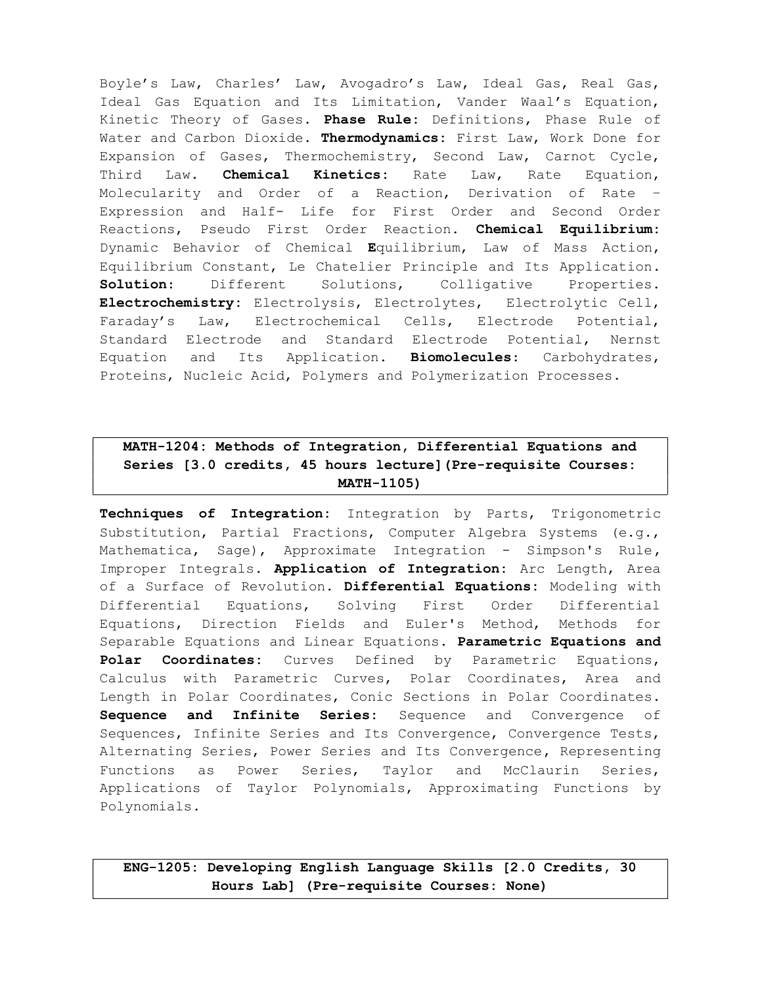Boyle's Law, Charles' Law, Avogadro's Law, Ideal Gas, Real Gas, Ideal Gas Equation and Its Limitation, Vander Waal's Equation, Kinetic Theory of Gases. Phase Rule: Definitions, Phase Rule of Water and Carbon Dioxide. Thermodynamics: First Law, Work Done for Expansion of Gases, Thermochemistry, Second Law, Carnot Cycle, Third Law. **Chemical Kinetics:** Rate Law, Rate Equation, Molecularity and Order of a Reaction, Derivation of Rate – Expression and Half- Life for First Order and Second Order Reactions, Pseudo First Order Reaction. Chemical Equilibrium: Dynamic Behavior of Chemical Equilibrium, Law of Mass Action, Equilibrium Constant, Le Chatelier Principle and Its Application. Solution: Different Solutions, Colligative Properties. Electrochemistry: Electrolysis, Electrolytes, Electrolytic Cell, Faraday's Law, Electrochemical Cells, Electrode Potential, Standard Electrode and Standard Electrode Potential, Nernst Equation and Its Application. **Biomolecules:** Carbohydrates, Proteins, Nucleic Acid, Polymers and Polymerization Processes.

# MATH-1204: Methods of Integration, Differential Equations and Series [3.0 credits, 45 hours lecture](Pre-requisite Courses: MATH-1105)

Techniques of Integration: Integration by Parts, Trigonometric Substitution, Partial Fractions, Computer Algebra Systems (e.g., Mathematica, Sage), Approximate Integration - Simpson's Rule, Improper Integrals. Application of Integration: Arc Length, Area of a Surface of Revolution. Differential Equations: Modeling with Differential Equations, Solving First Order Differential Equations, Direction Fields and Euler's Method, Methods for Separable Equations and Linear Equations. Parametric Equations and Polar Coordinates: Curves Defined by Parametric Equations, Calculus with Parametric Curves, Polar Coordinates, Area and Length in Polar Coordinates, Conic Sections in Polar Coordinates. Sequence and Infinite Series: Sequence and Convergence of Sequences, Infinite Series and Its Convergence, Convergence Tests, Alternating Series, Power Series and Its Convergence, Representing Functions as Power Series, Taylor and McClaurin Series, Applications of Taylor Polynomials, Approximating Functions by Polynomials.

ENG-1205: Developing English Language Skills [2.0 Credits, 30 Hours Lab] (Pre-requisite Courses: None)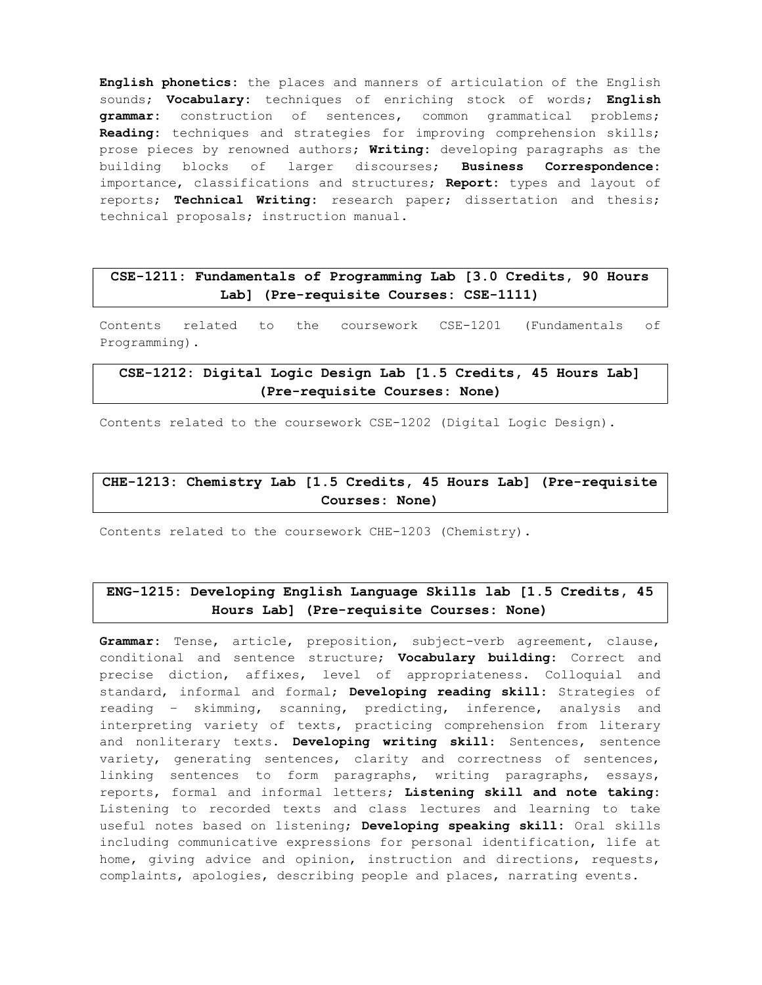English phonetics: the places and manners of articulation of the English sounds; Vocabulary: techniques of enriching stock of words; English grammar: construction of sentences, common grammatical problems; Reading: techniques and strategies for improving comprehension skills; prose pieces by renowned authors; Writing: developing paragraphs as the building blocks of larger discourses; Business Correspondence: importance, classifications and structures; Report: types and layout of reports; Technical Writing: research paper; dissertation and thesis; technical proposals; instruction manual.

### CSE-1211: Fundamentals of Programming Lab [3.0 Credits, 90 Hours Lab] (Pre-requisite Courses: CSE-1111)

Contents related to the coursework CSE-1201 (Fundamentals of Programming).

# CSE-1212: Digital Logic Design Lab [1.5 Credits, 45 Hours Lab] (Pre-requisite Courses: None)

Contents related to the coursework CSE-1202 (Digital Logic Design).

### CHE-1213: Chemistry Lab [1.5 Credits, 45 Hours Lab] (Pre-requisite Courses: None)

Contents related to the coursework CHE-1203 (Chemistry).

## ENG-1215: Developing English Language Skills lab [1.5 Credits, 45 Hours Lab] (Pre-requisite Courses: None)

Grammar: Tense, article, preposition, subject-verb agreement, clause, conditional and sentence structure; **Vocabulary building:** Correct and precise diction, affixes, level of appropriateness. Colloquial and standard, informal and formal; Developing reading skill: Strategies of reading – skimming, scanning, predicting, inference, analysis and interpreting variety of texts, practicing comprehension from literary and nonliterary texts. Developing writing skill: Sentences, sentence variety, generating sentences, clarity and correctness of sentences, linking sentences to form paragraphs, writing paragraphs, essays, reports, formal and informal letters; Listening skill and note taking: Listening to recorded texts and class lectures and learning to take useful notes based on listening; Developing speaking skill: Oral skills including communicative expressions for personal identification, life at home, giving advice and opinion, instruction and directions, requests, complaints, apologies, describing people and places, narrating events.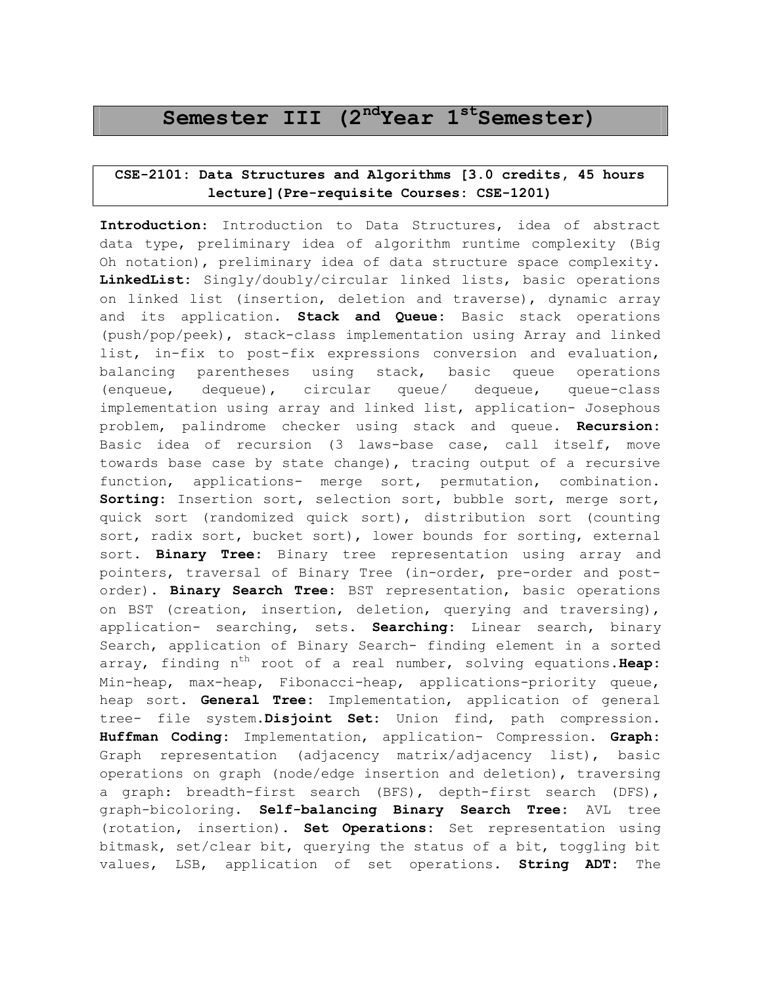# Semester III  $(2^{nd}$ Year  $1^{st}$ Semester)

# CSE-2101: Data Structures and Algorithms [3.0 credits, 45 hours lecture](Pre-requisite Courses: CSE-1201)

Introduction: Introduction to Data Structures, idea of abstract data type, preliminary idea of algorithm runtime complexity (Big Oh notation), preliminary idea of data structure space complexity. LinkedList: Singly/doubly/circular linked lists, basic operations on linked list (insertion, deletion and traverse), dynamic array and its application. Stack and Queue: Basic stack operations (push/pop/peek), stack-class implementation using Array and linked list, in-fix to post-fix expressions conversion and evaluation, balancing parentheses using stack, basic queue operations (enqueue, dequeue), circular queue/ dequeue, queue-class implementation using array and linked list, application- Josephous problem, palindrome checker using stack and queue. Recursion: Basic idea of recursion (3 laws-base case, call itself, move towards base case by state change), tracing output of a recursive function, applications- merge sort, permutation, combination. Sorting: Insertion sort, selection sort, bubble sort, merge sort, quick sort (randomized quick sort), distribution sort (counting sort, radix sort, bucket sort), lower bounds for sorting, external sort. Binary Tree: Binary tree representation using array and pointers, traversal of Binary Tree (in-order, pre-order and postorder). Binary Search Tree: BST representation, basic operations on BST (creation, insertion, deletion, querying and traversing), application- searching, sets. Searching: Linear search, binary Search, application of Binary Search- finding element in a sorted array, finding  $n^{th}$  root of a real number, solving equations. Heap: Min-heap, max-heap, Fibonacci-heap, applications-priority queue, heap sort. General Tree: Implementation, application of general tree- file system. Disjoint Set: Union find, path compression. Huffman Coding: Implementation, application- Compression. Graph: Graph representation (adjacency matrix/adjacency list), basic operations on graph (node/edge insertion and deletion), traversing a graph: breadth-first search (BFS), depth-first search (DFS), graph-bicoloring. Self-balancing Binary Search Tree: AVL tree (rotation, insertion). Set Operations: Set representation using bitmask, set/clear bit, querying the status of a bit, toggling bit values, LSB, application of set operations. String ADT: The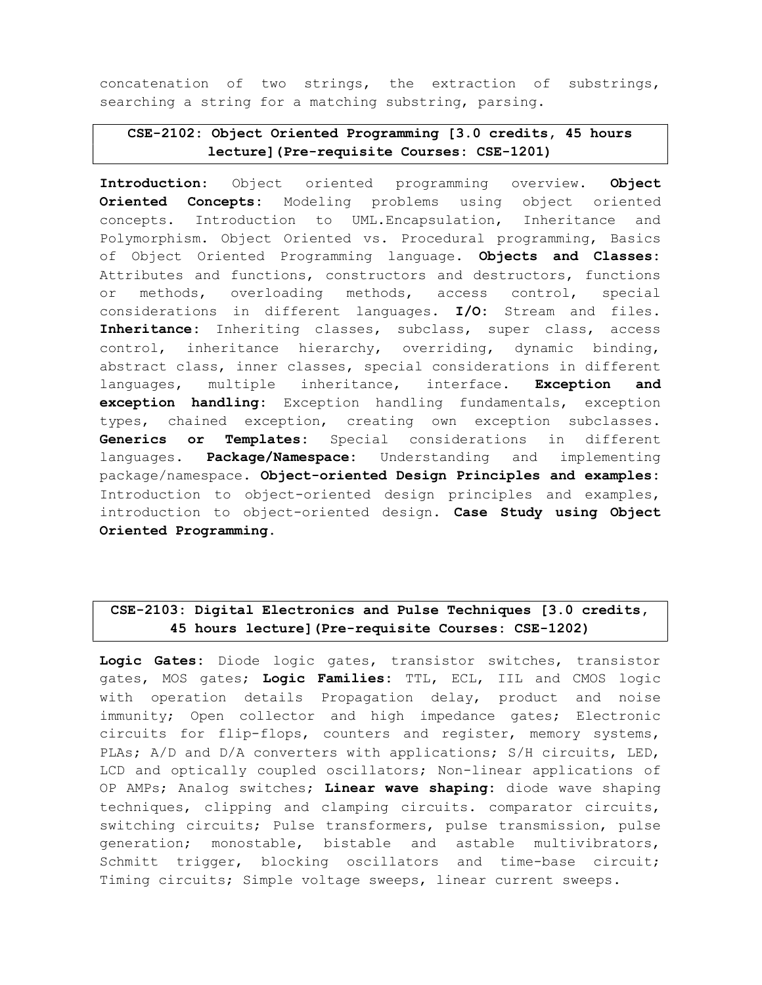concatenation of two strings, the extraction of substrings, searching a string for a matching substring, parsing.

# CSE-2102: Object Oriented Programming [3.0 credits, 45 hours lecture](Pre-requisite Courses: CSE-1201)

Introduction: Object oriented programming overview. Object Oriented Concepts: Modeling problems using object oriented concepts. Introduction to UML.Encapsulation, Inheritance and Polymorphism. Object Oriented vs. Procedural programming, Basics of Object Oriented Programming language. Objects and Classes: Attributes and functions, constructors and destructors, functions or methods, overloading methods, access control, special considerations in different languages. I/O: Stream and files. Inheritance: Inheriting classes, subclass, super class, access control, inheritance hierarchy, overriding, dynamic binding, abstract class, inner classes, special considerations in different languages, multiple inheritance, interface. Exception and exception handling: Exception handling fundamentals, exception types, chained exception, creating own exception subclasses. Generics or Templates: Special considerations in different languages. **Package/Namespace:** Understanding and implementing package/namespace. Object-oriented Design Principles and examples: Introduction to object-oriented design principles and examples, introduction to object-oriented design. Case Study using Object Oriented Programming.

# CSE-2103: Digital Electronics and Pulse Techniques [3.0 credits, 45 hours lecture](Pre-requisite Courses: CSE-1202)

Logic Gates: Diode logic gates, transistor switches, transistor gates, MOS gates; Logic Families: TTL, ECL, IIL and CMOS logic with operation details Propagation delay, product and noise immunity; Open collector and high impedance gates; Electronic circuits for flip-flops, counters and register, memory systems, PLAs; A/D and D/A converters with applications; S/H circuits, LED, LCD and optically coupled oscillators; Non-linear applications of OP AMPs; Analog switches; Linear wave shaping: diode wave shaping techniques, clipping and clamping circuits. comparator circuits, switching circuits; Pulse transformers, pulse transmission, pulse generation; monostable, bistable and astable multivibrators, Schmitt trigger, blocking oscillators and time-base circuit; Timing circuits; Simple voltage sweeps, linear current sweeps.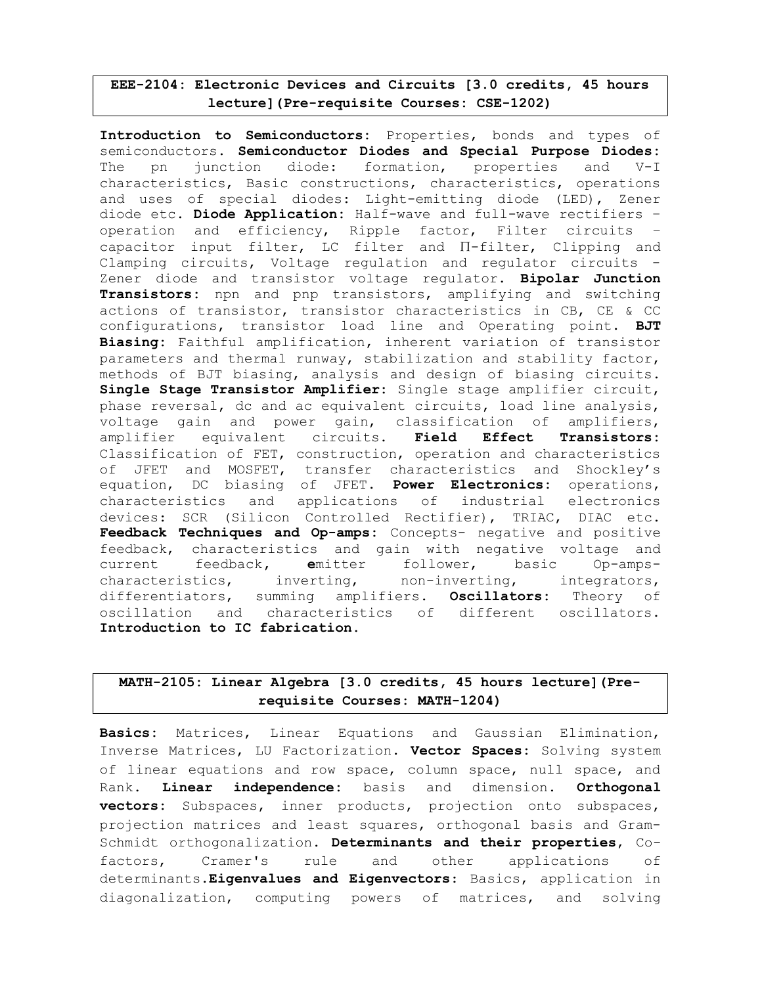### EEE-2104: Electronic Devices and Circuits [3.0 credits, 45 hours lecture](Pre-requisite Courses: CSE-1202)

Introduction to Semiconductors: Properties, bonds and types of semiconductors. Semiconductor Diodes and Special Purpose Diodes: The pn junction diode: formation, properties and V-I characteristics, Basic constructions, characteristics, operations and uses of special diodes: Light-emitting diode (LED), Zener diode etc. Diode Application: Half-wave and full-wave rectifiers operation and efficiency, Ripple factor, Filter circuits – capacitor input filter, LC filter and Π-filter, Clipping and Clamping circuits, Voltage regulation and regulator circuits - Zener diode and transistor voltage regulator. Bipolar Junction Transistors: npn and pnp transistors, amplifying and switching actions of transistor, transistor characteristics in CB, CE & CC configurations, transistor load line and Operating point. BJT Biasing: Faithful amplification, inherent variation of transistor parameters and thermal runway, stabilization and stability factor, methods of BJT biasing, analysis and design of biasing circuits. Single Stage Transistor Amplifier: Single stage amplifier circuit, phase reversal, dc and ac equivalent circuits, load line analysis, voltage gain and power gain, classification of amplifiers, amplifier equivalent circuits. Field Effect Transistors: Classification of FET, construction, operation and characteristics of JFET and MOSFET, transfer characteristics and Shockley's equation, DC biasing of JFET. Power Electronics: operations, characteristics and applications of industrial electronics devices: SCR (Silicon Controlled Rectifier), TRIAC, DIAC etc. Feedback Techniques and Op-amps: Concepts- negative and positive feedback, characteristics and gain with negative voltage and current feedback, emitter follower, basic Op-ampscharacteristics, inverting, non-inverting, integrators, differentiators, summing amplifiers. Oscillators: Theory of oscillation and characteristics of different oscillators. Introduction to IC fabrication.

## MATH-2105: Linear Algebra [3.0 credits, 45 hours lecture](Prerequisite Courses: MATH-1204)

Basics: Matrices, Linear Equations and Gaussian Elimination, Inverse Matrices, LU Factorization. Vector Spaces: Solving system of linear equations and row space, column space, null space, and Rank. Linear independence: basis and dimension. Orthogonal vectors: Subspaces, inner products, projection onto subspaces, projection matrices and least squares, orthogonal basis and Gram-Schmidt orthogonalization. Determinants and their properties, Cofactors, Cramer's rule and other applications of determinants.Eigenvalues and Eigenvectors: Basics, application in diagonalization, computing powers of matrices, and solving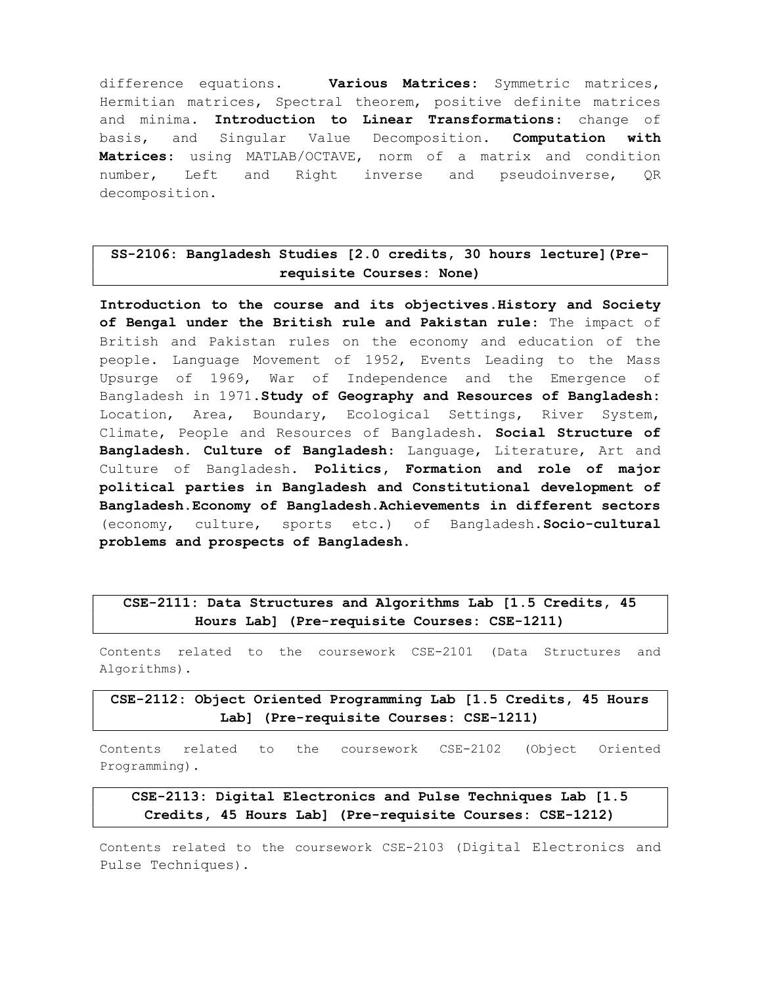difference equations. Various Matrices: Symmetric matrices, Hermitian matrices, Spectral theorem, positive definite matrices and minima. Introduction to Linear Transformations: change of basis, and Singular Value Decomposition. Computation with Matrices: using MATLAB/OCTAVE, norm of a matrix and condition number, Left and Right inverse and pseudoinverse, QR decomposition.

# SS-2106: Bangladesh Studies [2.0 credits, 30 hours lecture](Prerequisite Courses: None)

Introduction to the course and its objectives.History and Society of Bengal under the British rule and Pakistan rule: The impact of British and Pakistan rules on the economy and education of the people. Language Movement of 1952, Events Leading to the Mass Upsurge of 1969, War of Independence and the Emergence of Bangladesh in 1971.Study of Geography and Resources of Bangladesh: Location, Area, Boundary, Ecological Settings, River System, Climate, People and Resources of Bangladesh. Social Structure of Bangladesh. Culture of Bangladesh: Language, Literature, Art and Culture of Bangladesh. Politics, Formation and role of major political parties in Bangladesh and Constitutional development of Bangladesh.Economy of Bangladesh.Achievements in different sectors (economy, culture, sports etc.) of Bangladesh.Socio-cultural problems and prospects of Bangladesh.

### CSE-2111: Data Structures and Algorithms Lab [1.5 Credits, 45 Hours Lab] (Pre-requisite Courses: CSE-1211)

Contents related to the coursework CSE-2101 (Data Structures and Algorithms).

CSE-2112: Object Oriented Programming Lab [1.5 Credits, 45 Hours Lab] (Pre-requisite Courses: CSE-1211)

Contents related to the coursework CSE-2102 (Object Oriented Programming).

### CSE-2113: Digital Electronics and Pulse Techniques Lab [1.5 Credits, 45 Hours Lab] (Pre-requisite Courses: CSE-1212)

Contents related to the coursework CSE-2103 (Digital Electronics and Pulse Techniques).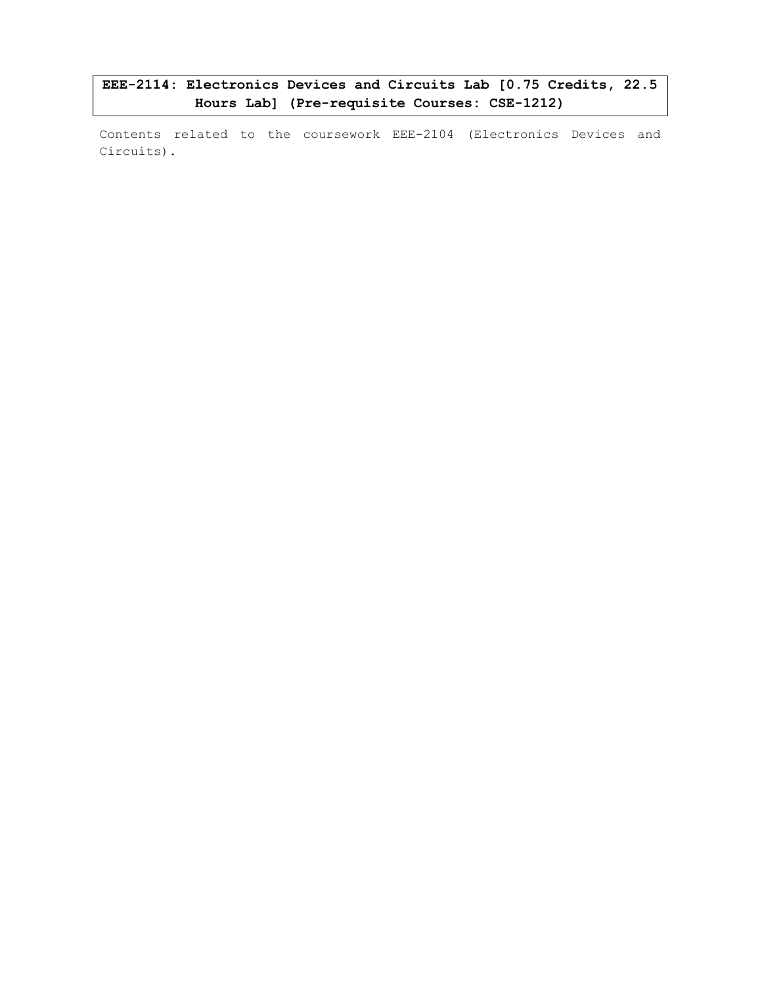EEE-2114: Electronics Devices and Circuits Lab [0.75 Credits, 22.5 Hours Lab] (Pre-requisite Courses: CSE-1212)

Contents related to the coursework EEE-2104 (Electronics Devices and Circuits).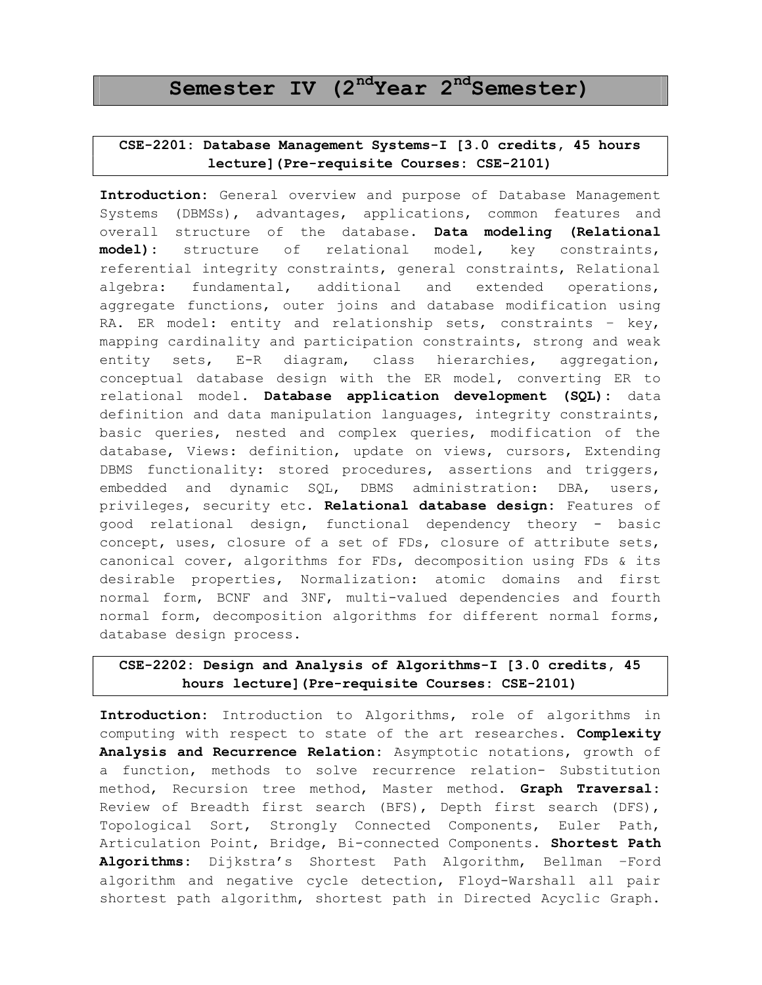# Semester IV  $(2^{nd}$ Year  $2^{nd}$ Semester)

# CSE-2201: Database Management Systems-I [3.0 credits, 45 hours lecture](Pre-requisite Courses: CSE-2101)

Introduction: General overview and purpose of Database Management Systems (DBMSs), advantages, applications, common features and overall structure of the database. Data modeling (Relational model): structure of relational model, key constraints, referential integrity constraints, general constraints, Relational algebra: fundamental, additional and extended operations, aggregate functions, outer joins and database modification using RA. ER model: entity and relationship sets, constraints - key, mapping cardinality and participation constraints, strong and weak entity sets, E-R diagram, class hierarchies, aggregation, conceptual database design with the ER model, converting ER to relational model. Database application development (SQL): data definition and data manipulation languages, integrity constraints, basic queries, nested and complex queries, modification of the database, Views: definition, update on views, cursors, Extending DBMS functionality: stored procedures, assertions and triggers, embedded and dynamic SQL, DBMS administration: DBA, users, privileges, security etc. Relational database design: Features of good relational design, functional dependency theory - basic concept, uses, closure of a set of FDs, closure of attribute sets, canonical cover, algorithms for FDs, decomposition using FDs & its desirable properties, Normalization: atomic domains and first normal form, BCNF and 3NF, multi-valued dependencies and fourth normal form, decomposition algorithms for different normal forms, database design process.

# CSE-2202: Design and Analysis of Algorithms-I [3.0 credits, 45 hours lecture](Pre-requisite Courses: CSE-2101)

Introduction: Introduction to Algorithms, role of algorithms in computing with respect to state of the art researches. Complexity Analysis and Recurrence Relation: Asymptotic notations, growth of a function, methods to solve recurrence relation- Substitution method, Recursion tree method, Master method. Graph Traversal: Review of Breadth first search (BFS), Depth first search (DFS), Topological Sort, Strongly Connected Components, Euler Path, Articulation Point, Bridge, Bi-connected Components. Shortest Path Algorithms: Dijkstra's Shortest Path Algorithm, Bellman -Ford algorithm and negative cycle detection, Floyd-Warshall all pair shortest path algorithm, shortest path in Directed Acyclic Graph.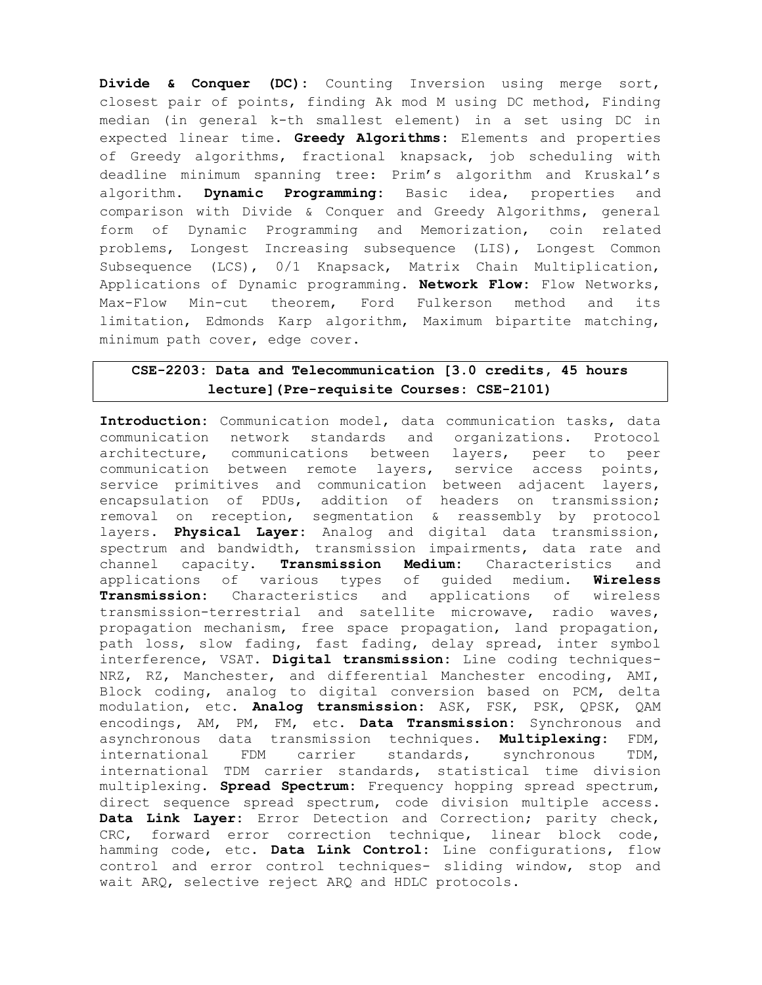Divide & Conquer (DC): Counting Inversion using merge sort, closest pair of points, finding Ak mod M using DC method, Finding median (in general k-th smallest element) in a set using DC in expected linear time. Greedy Algorithms: Elements and properties of Greedy algorithms, fractional knapsack, job scheduling with deadline minimum spanning tree: Prim's algorithm and Kruskal's algorithm. Dynamic Programming: Basic idea, properties and comparison with Divide & Conquer and Greedy Algorithms, general form of Dynamic Programming and Memorization, coin related problems, Longest Increasing subsequence (LIS), Longest Common Subsequence (LCS), 0/1 Knapsack, Matrix Chain Multiplication, Applications of Dynamic programming. Network Flow: Flow Networks, Max-Flow Min-cut theorem, Ford Fulkerson method and its limitation, Edmonds Karp algorithm, Maximum bipartite matching, minimum path cover, edge cover.

# CSE-2203: Data and Telecommunication [3.0 credits, 45 hours lecture](Pre-requisite Courses: CSE-2101)

Introduction: Communication model, data communication tasks, data communication network standards and organizations. Protocol architecture, communications between layers, peer to peer communication between remote layers, service access points, service primitives and communication between adjacent layers, encapsulation of PDUs, addition of headers on transmission; removal on reception, segmentation & reassembly by protocol layers. Physical Layer: Analog and digital data transmission, spectrum and bandwidth, transmission impairments, data rate and channel capacity. Transmission Medium: Characteristics and applications of various types of guided medium. Wireless Transmission: Characteristics and applications of wireless transmission-terrestrial and satellite microwave, radio waves, propagation mechanism, free space propagation, land propagation, path loss, slow fading, fast fading, delay spread, inter symbol interference, VSAT. Digital transmission: Line coding techniques-NRZ, RZ, Manchester, and differential Manchester encoding, AMI, Block coding, analog to digital conversion based on PCM, delta modulation, etc. Analog transmission: ASK, FSK, PSK, QPSK, QAM encodings, AM, PM, FM, etc. Data Transmission: Synchronous and asynchronous data transmission techniques. Multiplexing: FDM, international FDM carrier standards, synchronous TDM, international TDM carrier standards, statistical time division multiplexing. Spread Spectrum: Frequency hopping spread spectrum, direct sequence spread spectrum, code division multiple access. Data Link Layer: Error Detection and Correction; parity check, CRC, forward error correction technique, linear block code, hamming code, etc. Data Link Control: Line configurations, flow control and error control techniques- sliding window, stop and wait ARQ, selective reject ARQ and HDLC protocols.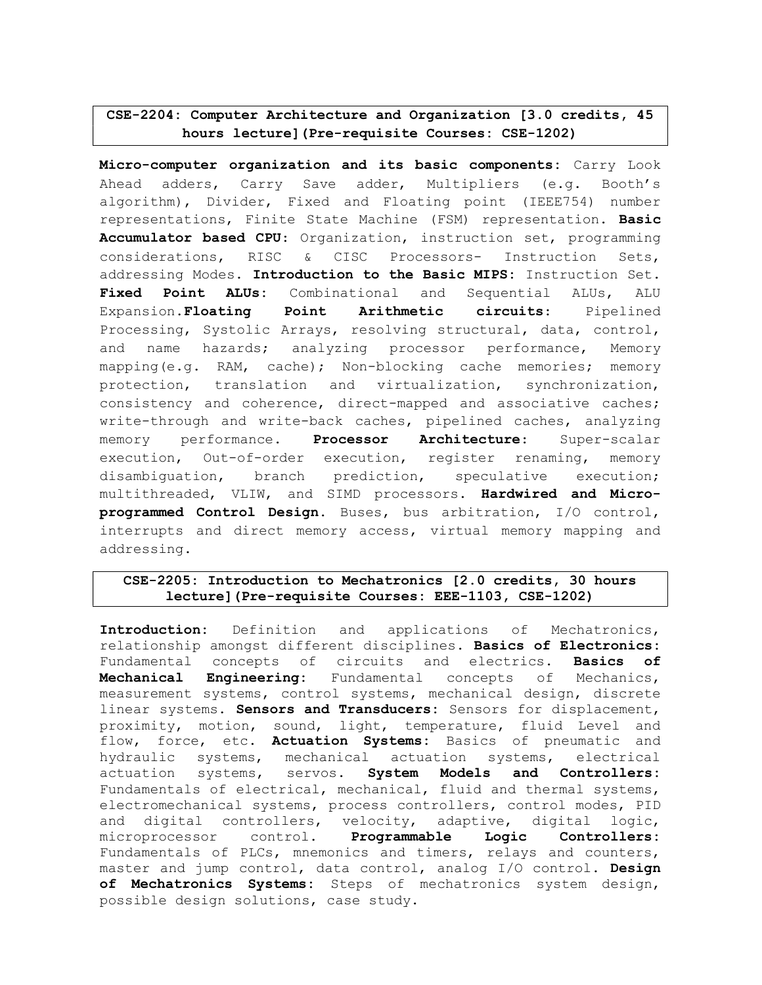# CSE-2204: Computer Architecture and Organization [3.0 credits, 45 hours lecture](Pre-requisite Courses: CSE-1202)

Micro-computer organization and its basic components: Carry Look Ahead adders, Carry Save adder, Multipliers (e.g. Booth's algorithm), Divider, Fixed and Floating point (IEEE754) number representations, Finite State Machine (FSM) representation. Basic Accumulator based CPU: Organization, instruction set, programming considerations, RISC & CISC Processors- Instruction Sets, addressing Modes. Introduction to the Basic MIPS: Instruction Set. Fixed Point ALUs: Combinational and Sequential ALUs, ALU Expansion.Floating Point Arithmetic circuits: Pipelined Processing, Systolic Arrays, resolving structural, data, control, and name hazards; analyzing processor performance, Memory mapping(e.g. RAM, cache); Non-blocking cache memories; memory protection, translation and virtualization, synchronization, consistency and coherence, direct-mapped and associative caches; write-through and write-back caches, pipelined caches, analyzing memory performance. Processor Architecture: Super-scalar execution, Out-of-order execution, register renaming, memory disambiguation, branch prediction, speculative execution; multithreaded, VLIW, and SIMD processors. Hardwired and Microprogrammed Control Design. Buses, bus arbitration, I/O control, interrupts and direct memory access, virtual memory mapping and addressing.

### CSE-2205: Introduction to Mechatronics [2.0 credits, 30 hours lecture](Pre-requisite Courses: EEE-1103, CSE-1202)

Introduction: Definition and applications of Mechatronics, relationship amongst different disciplines. Basics of Electronics: Fundamental concepts of circuits and electrics. Basics of Mechanical Engineering: Fundamental concepts of Mechanics, measurement systems, control systems, mechanical design, discrete linear systems. Sensors and Transducers: Sensors for displacement, proximity, motion, sound, light, temperature, fluid Level and flow, force, etc. Actuation Systems: Basics of pneumatic and hydraulic systems, mechanical actuation systems, electrical actuation systems, servos. System Models and Controllers: Fundamentals of electrical, mechanical, fluid and thermal systems, electromechanical systems, process controllers, control modes, PID and digital controllers, velocity, adaptive, digital logic, microprocessor control. Programmable Logic Controllers: Fundamentals of PLCs, mnemonics and timers, relays and counters, master and jump control, data control, analog I/O control. Design of Mechatronics Systems: Steps of mechatronics system design, possible design solutions, case study.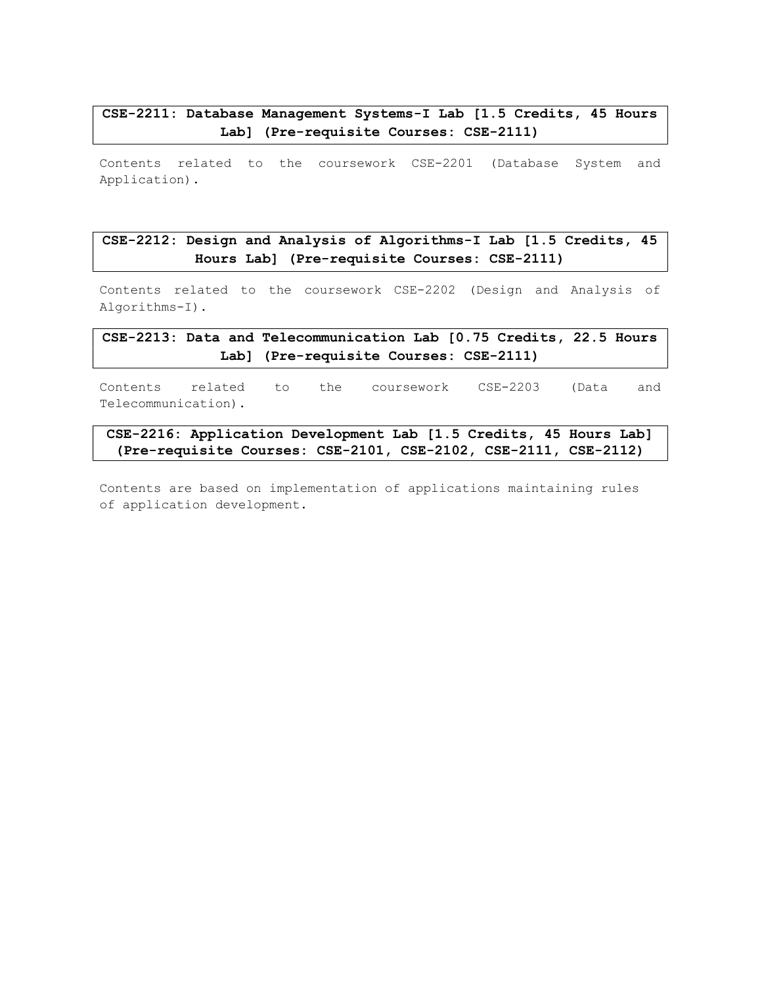### CSE-2211: Database Management Systems-I Lab [1.5 Credits, 45 Hours Lab] (Pre-requisite Courses: CSE-2111)

Contents related to the coursework CSE-2201 (Database System and Application).

# CSE-2212: Design and Analysis of Algorithms-I Lab [1.5 Credits, 45 Hours Lab] (Pre-requisite Courses: CSE-2111)

Contents related to the coursework CSE-2202 (Design and Analysis of Algorithms-I).

CSE-2213: Data and Telecommunication Lab [0.75 Credits, 22.5 Hours Lab] (Pre-requisite Courses: CSE-2111)

Contents related to the coursework CSE-2203 (Data and Telecommunication).

CSE-2216: Application Development Lab [1.5 Credits, 45 Hours Lab] (Pre-requisite Courses: CSE-2101, CSE-2102, CSE-2111, CSE-2112)

Contents are based on implementation of applications maintaining rules of application development.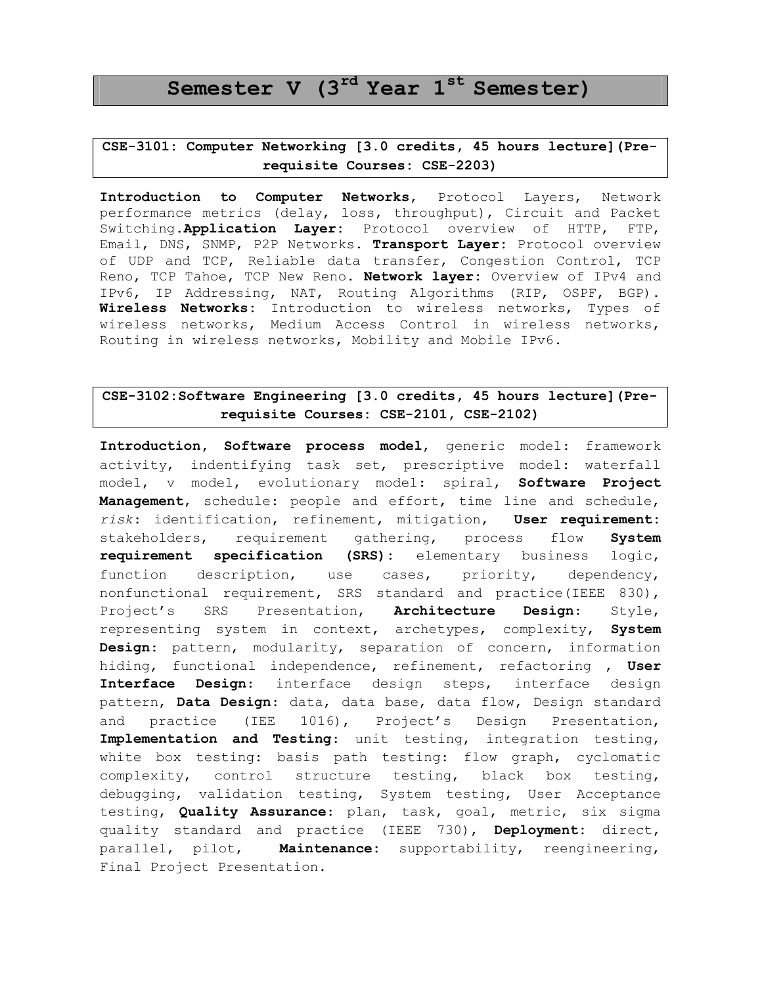# Semester V (3<sup>rd</sup> Year 1<sup>st</sup> Semester)

## CSE-3101: Computer Networking [3.0 credits, 45 hours lecture](Prerequisite Courses: CSE-2203)

Introduction to Computer Networks, Protocol Layers, Network performance metrics (delay, loss, throughput), Circuit and Packet Switching.Application Layer: Protocol overview of HTTP, FTP, Email, DNS, SNMP, P2P Networks. Transport Layer: Protocol overview of UDP and TCP, Reliable data transfer, Congestion Control, TCP Reno, TCP Tahoe, TCP New Reno. Network layer: Overview of IPv4 and IPv6, IP Addressing, NAT, Routing Algorithms (RIP, OSPF, BGP). Wireless Networks: Introduction to wireless networks, Types of wireless networks, Medium Access Control in wireless networks, Routing in wireless networks, Mobility and Mobile IPv6.

### CSE-3102:Software Engineering [3.0 credits, 45 hours lecture](Prerequisite Courses: CSE-2101, CSE-2102)

Introduction, Software process model, generic model: framework activity, indentifying task set, prescriptive model: waterfall model, v model, evolutionary model: spiral, Software Project Management, schedule: people and effort, time line and schedule, risk: identification, refinement, mitigation, User requirement: stakeholders, requirement gathering, process flow System requirement specification (SRS): elementary business logic, function description, use cases, priority, dependency, nonfunctional requirement, SRS standard and practice(IEEE 830), Project's SRS Presentation, Architecture Design: Style, representing system in context, archetypes, complexity, System Design: pattern, modularity, separation of concern, information hiding, functional independence, refinement, refactoring , User Interface Design: interface design steps, interface design pattern, Data Design: data, data base, data flow, Design standard and practice (IEE 1016), Project's Design Presentation, Implementation and Testing: unit testing, integration testing, white box testing: basis path testing: flow graph, cyclomatic complexity, control structure testing, black box testing, debugging, validation testing, System testing, User Acceptance testing, Quality Assurance: plan, task, goal, metric, six sigma quality standard and practice (IEEE 730), Deployment: direct, parallel, pilot, Maintenance: supportability, reengineering, Final Project Presentation.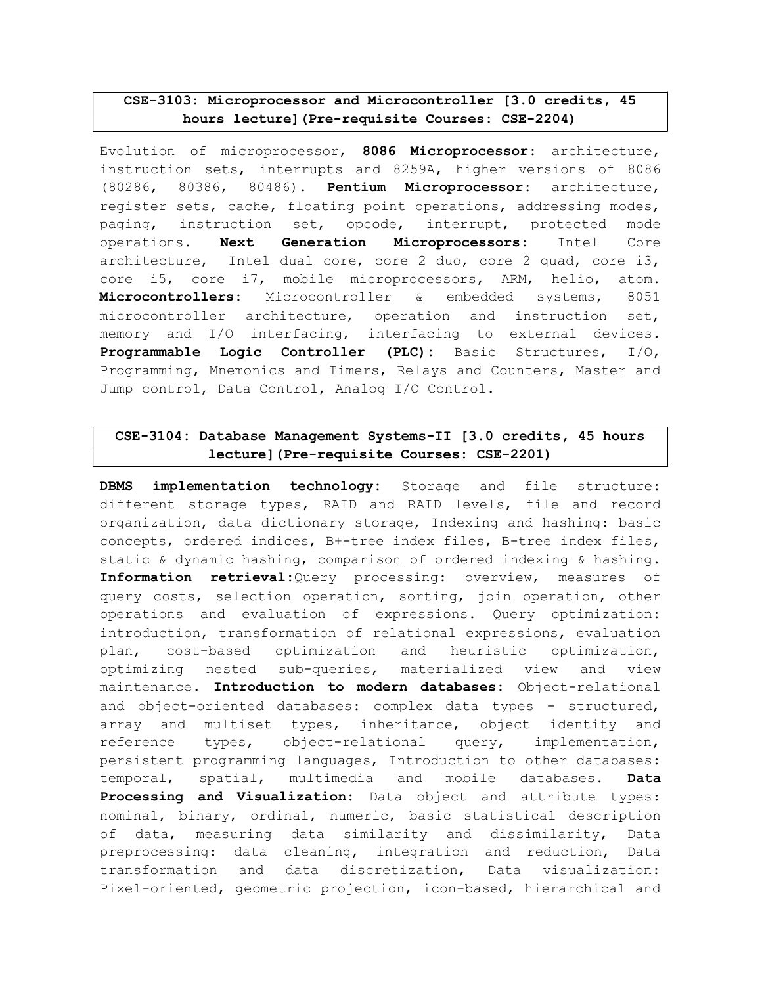### CSE-3103: Microprocessor and Microcontroller [3.0 credits, 45 hours lecture](Pre-requisite Courses: CSE-2204)

Evolution of microprocessor, 8086 Microprocessor: architecture, instruction sets, interrupts and 8259A, higher versions of 8086 (80286, 80386, 80486). Pentium Microprocessor: architecture, register sets, cache, floating point operations, addressing modes, paging, instruction set, opcode, interrupt, protected mode operations. Next Generation Microprocessors: Intel Core architecture, Intel dual core, core 2 duo, core 2 quad, core i3, core i5, core i7, mobile microprocessors, ARM, helio, atom. Microcontrollers: Microcontroller & embedded systems, 8051 microcontroller architecture, operation and instruction set, memory and I/O interfacing, interfacing to external devices. Programmable Logic Controller (PLC): Basic Structures, I/O, Programming, Mnemonics and Timers, Relays and Counters, Master and Jump control, Data Control, Analog I/O Control.

# CSE-3104: Database Management Systems-II [3.0 credits, 45 hours lecture](Pre-requisite Courses: CSE-2201)

DBMS implementation technology: Storage and file structure: different storage types, RAID and RAID levels, file and record organization, data dictionary storage, Indexing and hashing: basic concepts, ordered indices, B+-tree index files, B-tree index files, static & dynamic hashing, comparison of ordered indexing & hashing. Information retrieval:Query processing: overview, measures of query costs, selection operation, sorting, join operation, other operations and evaluation of expressions. Query optimization: introduction, transformation of relational expressions, evaluation plan, cost-based optimization and heuristic optimization, optimizing nested sub-queries, materialized view and view maintenance. Introduction to modern databases: Object-relational and object-oriented databases: complex data types - structured, array and multiset types, inheritance, object identity and reference types, object-relational query, implementation, persistent programming languages, Introduction to other databases: temporal, spatial, multimedia and mobile databases. Data Processing and Visualization: Data object and attribute types: nominal, binary, ordinal, numeric, basic statistical description of data, measuring data similarity and dissimilarity, Data preprocessing: data cleaning, integration and reduction, Data transformation and data discretization, Data visualization: Pixel-oriented, geometric projection, icon-based, hierarchical and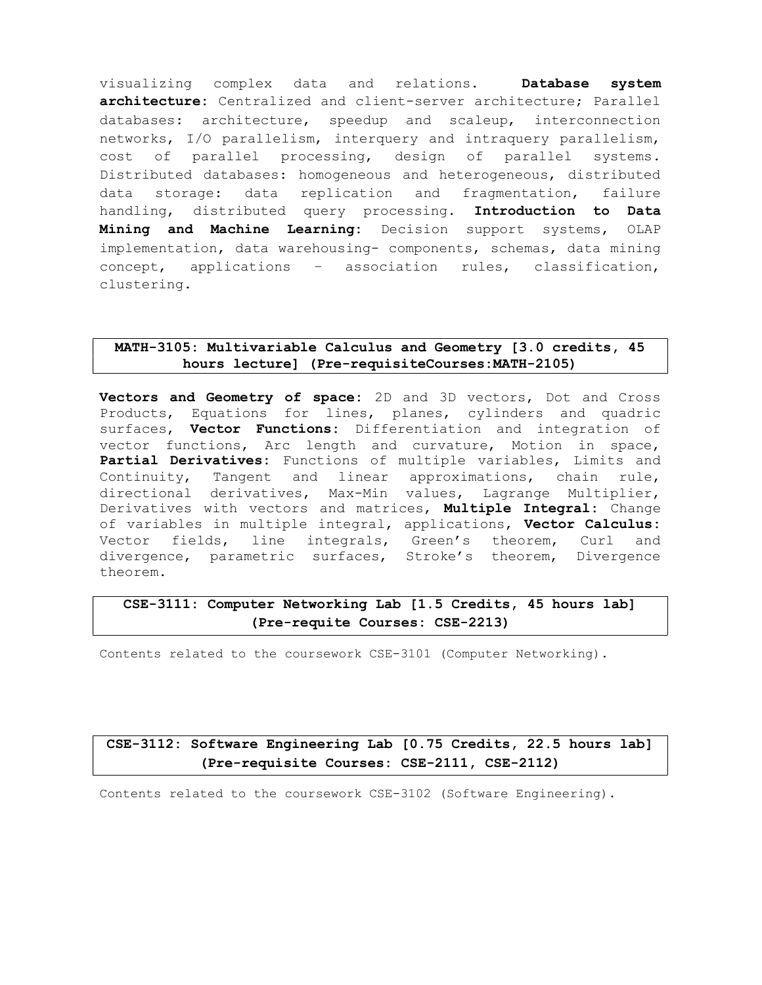visualizing complex data and relations. Database system architecture: Centralized and client-server architecture; Parallel databases: architecture, speedup and scaleup, interconnection networks, I/O parallelism, interquery and intraquery parallelism, cost of parallel processing, design of parallel systems. Distributed databases: homogeneous and heterogeneous, distributed data storage: data replication and fragmentation, failure handling, distributed query processing. Introduction to Data Mining and Machine Learning: Decision support systems, OLAP implementation, data warehousing- components, schemas, data mining concept, applications – association rules, classification, clustering.

### MATH-3105: Multivariable Calculus and Geometry [3.0 credits, 45 hours lecture] (Pre-requisiteCourses:MATH-2105)

Vectors and Geometry of space: 2D and 3D vectors, Dot and Cross Products, Equations for lines, planes, cylinders and quadric surfaces, Vector Functions: Differentiation and integration of vector functions, Arc length and curvature, Motion in space, Partial Derivatives: Functions of multiple variables, Limits and Continuity, Tangent and linear approximations, chain rule, directional derivatives, Max-Min values, Lagrange Multiplier, Derivatives with vectors and matrices, Multiple Integral: Change of variables in multiple integral, applications, Vector Calculus: Vector fields, line integrals, Green's theorem, Curl and divergence, parametric surfaces, Stroke's theorem, Divergence theorem.

# CSE-3111: Computer Networking Lab [1.5 Credits, 45 hours lab] (Pre-requite Courses: CSE-2213)

Contents related to the coursework CSE-3101 (Computer Networking).

# CSE-3112: Software Engineering Lab [0.75 Credits, 22.5 hours lab] (Pre-requisite Courses: CSE-2111, CSE-2112)

Contents related to the coursework CSE-3102 (Software Engineering).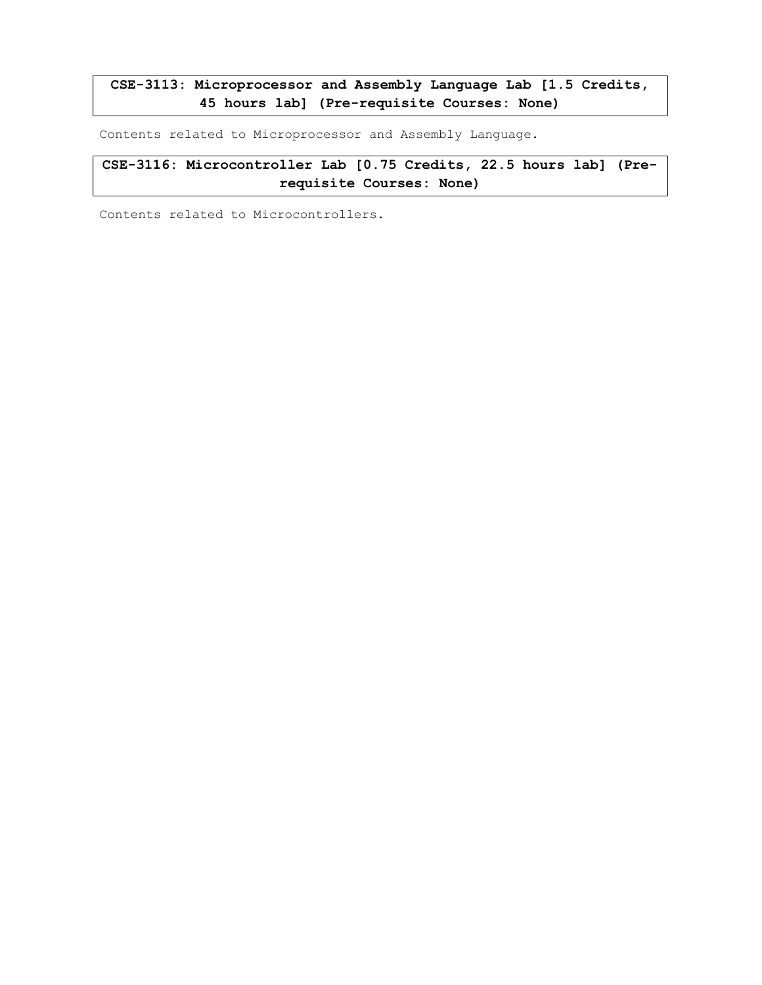# CSE-3113: Microprocessor and Assembly Language Lab [1.5 Credits, 45 hours lab] (Pre-requisite Courses: None)

Contents related to Microprocessor and Assembly Language.

CSE-3116: Microcontroller Lab [0.75 Credits, 22.5 hours lab] (Prerequisite Courses: None)

Contents related to Microcontrollers.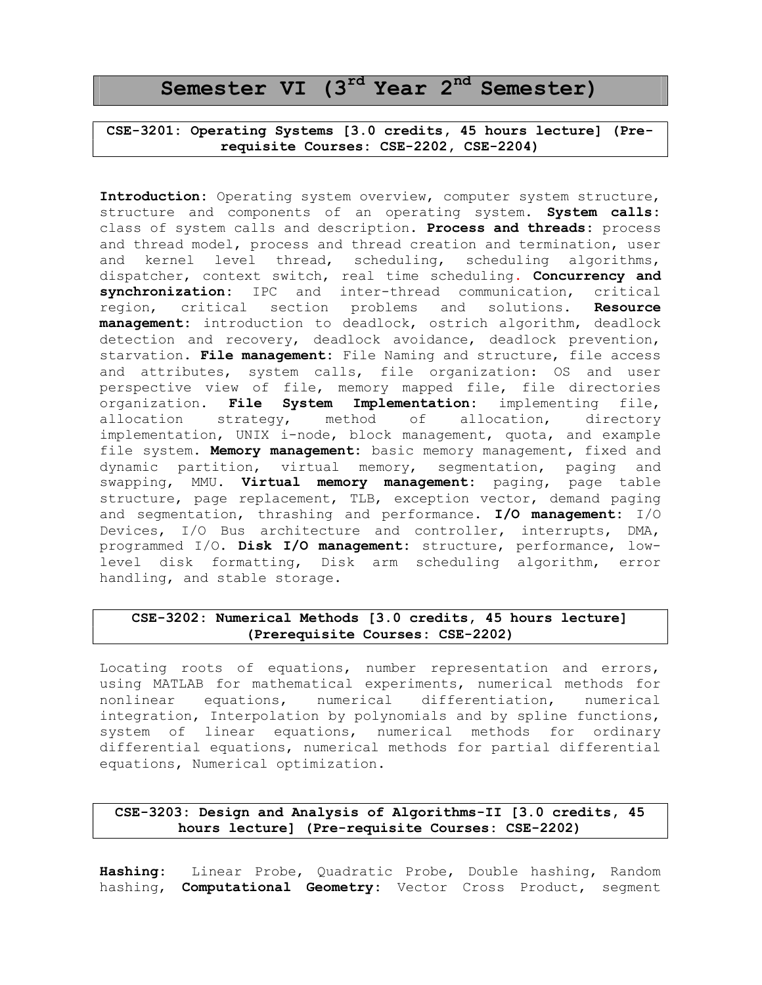# Semester VI (3<sup>rd</sup> Year 2<sup>nd</sup> Semester)

CSE-3201: Operating Systems [3.0 credits, 45 hours lecture] (Prerequisite Courses: CSE-2202, CSE-2204)

Introduction: Operating system overview, computer system structure, structure and components of an operating system. System calls: class of system calls and description. Process and threads: process and thread model, process and thread creation and termination, user and kernel level thread, scheduling, scheduling algorithms, dispatcher, context switch, real time scheduling. Concurrency and synchronization: IPC and inter-thread communication, critical region, critical section problems and solutions. Resource management: introduction to deadlock, ostrich algorithm, deadlock detection and recovery, deadlock avoidance, deadlock prevention, starvation. File management: File Naming and structure, file access and attributes, system calls, file organization: OS and user perspective view of file, memory mapped file, file directories organization. File System Implementation: implementing file, allocation strategy, method of allocation, directory implementation, UNIX i-node, block management, quota, and example file system. Memory management: basic memory management, fixed and dynamic partition, virtual memory, segmentation, paging and swapping, MMU. Virtual memory management: paging, page table structure, page replacement, TLB, exception vector, demand paging and segmentation, thrashing and performance.  $I/O$  management:  $I/O$ Devices, I/O Bus architecture and controller, interrupts, DMA, programmed I/O. Disk I/O management: structure, performance, lowlevel disk formatting, Disk arm scheduling algorithm, error handling, and stable storage.

### CSE-3202: Numerical Methods [3.0 credits, 45 hours lecture] (Prerequisite Courses: CSE-2202)

Locating roots of equations, number representation and errors, using MATLAB for mathematical experiments, numerical methods for nonlinear equations, numerical differentiation, numerical integration, Interpolation by polynomials and by spline functions, system of linear equations, numerical methods for ordinary differential equations, numerical methods for partial differential equations, Numerical optimization.

### CSE-3203: Design and Analysis of Algorithms-II [3.0 credits, 45 hours lecture] (Pre-requisite Courses: CSE-2202)

Hashing: Linear Probe, Quadratic Probe, Double hashing, Random hashing, Computational Geometry: Vector Cross Product, segment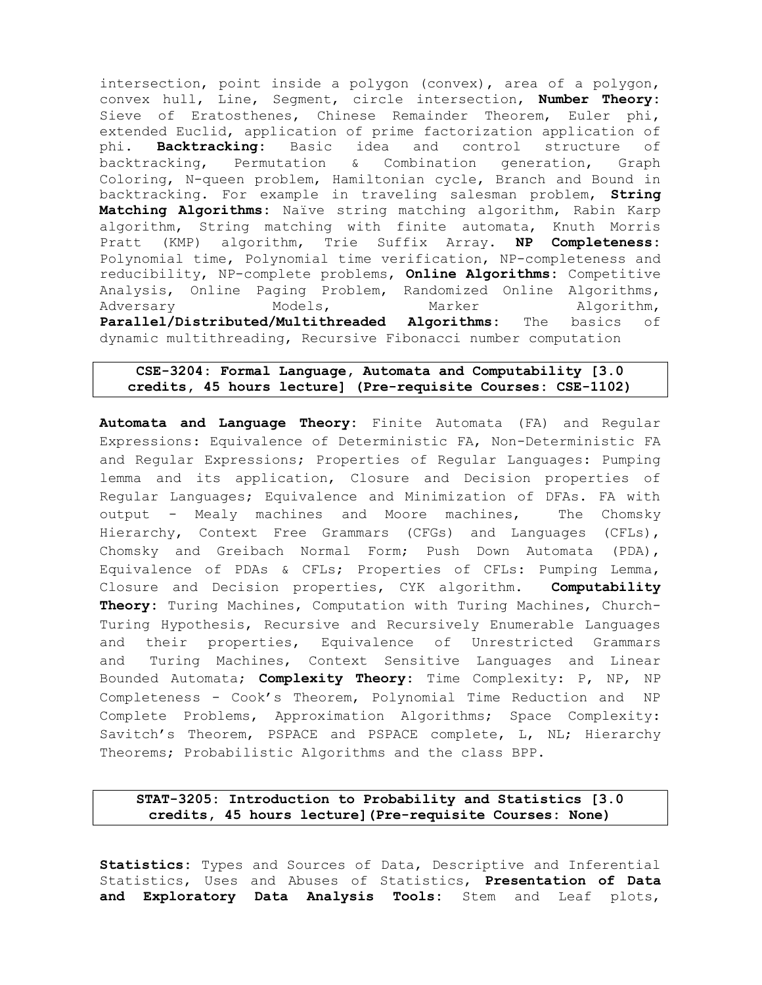intersection, point inside a polygon (convex), area of a polygon, convex hull, Line, Segment, circle intersection, Number Theory: Sieve of Eratosthenes, Chinese Remainder Theorem, Euler phi, extended Euclid, application of prime factorization application of phi. Backtracking: Basic idea and control structure of backtracking, Permutation & Combination generation, Graph Coloring, N-queen problem, Hamiltonian cycle, Branch and Bound in backtracking. For example in traveling salesman problem, String Matching Algorithms: Naïve string matching algorithm, Rabin Karp algorithm, String matching with finite automata, Knuth Morris Pratt (KMP) algorithm, Trie Suffix Array. NP Completeness: Polynomial time, Polynomial time verification, NP-completeness and reducibility, NP-complete problems, Online Algorithms: Competitive Analysis, Online Paging Problem, Randomized Online Algorithms, Adversary Models, Marker Algorithm, Parallel/Distributed/Multithreaded Algorithms: The basics of dynamic multithreading, Recursive Fibonacci number computation

### CSE-3204: Formal Language, Automata and Computability [3.0 credits, 45 hours lecture] (Pre-requisite Courses: CSE-1102)

Automata and Language Theory: Finite Automata (FA) and Regular Expressions: Equivalence of Deterministic FA, Non-Deterministic FA and Regular Expressions; Properties of Regular Languages: Pumping lemma and its application, Closure and Decision properties of Regular Languages; Equivalence and Minimization of DFAs. FA with output - Mealy machines and Moore machines, The Chomsky Hierarchy, Context Free Grammars (CFGs) and Languages (CFLs), Chomsky and Greibach Normal Form; Push Down Automata (PDA), Equivalence of PDAs & CFLs; Properties of CFLs: Pumping Lemma, Closure and Decision properties, CYK algorithm. Computability Theory: Turing Machines, Computation with Turing Machines, Church-Turing Hypothesis, Recursive and Recursively Enumerable Languages and their properties, Equivalence of Unrestricted Grammars and Turing Machines, Context Sensitive Languages and Linear Bounded Automata; Complexity Theory: Time Complexity: P, NP, NP Completeness - Cook's Theorem, Polynomial Time Reduction and NP Complete Problems, Approximation Algorithms; Space Complexity: Savitch's Theorem, PSPACE and PSPACE complete, L, NL; Hierarchy Theorems; Probabilistic Algorithms and the class BPP.

### STAT-3205: Introduction to Probability and Statistics [3.0 credits, 45 hours lecture](Pre-requisite Courses: None)

Statistics: Types and Sources of Data, Descriptive and Inferential Statistics, Uses and Abuses of Statistics, Presentation of Data and Exploratory Data Analysis Tools: Stem and Leaf plots,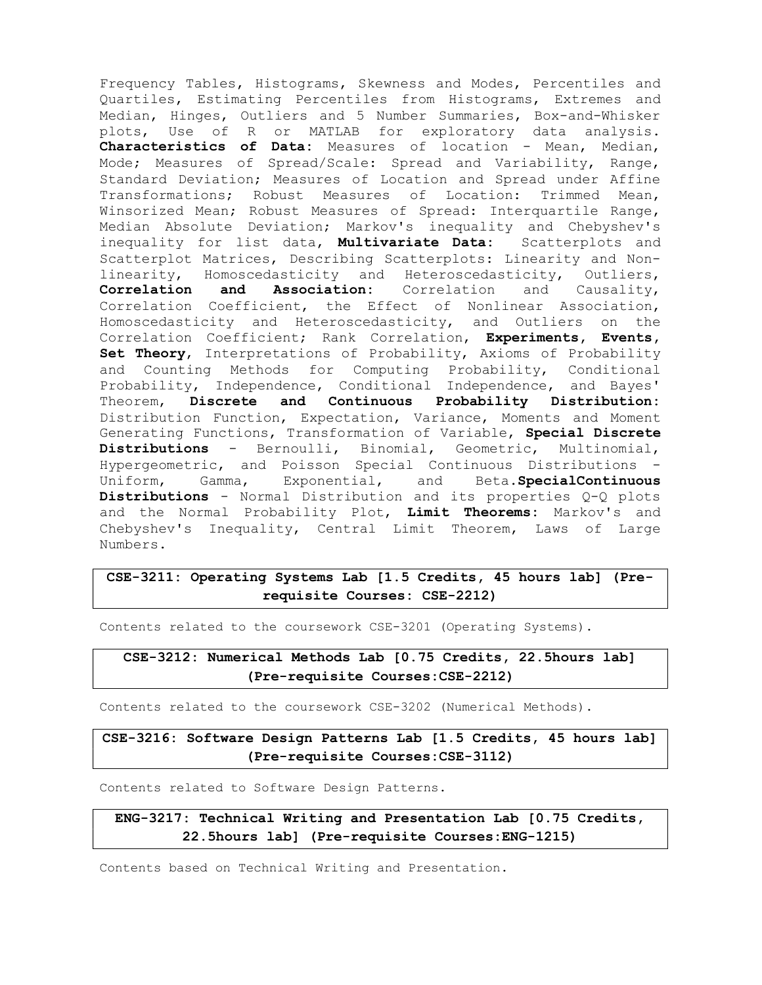Frequency Tables, Histograms, Skewness and Modes, Percentiles and Quartiles, Estimating Percentiles from Histograms, Extremes and Median, Hinges, Outliers and 5 Number Summaries, Box-and-Whisker plots, Use of R or MATLAB for exploratory data analysis. Characteristics of Data: Measures of location - Mean, Median, Mode; Measures of Spread/Scale: Spread and Variability, Range, Standard Deviation; Measures of Location and Spread under Affine Transformations; Robust Measures of Location: Trimmed Mean, Winsorized Mean; Robust Measures of Spread: Interquartile Range, Median Absolute Deviation; Markov's inequality and Chebyshev's inequality for list data, Multivariate Data: Scatterplots and Scatterplot Matrices, Describing Scatterplots: Linearity and Nonlinearity, Homoscedasticity and Heteroscedasticity, Outliers, Correlation and Association: Correlation and Causality, Correlation Coefficient, the Effect of Nonlinear Association, Homoscedasticity and Heteroscedasticity, and Outliers on the Correlation Coefficient; Rank Correlation, Experiments, Events, Set Theory, Interpretations of Probability, Axioms of Probability and Counting Methods for Computing Probability, Conditional Probability, Independence, Conditional Independence, and Bayes' Theorem, Discrete and Continuous Probability Distribution: Distribution Function, Expectation, Variance, Moments and Moment Generating Functions, Transformation of Variable, Special Discrete Distributions - Bernoulli, Binomial, Geometric, Multinomial, Hypergeometric, and Poisson Special Continuous Distributions - Uniform, Gamma, Exponential, and Beta.SpecialContinuous Distributions - Normal Distribution and its properties Q-Q plots and the Normal Probability Plot, Limit Theorems: Markov's and Chebyshev's Inequality, Central Limit Theorem, Laws of Large Numbers.

# CSE-3211: Operating Systems Lab [1.5 Credits, 45 hours lab] (Prerequisite Courses: CSE-2212)

Contents related to the coursework CSE-3201 (Operating Systems).

CSE-3212: Numerical Methods Lab [0.75 Credits, 22.5hours lab] (Pre-requisite Courses:CSE-2212)

Contents related to the coursework CSE-3202 (Numerical Methods).

CSE-3216: Software Design Patterns Lab [1.5 Credits, 45 hours lab] (Pre-requisite Courses:CSE-3112)

Contents related to Software Design Patterns.

ENG-3217: Technical Writing and Presentation Lab [0.75 Credits, 22.5hours lab] (Pre-requisite Courses:ENG-1215)

Contents based on Technical Writing and Presentation.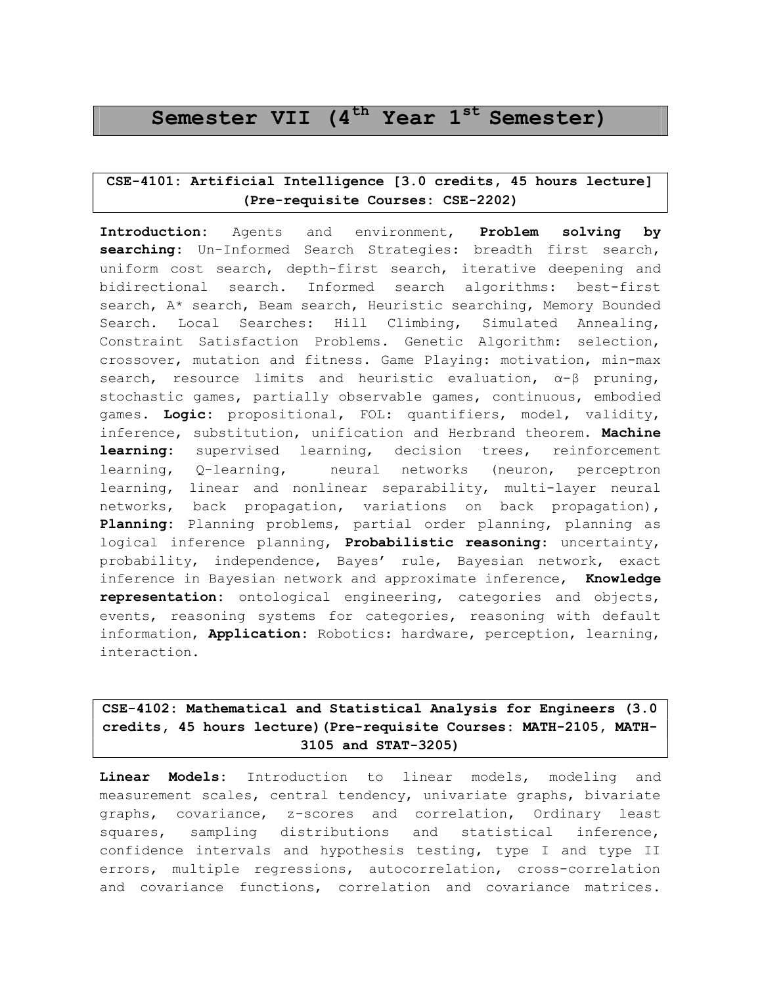# Semester VII  $(4<sup>th</sup>$  Year  $1<sup>st</sup>$  Semester)

### CSE-4101: Artificial Intelligence [3.0 credits, 45 hours lecture] (Pre-requisite Courses: CSE-2202)

Introduction: Agents and environment, Problem solving by searching: Un-Informed Search Strategies: breadth first search, uniform cost search, depth-first search, iterative deepening and bidirectional search. Informed search algorithms: best-first search, A\* search, Beam search, Heuristic searching, Memory Bounded Search. Local Searches: Hill Climbing, Simulated Annealing, Constraint Satisfaction Problems. Genetic Algorithm: selection, crossover, mutation and fitness. Game Playing: motivation, min-max search, resource limits and heuristic evaluation,  $\alpha - \beta$  pruning, stochastic games, partially observable games, continuous, embodied games. Logic: propositional, FOL: quantifiers, model, validity, inference, substitution, unification and Herbrand theorem. Machine learning: supervised learning, decision trees, reinforcement learning, Q-learning, neural networks (neuron, perceptron learning, linear and nonlinear separability, multi-layer neural networks, back propagation, variations on back propagation), Planning: Planning problems, partial order planning, planning as logical inference planning, Probabilistic reasoning: uncertainty, probability, independence, Bayes' rule, Bayesian network, exact inference in Bayesian network and approximate inference, Knowledge representation: ontological engineering, categories and objects, events, reasoning systems for categories, reasoning with default information, Application: Robotics: hardware, perception, learning, interaction.

# CSE-4102: Mathematical and Statistical Analysis for Engineers (3.0 credits, 45 hours lecture)(Pre-requisite Courses: MATH-2105, MATH-3105 and STAT-3205)

Linear Models: Introduction to linear models, modeling and measurement scales, central tendency, univariate graphs, bivariate graphs, covariance, z-scores and correlation, Ordinary least squares, sampling distributions and statistical inference, confidence intervals and hypothesis testing, type I and type II errors, multiple regressions, autocorrelation, cross-correlation and covariance functions, correlation and covariance matrices.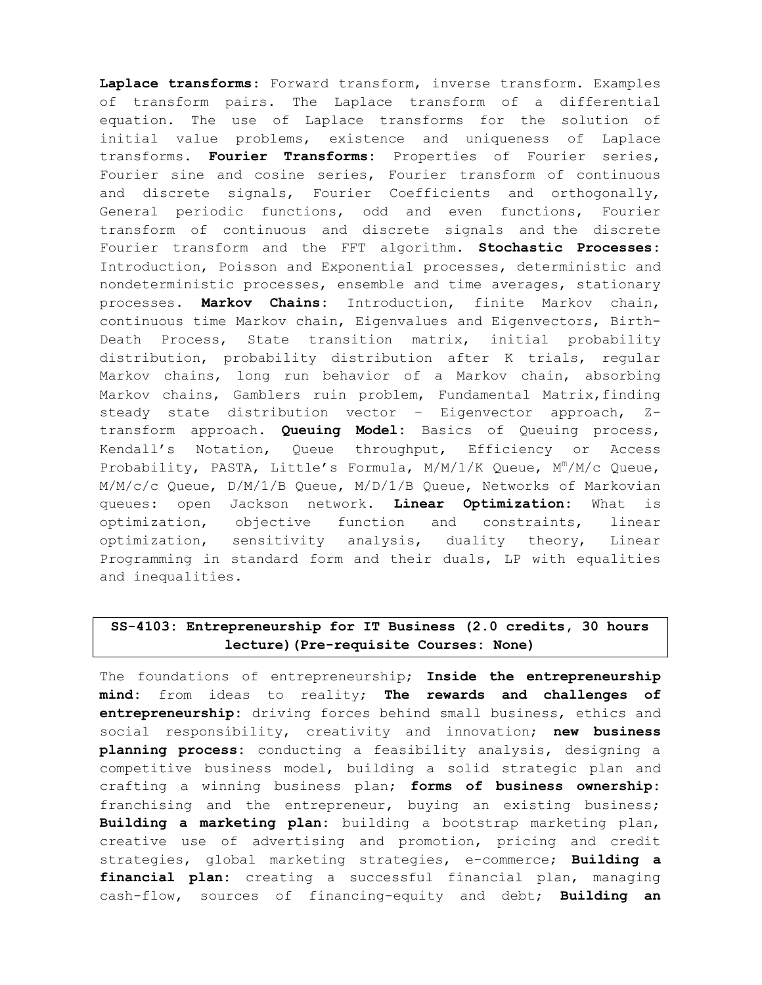Laplace transforms: Forward transform, inverse transform. Examples of transform pairs. The Laplace transform of a differential equation. The use of Laplace transforms for the solution of initial value problems, existence and uniqueness of Laplace transforms. Fourier Transforms: Properties of Fourier series, Fourier sine and cosine series, Fourier transform of continuous and discrete signals, Fourier Coefficients and orthogonally, General periodic functions, odd and even functions, Fourier transform of continuous and discrete signals and the discrete Fourier transform and the FFT algorithm. Stochastic Processes: Introduction, Poisson and Exponential processes, deterministic and nondeterministic processes, ensemble and time averages, stationary processes. Markov Chains: Introduction, finite Markov chain, continuous time Markov chain, Eigenvalues and Eigenvectors, Birth-Death Process, State transition matrix, initial probability distribution, probability distribution after K trials, regular Markov chains, long run behavior of a Markov chain, absorbing Markov chains, Gamblers ruin problem, Fundamental Matrix, finding steady state distribution vector – Eigenvector approach, Ztransform approach. Queuing Model: Basics of Queuing process, Kendall's Notation, Queue throughput, Efficiency or Access Probability, PASTA, Little's Formula,  $M/M/1/K$  Queue,  $M^m/M/c$  Queue, M/M/c/c Queue, D/M/1/B Queue, M/D/1/B Queue, Networks of Markovian queues: open Jackson network. Linear Optimization: What is optimization, objective function and constraints, linear optimization, sensitivity analysis, duality theory, Linear Programming in standard form and their duals, LP with equalities and inequalities.

# SS-4103: Entrepreneurship for IT Business (2.0 credits, 30 hours lecture)(Pre-requisite Courses: None)

The foundations of entrepreneurship; Inside the entrepreneurship mind: from ideas to reality; The rewards and challenges of entrepreneurship: driving forces behind small business, ethics and social responsibility, creativity and innovation; new business planning process: conducting a feasibility analysis, designing a competitive business model, building a solid strategic plan and crafting a winning business plan; forms of business ownership: franchising and the entrepreneur, buying an existing business; Building a marketing plan: building a bootstrap marketing plan, creative use of advertising and promotion, pricing and credit strategies, global marketing strategies, e-commerce; Building a financial plan: creating a successful financial plan, managing cash-flow, sources of financing-equity and debt; Building an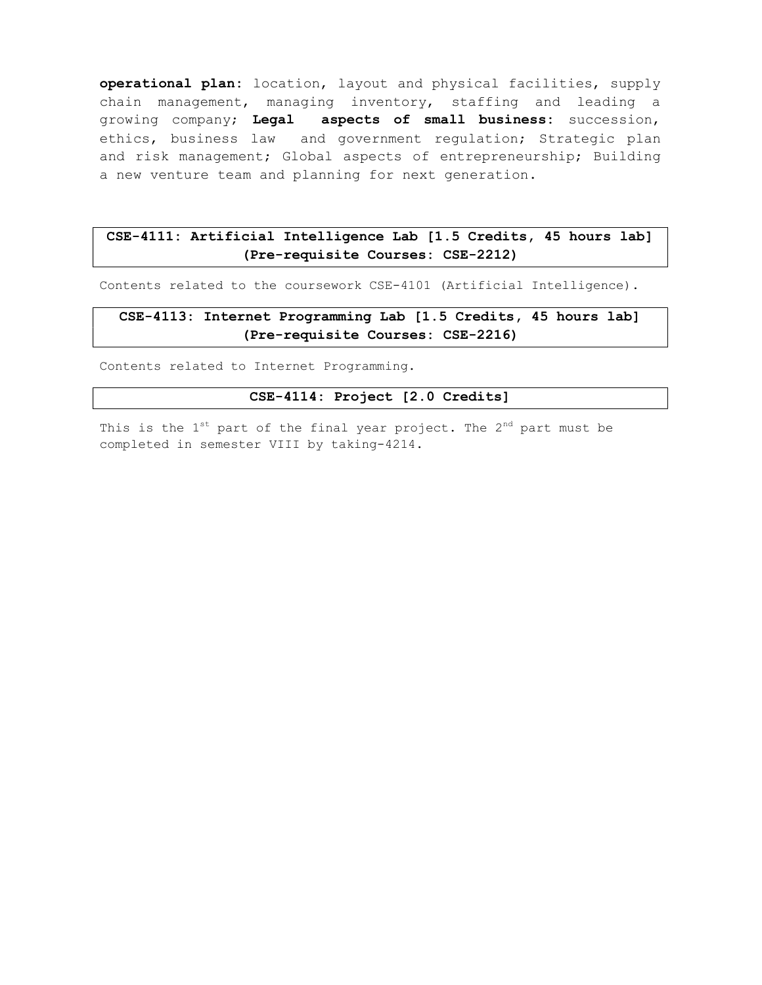operational plan: location, layout and physical facilities, supply chain management, managing inventory, staffing and leading a growing company; Legal aspects of small business: succession, ethics, business law and government regulation; Strategic plan and risk management; Global aspects of entrepreneurship; Building a new venture team and planning for next generation.

### CSE-4111: Artificial Intelligence Lab [1.5 Credits, 45 hours lab] (Pre-requisite Courses: CSE-2212)

Contents related to the coursework CSE-4101 (Artificial Intelligence).

## CSE-4113: Internet Programming Lab [1.5 Credits, 45 hours lab] (Pre-requisite Courses: CSE-2216)

Contents related to Internet Programming.

#### CSE-4114: Project [2.0 Credits]

This is the  $1^{st}$  part of the final year project. The  $2^{nd}$  part must be completed in semester VIII by taking-4214.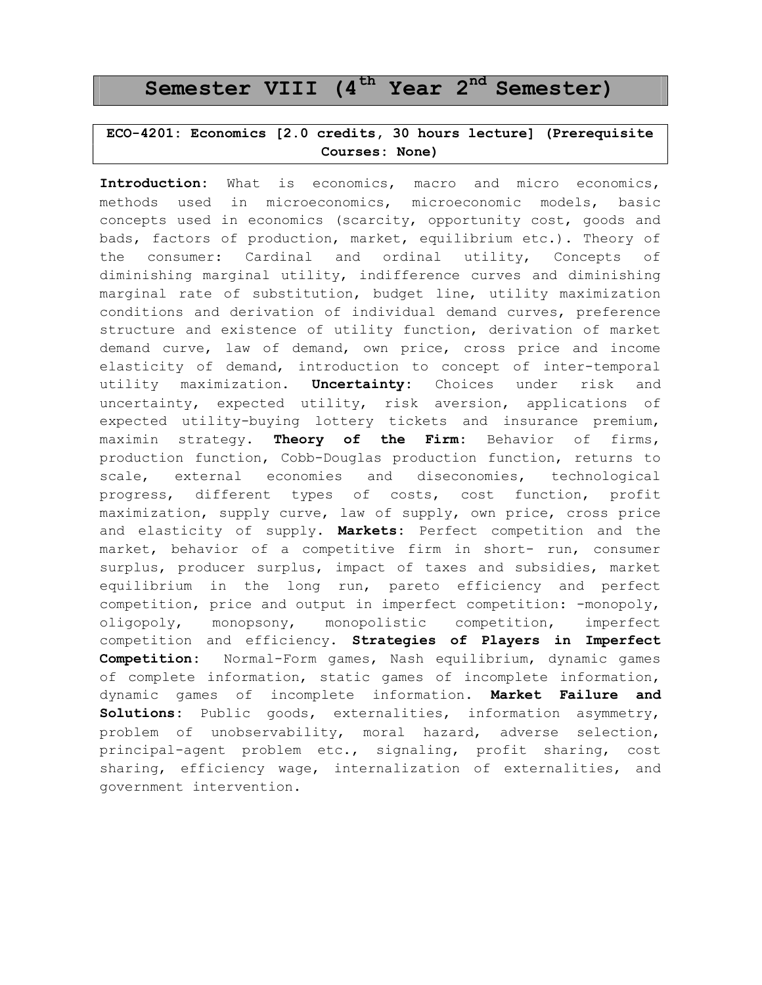# Semester VIII  $(4<sup>th</sup>$  Year  $2<sup>nd</sup>$  Semester)

# ECO-4201: Economics [2.0 credits, 30 hours lecture] (Prerequisite Courses: None)

Introduction: What is economics, macro and micro economics, methods used in microeconomics, microeconomic models, basic concepts used in economics (scarcity, opportunity cost, goods and bads, factors of production, market, equilibrium etc.). Theory of the consumer: Cardinal and ordinal utility, Concepts of diminishing marginal utility, indifference curves and diminishing marginal rate of substitution, budget line, utility maximization conditions and derivation of individual demand curves, preference structure and existence of utility function, derivation of market demand curve, law of demand, own price, cross price and income elasticity of demand, introduction to concept of inter-temporal utility maximization. Uncertainty: Choices under risk and uncertainty, expected utility, risk aversion, applications of expected utility-buying lottery tickets and insurance premium, maximin strategy. Theory of the Firm: Behavior of firms, production function, Cobb-Douglas production function, returns to scale, external economies and diseconomies, technological progress, different types of costs, cost function, profit maximization, supply curve, law of supply, own price, cross price and elasticity of supply. Markets: Perfect competition and the market, behavior of a competitive firm in short- run, consumer surplus, producer surplus, impact of taxes and subsidies, market equilibrium in the long run, pareto efficiency and perfect competition, price and output in imperfect competition: -monopoly, oligopoly, monopsony, monopolistic competition, imperfect competition and efficiency. Strategies of Players in Imperfect Competition: Normal-Form games, Nash equilibrium, dynamic games of complete information, static games of incomplete information, dynamic games of incomplete information. Market Failure and Solutions: Public goods, externalities, information asymmetry, problem of unobservability, moral hazard, adverse selection, principal-agent problem etc., signaling, profit sharing, cost sharing, efficiency wage, internalization of externalities, and government intervention.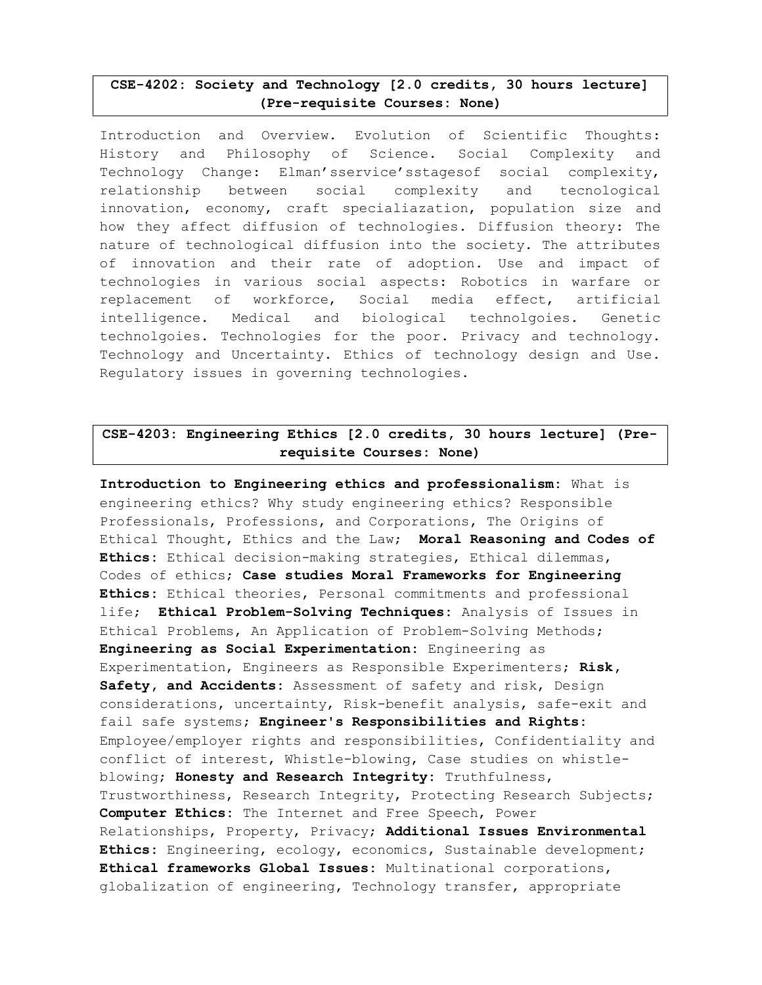## CSE-4202: Society and Technology [2.0 credits, 30 hours lecture] (Pre-requisite Courses: None)

Introduction and Overview. Evolution of Scientific Thoughts: History and Philosophy of Science. Social Complexity and Technology Change: Elman'sservice'sstagesof social complexity, relationship between social complexity and tecnological innovation, economy, craft specialiazation, population size and how they affect diffusion of technologies. Diffusion theory: The nature of technological diffusion into the society. The attributes of innovation and their rate of adoption. Use and impact of technologies in various social aspects: Robotics in warfare or replacement of workforce, Social media effect, artificial intelligence. Medical and biological technolgoies. Genetic technolgoies. Technologies for the poor. Privacy and technology. Technology and Uncertainty. Ethics of technology design and Use. Regulatory issues in governing technologies.

# CSE-4203: Engineering Ethics [2.0 credits, 30 hours lecture] (Prerequisite Courses: None)

Introduction to Engineering ethics and professionalism: What is engineering ethics? Why study engineering ethics? Responsible Professionals, Professions, and Corporations, The Origins of Ethical Thought, Ethics and the Law; Moral Reasoning and Codes of Ethics: Ethical decision-making strategies, Ethical dilemmas, Codes of ethics; Case studies Moral Frameworks for Engineering Ethics: Ethical theories, Personal commitments and professional life; Ethical Problem-Solving Techniques: Analysis of Issues in Ethical Problems, An Application of Problem-Solving Methods; Engineering as Social Experimentation: Engineering as Experimentation, Engineers as Responsible Experimenters; Risk, Safety, and Accidents: Assessment of safety and risk, Design considerations, uncertainty, Risk-benefit analysis, safe-exit and fail safe systems; Engineer's Responsibilities and Rights: Employee/employer rights and responsibilities, Confidentiality and conflict of interest, Whistle-blowing, Case studies on whistleblowing; Honesty and Research Integrity: Truthfulness, Trustworthiness, Research Integrity, Protecting Research Subjects; Computer Ethics: The Internet and Free Speech, Power Relationships, Property, Privacy; Additional Issues Environmental Ethics: Engineering, ecology, economics, Sustainable development; Ethical frameworks Global Issues: Multinational corporations, globalization of engineering, Technology transfer, appropriate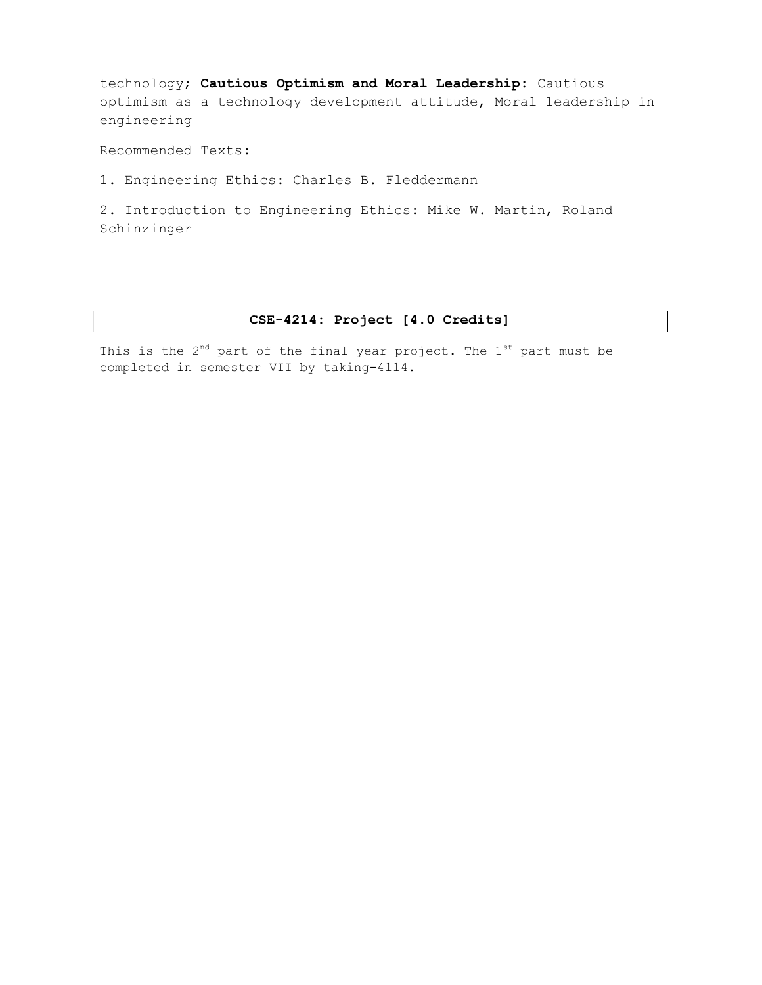technology; Cautious Optimism and Moral Leadership: Cautious optimism as a technology development attitude, Moral leadership in engineering

Recommended Texts:

1. Engineering Ethics: Charles B. Fleddermann

2. Introduction to Engineering Ethics: Mike W. Martin, Roland Schinzinger

### CSE-4214: Project [4.0 Credits]

This is the  $2^{nd}$  part of the final year project. The  $1^{st}$  part must be completed in semester VII by taking-4114.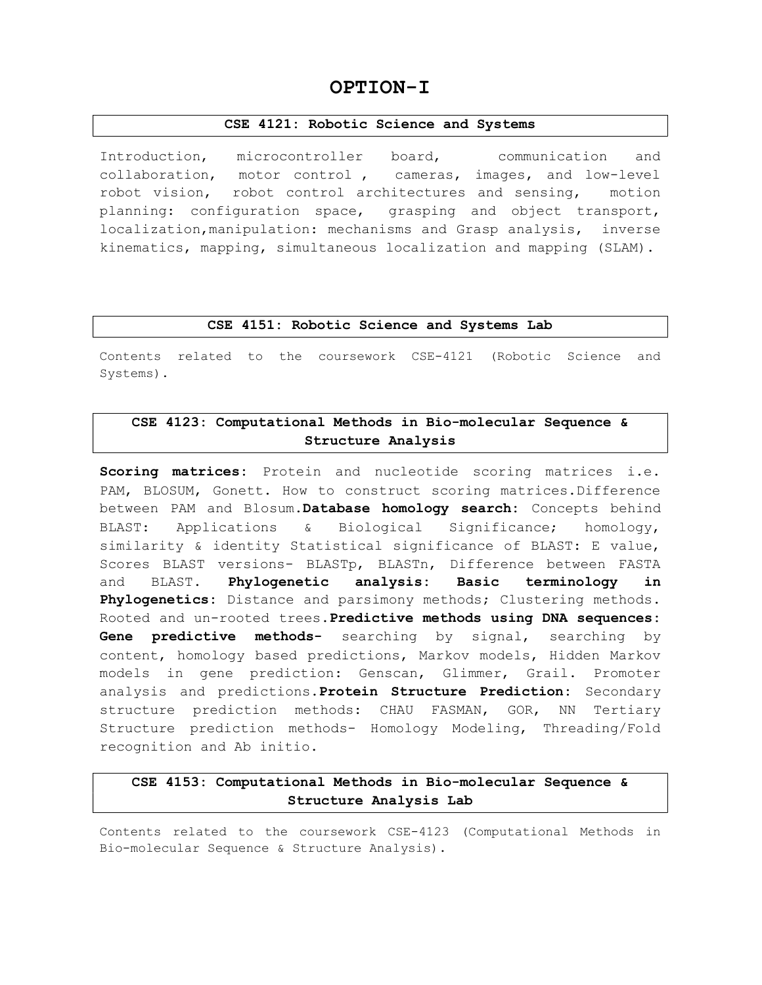# OPTION-I

#### CSE 4121: Robotic Science and Systems

Introduction, microcontroller board, communication and collaboration, motor control , cameras, images, and low-level robot vision, robot control architectures and sensing, motion planning: configuration space, grasping and object transport, localization,manipulation: mechanisms and Grasp analysis, inverse kinematics, mapping, simultaneous localization and mapping (SLAM).

#### CSE 4151: Robotic Science and Systems Lab

Contents related to the coursework CSE-4121 (Robotic Science and Systems).

# CSE 4123: Computational Methods in Bio-molecular Sequence & Structure Analysis

Scoring matrices: Protein and nucleotide scoring matrices i.e. PAM, BLOSUM, Gonett. How to construct scoring matrices.Difference between PAM and Blosum. Database homology search: Concepts behind BLAST: Applications & Biological Significance; homology, similarity & identity Statistical significance of BLAST: E value, Scores BLAST versions- BLASTp, BLASTn, Difference between FASTA and BLAST. Phylogenetic analysis: Basic terminology in Phylogenetics: Distance and parsimony methods; Clustering methods. Rooted and un-rooted trees. Predictive methods using DNA sequences: Gene predictive methods- searching by signal, searching by content, homology based predictions, Markov models, Hidden Markov models in gene prediction: Genscan, Glimmer, Grail. Promoter analysis and predictions. Protein Structure Prediction: Secondary structure prediction methods: CHAU FASMAN, GOR, NN Tertiary Structure prediction methods- Homology Modeling, Threading/Fold recognition and Ab initio.

# CSE 4153: Computational Methods in Bio-molecular Sequence & Structure Analysis Lab

Contents related to the coursework CSE-4123 (Computational Methods in Bio-molecular Sequence & Structure Analysis).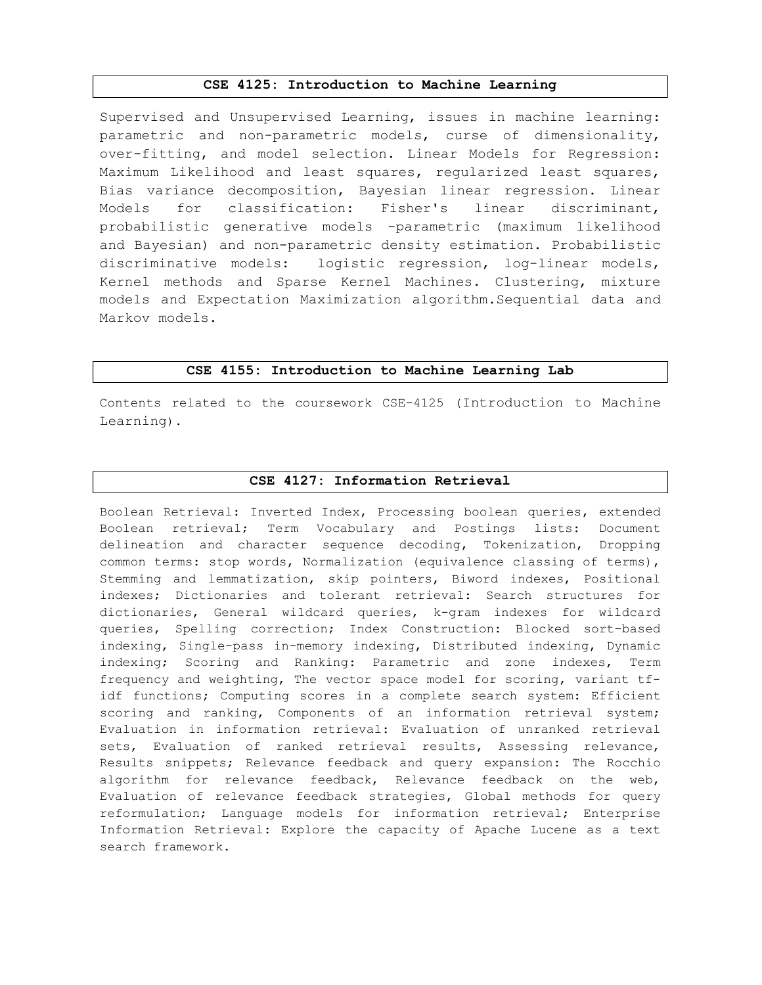#### CSE 4125: Introduction to Machine Learning

Supervised and Unsupervised Learning, issues in machine learning: parametric and non-parametric models, curse of dimensionality, over-fitting, and model selection. Linear Models for Regression: Maximum Likelihood and least squares, regularized least squares, Bias variance decomposition, Bayesian linear regression. Linear Models for classification: Fisher's linear discriminant, probabilistic generative models -parametric (maximum likelihood and Bayesian) and non-parametric density estimation. Probabilistic discriminative models: logistic regression, log-linear models, Kernel methods and Sparse Kernel Machines. Clustering, mixture models and Expectation Maximization algorithm.Sequential data and Markov models.

#### CSE 4155: Introduction to Machine Learning Lab

Contents related to the coursework CSE-4125 (Introduction to Machine Learning).

#### CSE 4127: Information Retrieval

Boolean Retrieval: Inverted Index, Processing boolean queries, extended Boolean retrieval; Term Vocabulary and Postings lists: Document delineation and character sequence decoding, Tokenization, Dropping common terms: stop words, Normalization (equivalence classing of terms), Stemming and lemmatization, skip pointers, Biword indexes, Positional indexes; Dictionaries and tolerant retrieval: Search structures for dictionaries, General wildcard queries, k-gram indexes for wildcard queries, Spelling correction; Index Construction: Blocked sort-based indexing, Single-pass in-memory indexing, Distributed indexing, Dynamic indexing; Scoring and Ranking: Parametric and zone indexes, Term frequency and weighting, The vector space model for scoring, variant tfidf functions; Computing scores in a complete search system: Efficient scoring and ranking, Components of an information retrieval system; Evaluation in information retrieval: Evaluation of unranked retrieval sets, Evaluation of ranked retrieval results, Assessing relevance, Results snippets; Relevance feedback and query expansion: The Rocchio algorithm for relevance feedback, Relevance feedback on the web, Evaluation of relevance feedback strategies, Global methods for query reformulation; Language models for information retrieval; Enterprise Information Retrieval: Explore the capacity of Apache Lucene as a text search framework.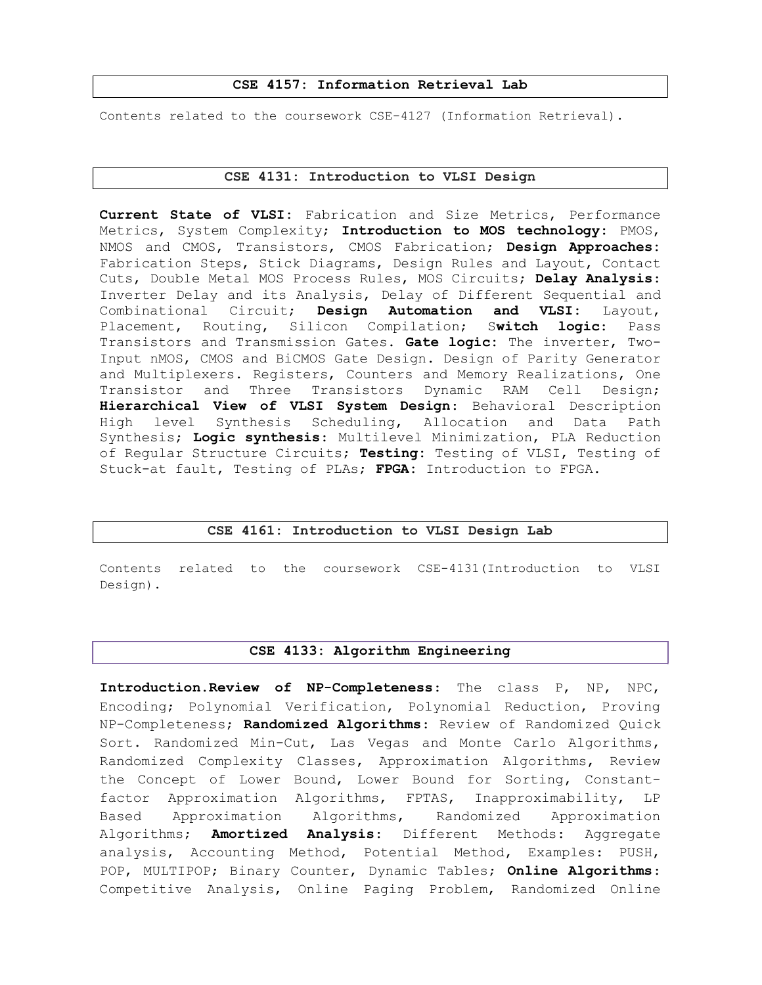#### CSE 4157: Information Retrieval Lab

Contents related to the coursework CSE-4127 (Information Retrieval).

#### CSE 4131: Introduction to VLSI Design

Current State of VLSI: Fabrication and Size Metrics, Performance Metrics, System Complexity; Introduction to MOS technology: PMOS, NMOS and CMOS, Transistors, CMOS Fabrication; Design Approaches: Fabrication Steps, Stick Diagrams, Design Rules and Layout, Contact Cuts, Double Metal MOS Process Rules, MOS Circuits; Delay Analysis: Inverter Delay and its Analysis, Delay of Different Sequential and Combinational Circuit; Design Automation and VLSI: Layout, Placement, Routing, Silicon Compilation; Switch logic: Pass Transistors and Transmission Gates. Gate logic: The inverter, Two-Input nMOS, CMOS and BiCMOS Gate Design. Design of Parity Generator and Multiplexers. Registers, Counters and Memory Realizations, One Transistor and Three Transistors Dynamic RAM Cell Design; Hierarchical View of VLSI System Design: Behavioral Description High level Synthesis Scheduling, Allocation and Data Path Synthesis; Logic synthesis: Multilevel Minimization, PLA Reduction of Regular Structure Circuits; Testing: Testing of VLSI, Testing of Stuck-at fault, Testing of PLAs; FPGA: Introduction to FPGA.

### CSE 4161: Introduction to VLSI Design Lab

Contents related to the coursework CSE-4131(Introduction to VLSI Design).

#### CSE 4133: Algorithm Engineering

Introduction.Review of NP-Completeness: The class P, NP, NPC, Encoding; Polynomial Verification, Polynomial Reduction, Proving NP-Completeness; Randomized Algorithms: Review of Randomized Quick Sort. Randomized Min-Cut, Las Vegas and Monte Carlo Algorithms, Randomized Complexity Classes, Approximation Algorithms, Review the Concept of Lower Bound, Lower Bound for Sorting, Constantfactor Approximation Algorithms, FPTAS, Inapproximability, LP Based Approximation Algorithms, Randomized Approximation Algorithms; **Amortized Analysis**: Different Methods: Aggregate analysis, Accounting Method, Potential Method, Examples: PUSH, POP, MULTIPOP; Binary Counter, Dynamic Tables; Online Algorithms: Competitive Analysis, Online Paging Problem, Randomized Online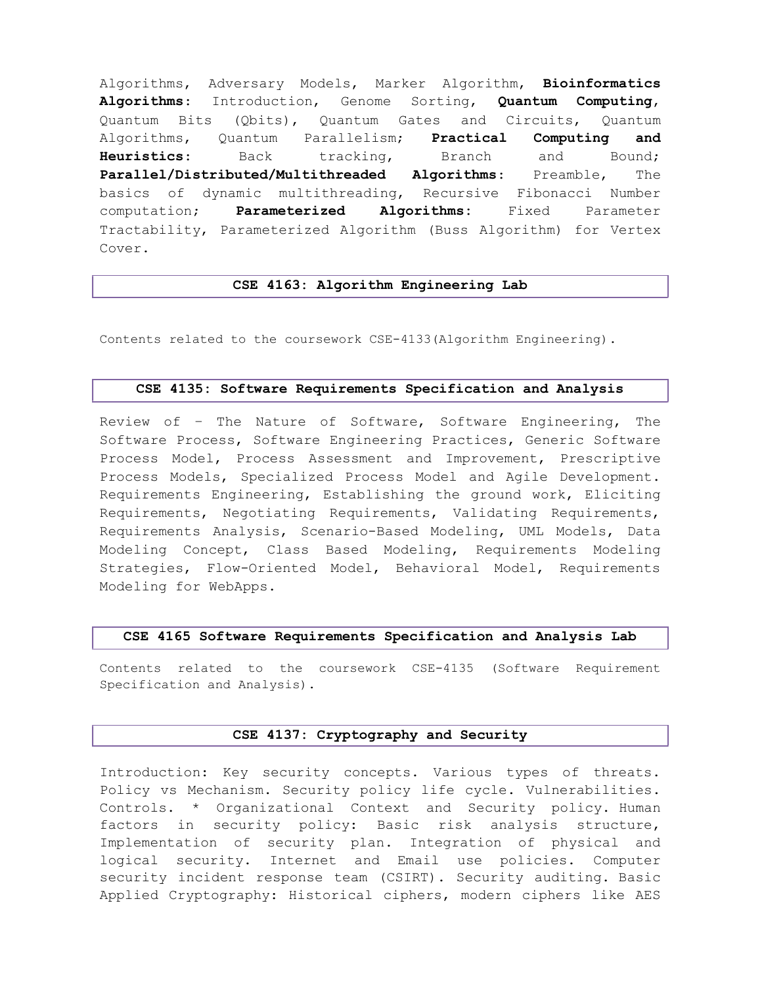Algorithms, Adversary Models, Marker Algorithm, Bioinformatics Algorithms: Introduction, Genome Sorting, Quantum Computing, Quantum Bits (Qbits), Quantum Gates and Circuits, Quantum Algorithms, Quantum Parallelism; Practical Computing and Heuristics: Back tracking, Branch and Bound; Parallel/Distributed/Multithreaded Algorithms: Preamble, The basics of dynamic multithreading, Recursive Fibonacci Number computation; **Parameterized Algorithms:** Fixed Parameter Tractability, Parameterized Algorithm (Buss Algorithm) for Vertex Cover.

#### CSE 4163: Algorithm Engineering Lab

Contents related to the coursework CSE-4133(Algorithm Engineering).

### CSE 4135: Software Requirements Specification and Analysis

Review of – The Nature of Software, Software Engineering, The Software Process, Software Engineering Practices, Generic Software Process Model, Process Assessment and Improvement, Prescriptive Process Models, Specialized Process Model and Agile Development. Requirements Engineering, Establishing the ground work, Eliciting Requirements, Negotiating Requirements, Validating Requirements, Requirements Analysis, Scenario-Based Modeling, UML Models, Data Modeling Concept, Class Based Modeling, Requirements Modeling Strategies, Flow-Oriented Model, Behavioral Model, Requirements Modeling for WebApps.

#### CSE 4165 Software Requirements Specification and Analysis Lab

Contents related to the coursework CSE-4135 (Software Requirement Specification and Analysis).

### CSE 4137: Cryptography and Security

Introduction: Key security concepts. Various types of threats. Policy vs Mechanism. Security policy life cycle. Vulnerabilities. Controls. \* Organizational Context and Security policy. Human factors in security policy: Basic risk analysis structure, Implementation of security plan. Integration of physical and logical security. Internet and Email use policies. Computer security incident response team (CSIRT). Security auditing. Basic Applied Cryptography: Historical ciphers, modern ciphers like AES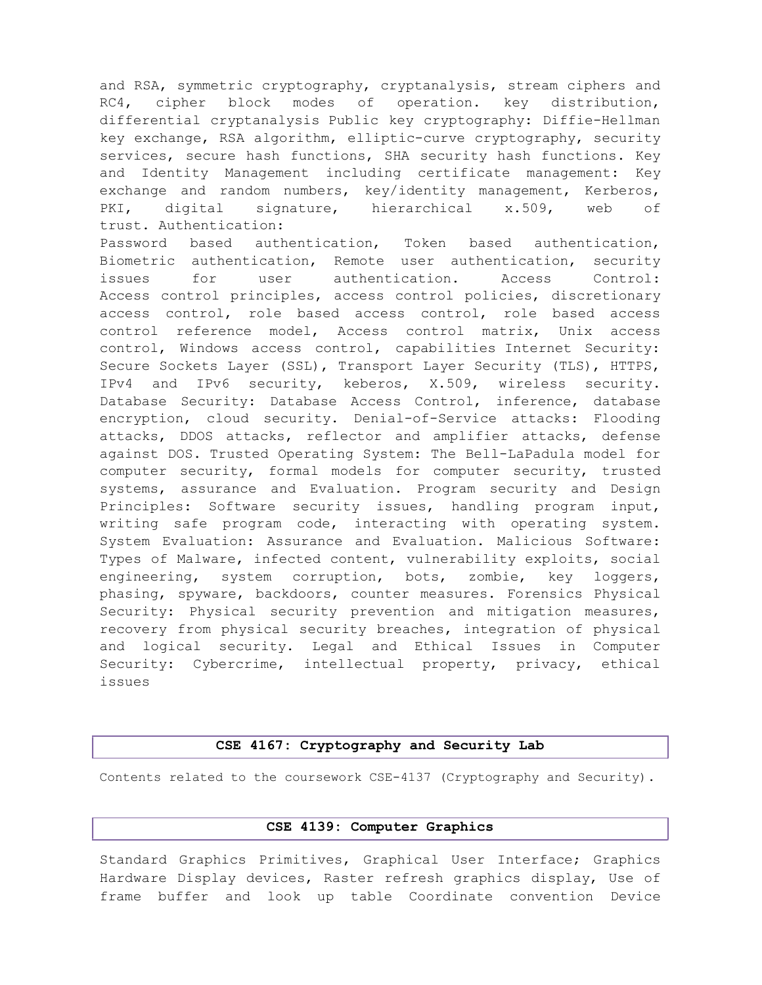and RSA, symmetric cryptography, cryptanalysis, stream ciphers and RC4, cipher block modes of operation. key distribution, differential cryptanalysis Public key cryptography: Diffie-Hellman key exchange, RSA algorithm, elliptic-curve cryptography, security services, secure hash functions, SHA security hash functions. Key and Identity Management including certificate management: Key exchange and random numbers, key/identity management, Kerberos, PKI, digital signature, hierarchical x.509, web of trust. Authentication:

Password based authentication, Token based authentication, Biometric authentication, Remote user authentication, security issues for user authentication. Access Control: Access control principles, access control policies, discretionary access control, role based access control, role based access control reference model, Access control matrix, Unix access control, Windows access control, capabilities Internet Security: Secure Sockets Layer (SSL), Transport Layer Security (TLS), HTTPS, IPv4 and IPv6 security, keberos, X.509, wireless security. Database Security: Database Access Control, inference, database encryption, cloud security. Denial-of-Service attacks: Flooding attacks, DDOS attacks, reflector and amplifier attacks, defense against DOS. Trusted Operating System: The Bell-LaPadula model for computer security, formal models for computer security, trusted systems, assurance and Evaluation. Program security and Design Principles: Software security issues, handling program input, writing safe program code, interacting with operating system. System Evaluation: Assurance and Evaluation. Malicious Software: Types of Malware, infected content, vulnerability exploits, social engineering, system corruption, bots, zombie, key loggers, phasing, spyware, backdoors, counter measures. Forensics Physical Security: Physical security prevention and mitigation measures, recovery from physical security breaches, integration of physical and logical security. Legal and Ethical Issues in Computer Security: Cybercrime, intellectual property, privacy, ethical issues

### CSE 4167: Cryptography and Security Lab

Contents related to the coursework CSE-4137 (Cryptography and Security).

### CSE 4139: Computer Graphics

Standard Graphics Primitives, Graphical User Interface; Graphics Hardware Display devices, Raster refresh graphics display, Use of frame buffer and look up table Coordinate convention Device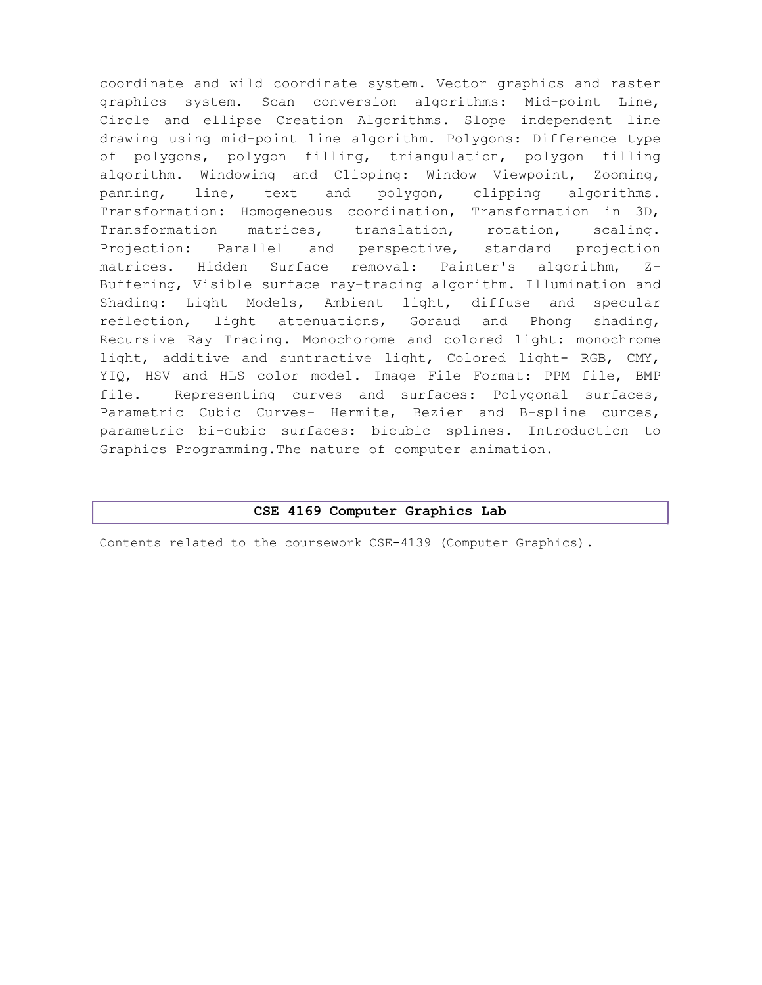coordinate and wild coordinate system. Vector graphics and raster graphics system. Scan conversion algorithms: Mid-point Line, Circle and ellipse Creation Algorithms. Slope independent line drawing using mid-point line algorithm. Polygons: Difference type of polygons, polygon filling, triangulation, polygon filling algorithm. Windowing and Clipping: Window Viewpoint, Zooming, panning, line, text and polygon, clipping algorithms. Transformation: Homogeneous coordination, Transformation in 3D, Transformation matrices, translation, rotation, scaling. Projection: Parallel and perspective, standard projection matrices. Hidden Surface removal: Painter's algorithm, Z-Buffering, Visible surface ray-tracing algorithm. Illumination and Shading: Light Models, Ambient light, diffuse and specular reflection, light attenuations, Goraud and Phong shading, Recursive Ray Tracing. Monochorome and colored light: monochrome light, additive and suntractive light, Colored light- RGB, CMY, YIQ, HSV and HLS color model. Image File Format: PPM file, BMP file. Representing curves and surfaces: Polygonal surfaces, Parametric Cubic Curves- Hermite, Bezier and B-spline curces, parametric bi-cubic surfaces: bicubic splines. Introduction to Graphics Programming.The nature of computer animation.

#### CSE 4169 Computer Graphics Lab

Contents related to the coursework CSE-4139 (Computer Graphics).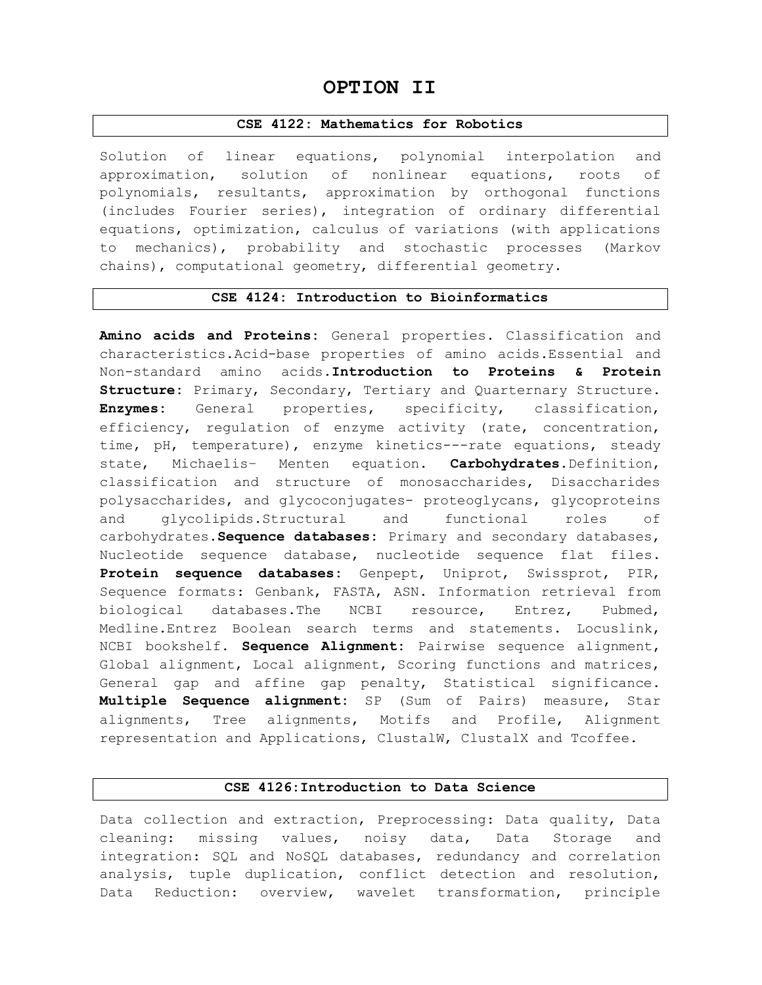# OPTION II

#### CSE 4122: Mathematics for Robotics

Solution of linear equations, polynomial interpolation and approximation, solution of nonlinear equations, roots of polynomials, resultants, approximation by orthogonal functions (includes Fourier series), integration of ordinary differential equations, optimization, calculus of variations (with applications to mechanics), probability and stochastic processes (Markov chains), computational geometry, differential geometry.

#### CSE 4124: Introduction to Bioinformatics

Amino acids and Proteins: General properties. Classification and characteristics.Acid-base properties of amino acids.Essential and Non-standard amino acids. Introduction to Proteins & Protein Structure: Primary, Secondary, Tertiary and Quarternary Structure. Enzymes: General properties, specificity, classification, efficiency, regulation of enzyme activity (rate, concentration, time, pH, temperature), enzyme kinetics---rate equations, steady state, Michaelis- Menten equation. Carbohydrates. Definition, classification and structure of monosaccharides, Disaccharides polysaccharides, and glycoconjugates- proteoglycans, glycoproteins and glycolipids.Structural and functional roles of carbohydrates. Sequence databases: Primary and secondary databases, Nucleotide sequence database, nucleotide sequence flat files. Protein sequence databases: Genpept, Uniprot, Swissprot, PIR, Sequence formats: Genbank, FASTA, ASN. Information retrieval from biological databases.The NCBI resource, Entrez, Pubmed, Medline.Entrez Boolean search terms and statements. Locuslink, NCBI bookshelf. Sequence Alignment: Pairwise sequence alignment, Global alignment, Local alignment, Scoring functions and matrices, General gap and affine gap penalty, Statistical significance. Multiple Sequence alignment: SP (Sum of Pairs) measure, Star alignments, Tree alignments, Motifs and Profile, Alignment representation and Applications, ClustalW, ClustalX and Tcoffee.

#### CSE 4126:Introduction to Data Science

Data collection and extraction, Preprocessing: Data quality, Data cleaning: missing values, noisy data, Data Storage and integration: SQL and NoSQL databases, redundancy and correlation analysis, tuple duplication, conflict detection and resolution, Data Reduction: overview, wavelet transformation, principle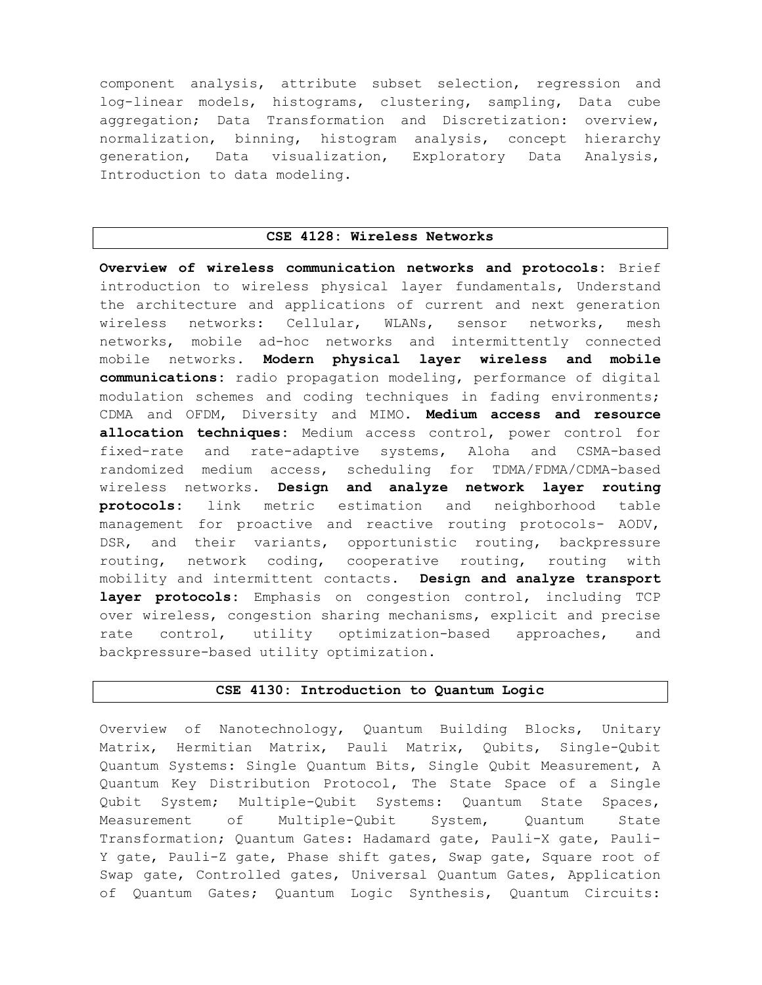component analysis, attribute subset selection, regression and log-linear models, histograms, clustering, sampling, Data cube aggregation; Data Transformation and Discretization: overview, normalization, binning, histogram analysis, concept hierarchy generation, Data visualization, Exploratory Data Analysis, Introduction to data modeling.

#### CSE 4128: Wireless Networks

Overview of wireless communication networks and protocols: Brief introduction to wireless physical layer fundamentals, Understand the architecture and applications of current and next generation wireless networks: Cellular, WLANs, sensor networks, mesh networks, mobile ad-hoc networks and intermittently connected mobile networks. Modern physical layer wireless and mobile communications: radio propagation modeling, performance of digital modulation schemes and coding techniques in fading environments; CDMA and OFDM, Diversity and MIMO. Medium access and resource allocation techniques: Medium access control, power control for fixed-rate and rate-adaptive systems, Aloha and CSMA-based randomized medium access, scheduling for TDMA/FDMA/CDMA-based wireless networks. Design and analyze network layer routing protocols: link metric estimation and neighborhood table management for proactive and reactive routing protocols- AODV, DSR, and their variants, opportunistic routing, backpressure routing, network coding, cooperative routing, routing with mobility and intermittent contacts. Design and analyze transport layer protocols: Emphasis on congestion control, including TCP over wireless, congestion sharing mechanisms, explicit and precise rate control, utility optimization-based approaches, and backpressure-based utility optimization.

#### CSE 4130: Introduction to Quantum Logic

Overview of Nanotechnology, Quantum Building Blocks, Unitary Matrix, Hermitian Matrix, Pauli Matrix, Qubits, Single-Qubit Quantum Systems: Single Quantum Bits, Single Qubit Measurement, A Quantum Key Distribution Protocol, The State Space of a Single Qubit System; Multiple-Qubit Systems: Quantum State Spaces, Measurement of Multiple-Qubit System, Quantum State Transformation; Quantum Gates: Hadamard gate, Pauli-X gate, Pauli-Y gate, Pauli-Z gate, Phase shift gates, Swap gate, Square root of Swap gate, Controlled gates, Universal Quantum Gates, Application of Quantum Gates; Quantum Logic Synthesis, Quantum Circuits: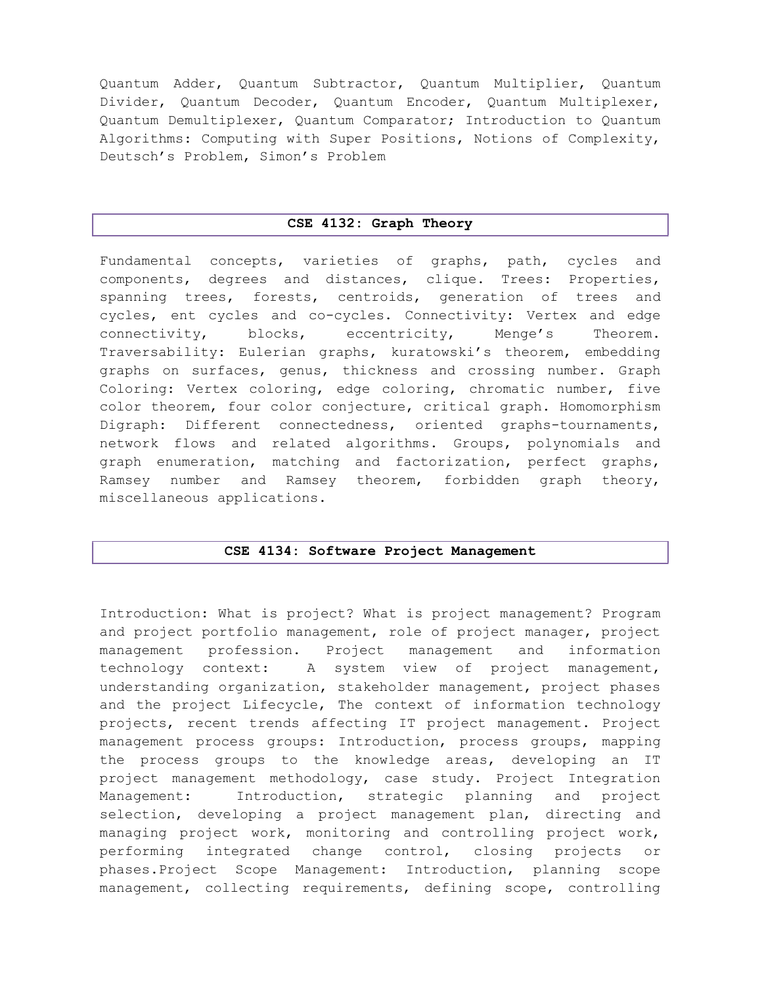Quantum Adder, Quantum Subtractor, Quantum Multiplier, Quantum Divider, Quantum Decoder, Quantum Encoder, Quantum Multiplexer, Quantum Demultiplexer, Quantum Comparator; Introduction to Quantum Algorithms: Computing with Super Positions, Notions of Complexity, Deutsch's Problem, Simon's Problem

#### CSE 4132: Graph Theory

Fundamental concepts, varieties of graphs, path, cycles and components, degrees and distances, clique. Trees: Properties, spanning trees, forests, centroids, generation of trees and cycles, ent cycles and co-cycles. Connectivity: Vertex and edge connectivity, blocks, eccentricity, Menge's Theorem. Traversability: Eulerian graphs, kuratowski's theorem, embedding graphs on surfaces, genus, thickness and crossing number. Graph Coloring: Vertex coloring, edge coloring, chromatic number, five color theorem, four color conjecture, critical graph. Homomorphism Digraph: Different connectedness, oriented graphs-tournaments, network flows and related algorithms. Groups, polynomials and graph enumeration, matching and factorization, perfect graphs, Ramsey number and Ramsey theorem, forbidden graph theory, miscellaneous applications.

#### CSE 4134: Software Project Management

Introduction: What is project? What is project management? Program and project portfolio management, role of project manager, project management profession. Project management and information technology context: A system view of project management, understanding organization, stakeholder management, project phases and the project Lifecycle, The context of information technology projects, recent trends affecting IT project management. Project management process groups: Introduction, process groups, mapping the process groups to the knowledge areas, developing an IT project management methodology, case study. Project Integration Management: Introduction, strategic planning and project selection, developing a project management plan, directing and managing project work, monitoring and controlling project work, performing integrated change control, closing projects or phases.Project Scope Management: Introduction, planning scope management, collecting requirements, defining scope, controlling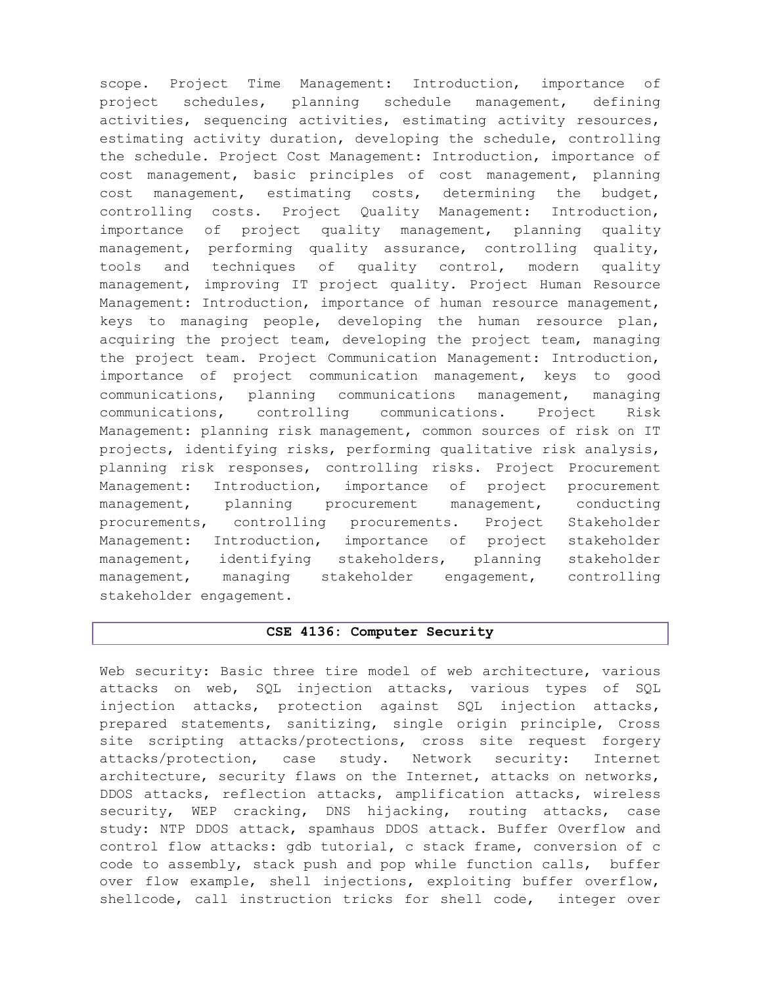scope. Project Time Management: Introduction, importance of project schedules, planning schedule management, defining activities, sequencing activities, estimating activity resources, estimating activity duration, developing the schedule, controlling the schedule. Project Cost Management: Introduction, importance of cost management, basic principles of cost management, planning cost management, estimating costs, determining the budget, controlling costs. Project Quality Management: Introduction, importance of project quality management, planning quality management, performing quality assurance, controlling quality, tools and techniques of quality control, modern quality management, improving IT project quality. Project Human Resource Management: Introduction, importance of human resource management, keys to managing people, developing the human resource plan, acquiring the project team, developing the project team, managing the project team. Project Communication Management: Introduction, importance of project communication management, keys to good communications, planning communications management, managing communications, controlling communications. Project Risk Management: planning risk management, common sources of risk on IT projects, identifying risks, performing qualitative risk analysis, planning risk responses, controlling risks. Project Procurement Management: Introduction, importance of project procurement management, planning procurement management, conducting procurements, controlling procurements. Project Stakeholder Management: Introduction, importance of project stakeholder management, identifying stakeholders, planning stakeholder management, managing stakeholder engagement, controlling stakeholder engagement.

#### CSE 4136: Computer Security

Web security: Basic three tire model of web architecture, various attacks on web, SQL injection attacks, various types of SQL injection attacks, protection against SQL injection attacks, prepared statements, sanitizing, single origin principle, Cross site scripting attacks/protections, cross site request forgery attacks/protection, case study. Network security: Internet architecture, security flaws on the Internet, attacks on networks, DDOS attacks, reflection attacks, amplification attacks, wireless security, WEP cracking, DNS hijacking, routing attacks, case study: NTP DDOS attack, spamhaus DDOS attack. Buffer Overflow and control flow attacks: gdb tutorial, c stack frame, conversion of c code to assembly, stack push and pop while function calls, buffer over flow example, shell injections, exploiting buffer overflow, shellcode, call instruction tricks for shell code, integer over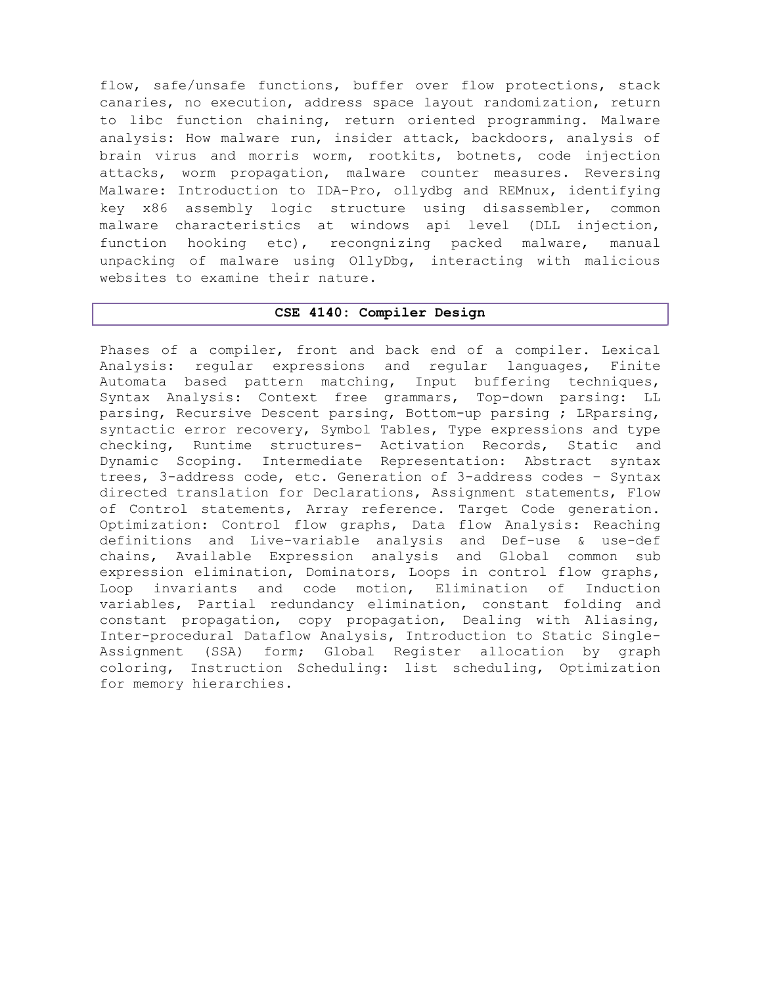flow, safe/unsafe functions, buffer over flow protections, stack canaries, no execution, address space layout randomization, return to libc function chaining, return oriented programming. Malware analysis: How malware run, insider attack, backdoors, analysis of brain virus and morris worm, rootkits, botnets, code injection attacks, worm propagation, malware counter measures. Reversing Malware: Introduction to IDA-Pro, ollydbg and REMnux, identifying key x86 assembly logic structure using disassembler, common malware characteristics at windows api level (DLL injection, function hooking etc), recongnizing packed malware, manual unpacking of malware using OllyDbg, interacting with malicious websites to examine their nature.

#### CSE 4140: Compiler Design

Phases of a compiler, front and back end of a compiler. Lexical Analysis: regular expressions and regular languages, Finite Automata based pattern matching, Input buffering techniques, Syntax Analysis: Context free grammars, Top-down parsing: LL parsing, Recursive Descent parsing, Bottom-up parsing ; LRparsing, syntactic error recovery, Symbol Tables, Type expressions and type checking, Runtime structures- Activation Records, Static and Dynamic Scoping. Intermediate Representation: Abstract syntax trees, 3-address code, etc. Generation of 3-address codes – Syntax directed translation for Declarations, Assignment statements, Flow of Control statements, Array reference. Target Code generation. Optimization: Control flow graphs, Data flow Analysis: Reaching definitions and Live-variable analysis and Def-use & use-def chains, Available Expression analysis and Global common sub expression elimination, Dominators, Loops in control flow graphs, Loop invariants and code motion, Elimination of Induction variables, Partial redundancy elimination, constant folding and constant propagation, copy propagation, Dealing with Aliasing, Inter-procedural Dataflow Analysis, Introduction to Static Single-Assignment (SSA) form; Global Register allocation by graph coloring, Instruction Scheduling: list scheduling, Optimization for memory hierarchies.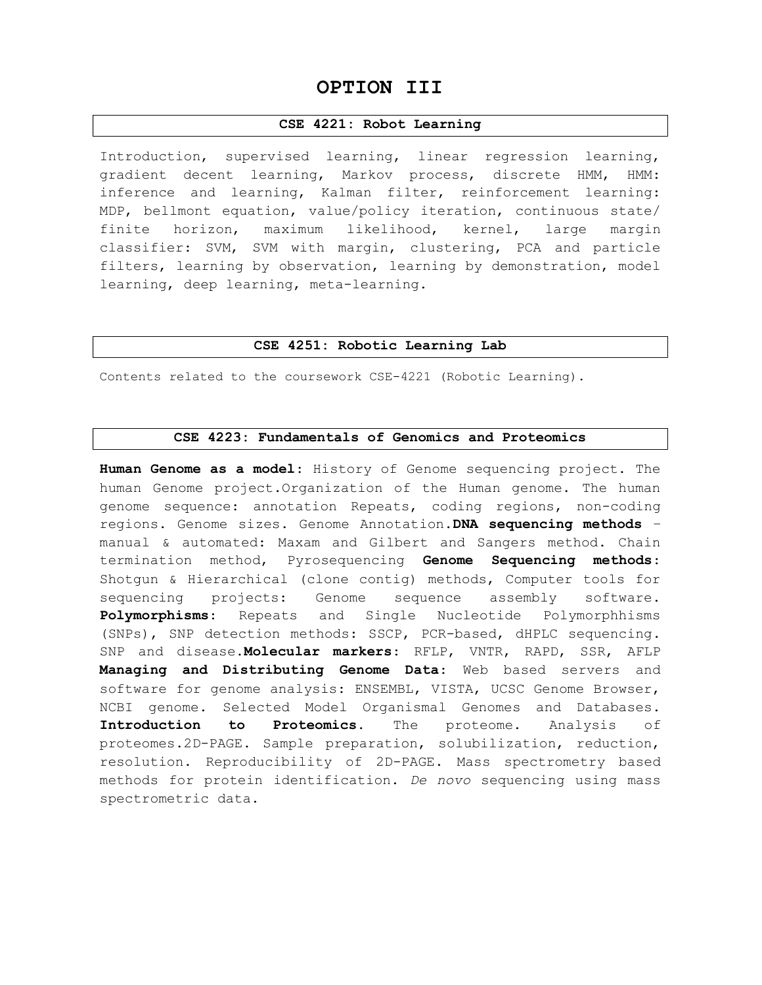# OPTION III

### CSE 4221: Robot Learning

Introduction, supervised learning, linear regression learning, gradient decent learning, Markov process, discrete HMM, HMM: inference and learning, Kalman filter, reinforcement learning: MDP, bellmont equation, value/policy iteration, continuous state/ finite horizon, maximum likelihood, kernel, large margin classifier: SVM, SVM with margin, clustering, PCA and particle filters, learning by observation, learning by demonstration, model learning, deep learning, meta-learning.

#### CSE 4251: Robotic Learning Lab

Contents related to the coursework CSE-4221 (Robotic Learning).

### CSE 4223: Fundamentals of Genomics and Proteomics

Human Genome as a model: History of Genome sequencing project. The human Genome project.Organization of the Human genome. The human genome sequence: annotation Repeats, coding regions, non-coding regions. Genome sizes. Genome Annotation.DNA sequencing methods – manual & automated: Maxam and Gilbert and Sangers method. Chain termination method, Pyrosequencing Genome Sequencing methods: Shotgun & Hierarchical (clone contig) methods, Computer tools for sequencing projects: Genome sequence assembly software. Polymorphisms: Repeats and Single Nucleotide Polymorphhisms (SNPs), SNP detection methods: SSCP, PCR-based, dHPLC sequencing. SNP and disease. Molecular markers: RFLP, VNTR, RAPD, SSR, AFLP Managing and Distributing Genome Data: Web based servers and software for genome analysis: ENSEMBL, VISTA, UCSC Genome Browser, NCBI genome. Selected Model Organismal Genomes and Databases. Introduction to Proteomics. The proteome. Analysis of proteomes.2D-PAGE. Sample preparation, solubilization, reduction, resolution. Reproducibility of 2D-PAGE. Mass spectrometry based methods for protein identification. De novo sequencing using mass spectrometric data.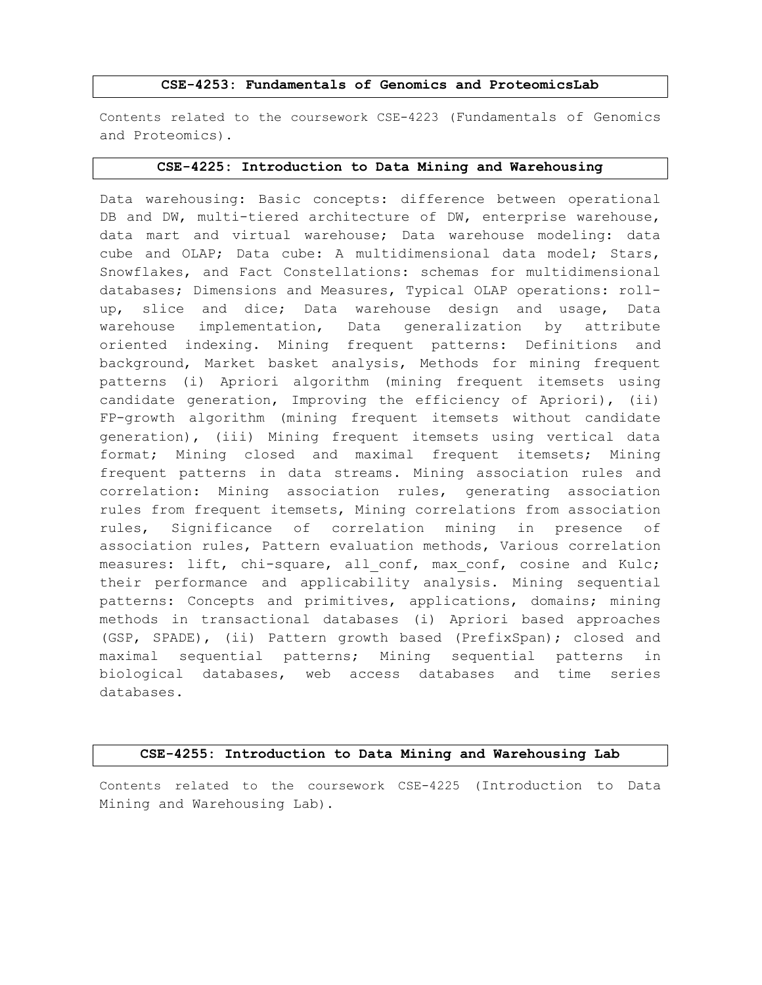#### CSE-4253: Fundamentals of Genomics and ProteomicsLab

Contents related to the coursework CSE-4223 (Fundamentals of Genomics and Proteomics).

#### CSE-4225: Introduction to Data Mining and Warehousing

Data warehousing: Basic concepts: difference between operational DB and DW, multi-tiered architecture of DW, enterprise warehouse, data mart and virtual warehouse; Data warehouse modeling: data cube and OLAP; Data cube: A multidimensional data model; Stars, Snowflakes, and Fact Constellations: schemas for multidimensional databases; Dimensions and Measures, Typical OLAP operations: rollup, slice and dice; Data warehouse design and usage, Data warehouse implementation, Data generalization by attribute oriented indexing. Mining frequent patterns: Definitions and background, Market basket analysis, Methods for mining frequent patterns (i) Apriori algorithm (mining frequent itemsets using candidate generation, Improving the efficiency of Apriori), (ii) FP-growth algorithm (mining frequent itemsets without candidate generation), (iii) Mining frequent itemsets using vertical data format; Mining closed and maximal frequent itemsets; Mining frequent patterns in data streams. Mining association rules and correlation: Mining association rules, generating association rules from frequent itemsets, Mining correlations from association rules, Significance of correlation mining in presence of association rules, Pattern evaluation methods, Various correlation measures: lift, chi-square, all conf, max conf, cosine and Kulc; their performance and applicability analysis. Mining sequential patterns: Concepts and primitives, applications, domains; mining methods in transactional databases (i) Apriori based approaches (GSP, SPADE), (ii) Pattern growth based (PrefixSpan); closed and maximal sequential patterns; Mining sequential patterns in biological databases, web access databases and time series databases.

#### CSE-4255: Introduction to Data Mining and Warehousing Lab

Contents related to the coursework CSE-4225 (Introduction to Data Mining and Warehousing Lab).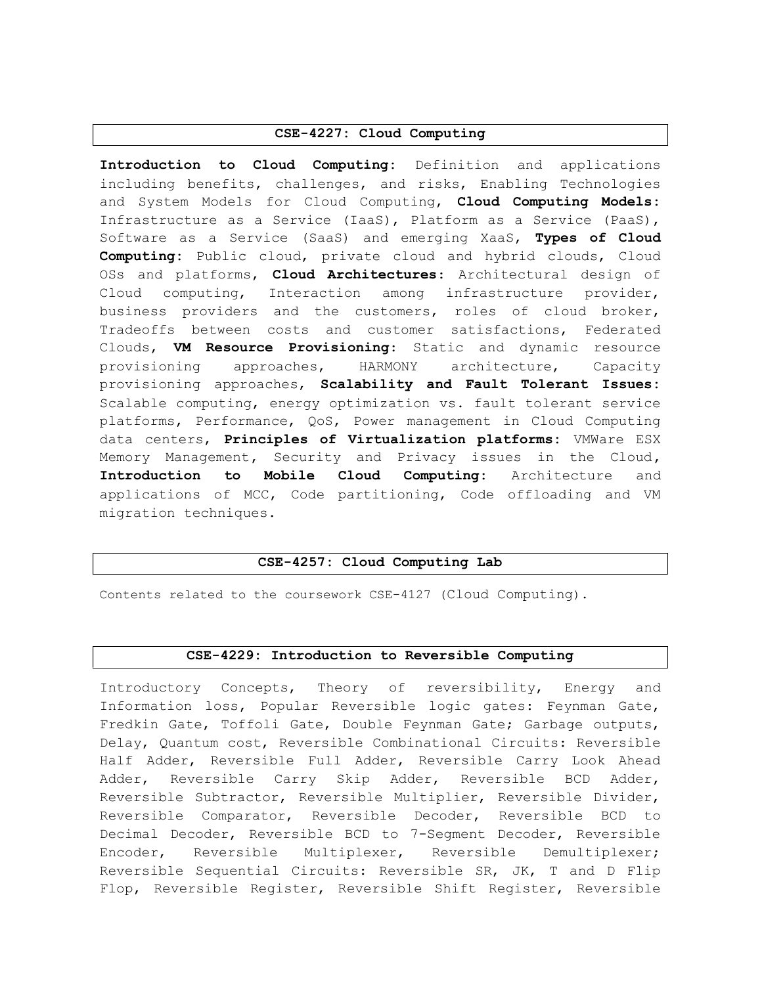#### CSE-4227: Cloud Computing

Introduction to Cloud Computing: Definition and applications including benefits, challenges, and risks, Enabling Technologies and System Models for Cloud Computing, Cloud Computing Models: Infrastructure as a Service (IaaS), Platform as a Service (PaaS), Software as a Service (SaaS) and emerging XaaS, Types of Cloud Computing: Public cloud, private cloud and hybrid clouds, Cloud OSs and platforms, Cloud Architectures: Architectural design of Cloud computing, Interaction among infrastructure provider, business providers and the customers, roles of cloud broker, Tradeoffs between costs and customer satisfactions, Federated Clouds, VM Resource Provisioning: Static and dynamic resource provisioning approaches, HARMONY architecture, Capacity provisioning approaches, Scalability and Fault Tolerant Issues: Scalable computing, energy optimization vs. fault tolerant service platforms, Performance, QoS, Power management in Cloud Computing data centers, Principles of Virtualization platforms: VMWare ESX Memory Management, Security and Privacy issues in the Cloud, Introduction to Mobile Cloud Computing: Architecture and applications of MCC, Code partitioning, Code offloading and VM migration techniques.

#### CSE-4257: Cloud Computing Lab

Contents related to the coursework CSE-4127 (Cloud Computing).

#### CSE-4229: Introduction to Reversible Computing

Introductory Concepts, Theory of reversibility, Energy and Information loss, Popular Reversible logic gates: Feynman Gate, Fredkin Gate, Toffoli Gate, Double Feynman Gate; Garbage outputs, Delay, Quantum cost, Reversible Combinational Circuits: Reversible Half Adder, Reversible Full Adder, Reversible Carry Look Ahead Adder, Reversible Carry Skip Adder, Reversible BCD Adder, Reversible Subtractor, Reversible Multiplier, Reversible Divider, Reversible Comparator, Reversible Decoder, Reversible BCD to Decimal Decoder, Reversible BCD to 7-Segment Decoder, Reversible Encoder, Reversible Multiplexer, Reversible Demultiplexer; Reversible Sequential Circuits: Reversible SR, JK, T and D Flip Flop, Reversible Register, Reversible Shift Register, Reversible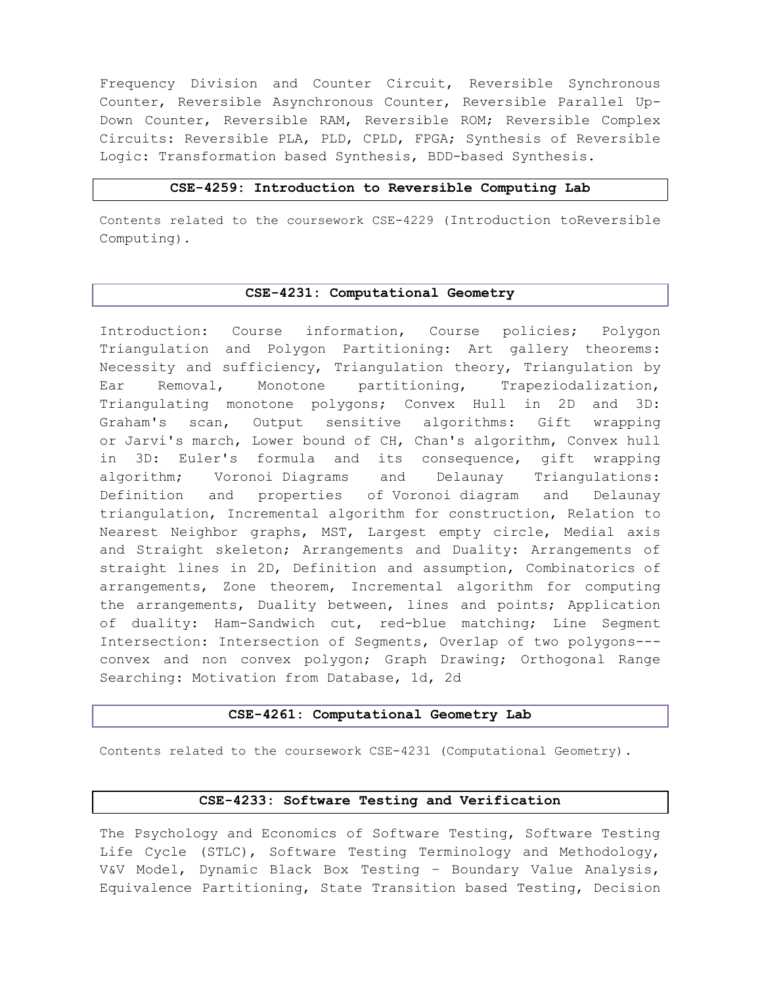Frequency Division and Counter Circuit, Reversible Synchronous Counter, Reversible Asynchronous Counter, Reversible Parallel Up-Down Counter, Reversible RAM, Reversible ROM; Reversible Complex Circuits: Reversible PLA, PLD, CPLD, FPGA; Synthesis of Reversible Logic: Transformation based Synthesis, BDD-based Synthesis.

#### CSE-4259: Introduction to Reversible Computing Lab

Contents related to the coursework CSE-4229 (Introduction toReversible Computing).

### CSE-4231: Computational Geometry

Introduction: Course information, Course policies; Polygon Triangulation and Polygon Partitioning: Art gallery theorems: Necessity and sufficiency, Triangulation theory, Triangulation by Ear Removal, Monotone partitioning, Trapeziodalization, Triangulating monotone polygons; Convex Hull in 2D and 3D: Graham's scan, Output sensitive algorithms: Gift wrapping or Jarvi's march, Lower bound of CH, Chan's algorithm, Convex hull in 3D: Euler's formula and its consequence, gift wrapping algorithm; Voronoi Diagrams and Delaunay Triangulations: Definition and properties of Voronoi diagram and Delaunay triangulation, Incremental algorithm for construction, Relation to Nearest Neighbor graphs, MST, Largest empty circle, Medial axis and Straight skeleton; Arrangements and Duality: Arrangements of straight lines in 2D, Definition and assumption, Combinatorics of arrangements, Zone theorem, Incremental algorithm for computing the arrangements, Duality between, lines and points; Application of duality: Ham-Sandwich cut, red-blue matching; Line Segment Intersection: Intersection of Segments, Overlap of two polygons-- convex and non convex polygon; Graph Drawing; Orthogonal Range Searching: Motivation from Database, 1d, 2d

#### CSE-4261: Computational Geometry Lab

Contents related to the coursework CSE-4231 (Computational Geometry).

#### CSE-4233: Software Testing and Verification

The Psychology and Economics of Software Testing, Software Testing Life Cycle (STLC), Software Testing Terminology and Methodology, V&V Model, Dynamic Black Box Testing – Boundary Value Analysis, Equivalence Partitioning, State Transition based Testing, Decision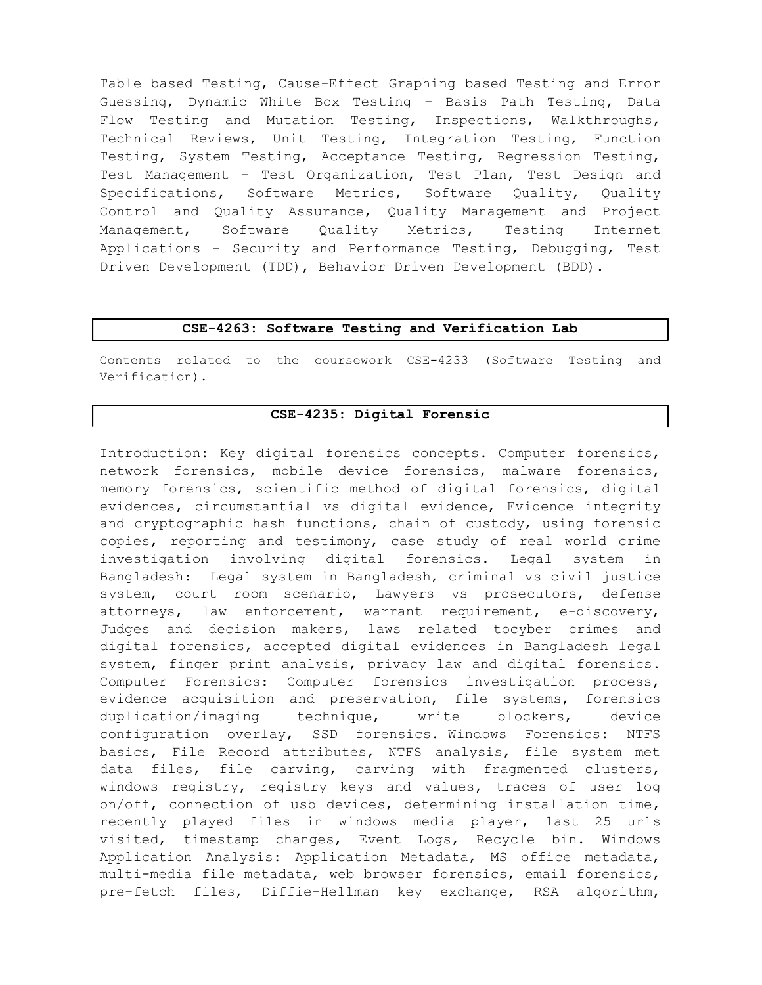Table based Testing, Cause-Effect Graphing based Testing and Error Guessing, Dynamic White Box Testing – Basis Path Testing, Data Flow Testing and Mutation Testing, Inspections, Walkthroughs, Technical Reviews, Unit Testing, Integration Testing, Function Testing, System Testing, Acceptance Testing, Regression Testing, Test Management – Test Organization, Test Plan, Test Design and Specifications, Software Metrics, Software Quality, Quality Control and Quality Assurance, Quality Management and Project Management, Software Quality Metrics, Testing Internet Applications - Security and Performance Testing, Debugging, Test Driven Development (TDD), Behavior Driven Development (BDD).

### CSE-4263: Software Testing and Verification Lab

Contents related to the coursework CSE-4233 (Software Testing and Verification).

### CSE-4235: Digital Forensic

Introduction: Key digital forensics concepts. Computer forensics, network forensics, mobile device forensics, malware forensics, memory forensics, scientific method of digital forensics, digital evidences, circumstantial vs digital evidence, Evidence integrity and cryptographic hash functions, chain of custody, using forensic copies, reporting and testimony, case study of real world crime investigation involving digital forensics. Legal system in Bangladesh: Legal system in Bangladesh, criminal vs civil justice system, court room scenario, Lawyers vs prosecutors, defense attorneys, law enforcement, warrant requirement, e-discovery, Judges and decision makers, laws related tocyber crimes and digital forensics, accepted digital evidences in Bangladesh legal system, finger print analysis, privacy law and digital forensics. Computer Forensics: Computer forensics investigation process, evidence acquisition and preservation, file systems, forensics duplication/imaging technique, write blockers, device configuration overlay, SSD forensics. Windows Forensics: NTFS basics, File Record attributes, NTFS analysis, file system met data files, file carving, carving with fragmented clusters, windows registry, registry keys and values, traces of user log on/off, connection of usb devices, determining installation time, recently played files in windows media player, last 25 urls visited, timestamp changes, Event Logs, Recycle bin. Windows Application Analysis: Application Metadata, MS office metadata, multi-media file metadata, web browser forensics, email forensics, pre-fetch files, Diffie-Hellman key exchange, RSA algorithm,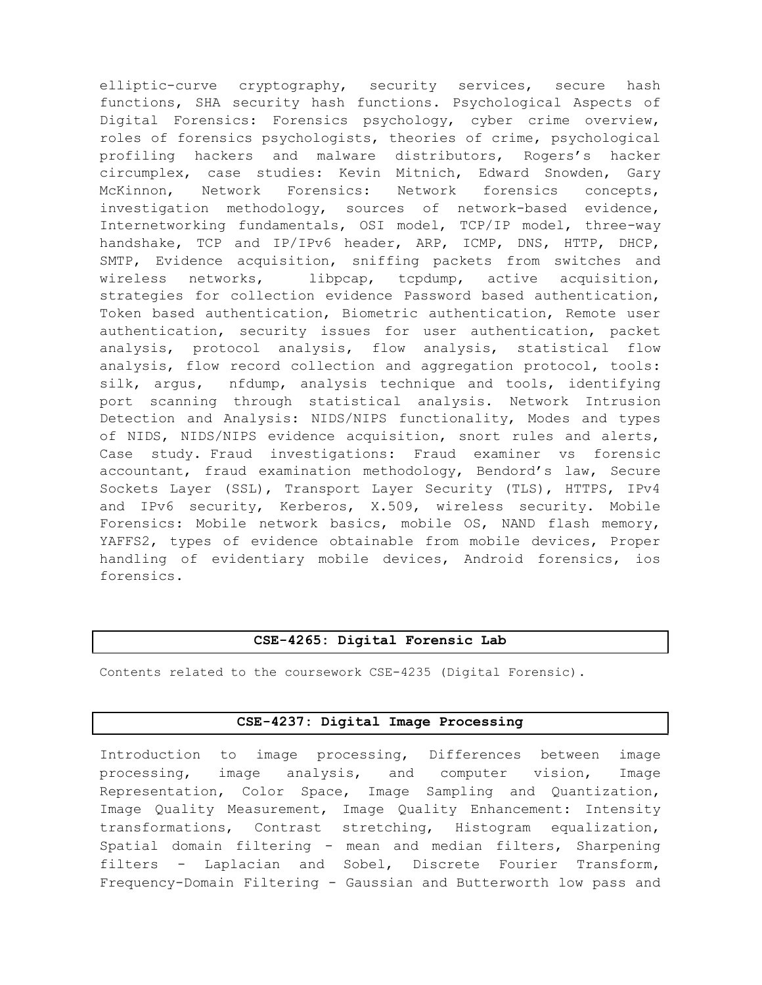elliptic-curve cryptography, security services, secure hash functions, SHA security hash functions. Psychological Aspects of Digital Forensics: Forensics psychology, cyber crime overview, roles of forensics psychologists, theories of crime, psychological profiling hackers and malware distributors, Rogers's hacker circumplex, case studies: Kevin Mitnich, Edward Snowden, Gary McKinnon, Network Forensics: Network forensics concepts, investigation methodology, sources of network-based evidence, Internetworking fundamentals, OSI model, TCP/IP model, three-way handshake, TCP and IP/IPv6 header, ARP, ICMP, DNS, HTTP, DHCP, SMTP, Evidence acquisition, sniffing packets from switches and wireless networks, libpcap, tcpdump, active acquisition, strategies for collection evidence Password based authentication, Token based authentication, Biometric authentication, Remote user authentication, security issues for user authentication, packet analysis, protocol analysis, flow analysis, statistical flow analysis, flow record collection and aggregation protocol, tools: silk, argus, nfdump, analysis technique and tools, identifying port scanning through statistical analysis. Network Intrusion Detection and Analysis: NIDS/NIPS functionality, Modes and types of NIDS, NIDS/NIPS evidence acquisition, snort rules and alerts, Case study. Fraud investigations: Fraud examiner vs forensic accountant, fraud examination methodology, Bendord's law, Secure Sockets Layer (SSL), Transport Layer Security (TLS), HTTPS, IPv4 and IPv6 security, Kerberos, X.509, wireless security. Mobile Forensics: Mobile network basics, mobile OS, NAND flash memory, YAFFS2, types of evidence obtainable from mobile devices, Proper handling of evidentiary mobile devices, Android forensics, ios forensics.

### CSE-4265: Digital Forensic Lab

Contents related to the coursework CSE-4235 (Digital Forensic).

#### CSE-4237: Digital Image Processing

Introduction to image processing, Differences between image processing, image analysis, and computer vision, Image Representation, Color Space, Image Sampling and Quantization, Image Quality Measurement, Image Quality Enhancement: Intensity transformations, Contrast stretching, Histogram equalization, Spatial domain filtering - mean and median filters, Sharpening filters - Laplacian and Sobel, Discrete Fourier Transform, Frequency-Domain Filtering - Gaussian and Butterworth low pass and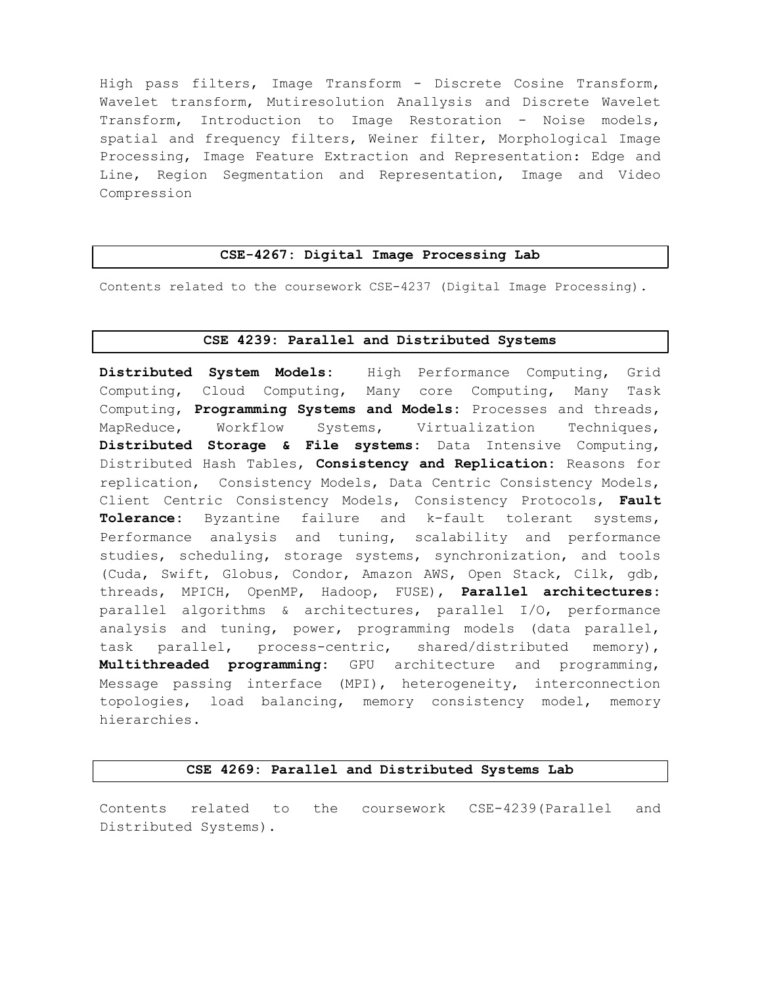High pass filters, Image Transform - Discrete Cosine Transform, Wavelet transform, Mutiresolution Anallysis and Discrete Wavelet Transform, Introduction to Image Restoration - Noise models, spatial and frequency filters, Weiner filter, Morphological Image Processing, Image Feature Extraction and Representation: Edge and Line, Region Segmentation and Representation, Image and Video Compression

#### CSE-4267: Digital Image Processing Lab

Contents related to the coursework CSE-4237 (Digital Image Processing).

#### CSE 4239: Parallel and Distributed Systems

Distributed System Models: High Performance Computing, Grid Computing, Cloud Computing, Many core Computing, Many Task Computing, Programming Systems and Models: Processes and threads, MapReduce, Workflow Systems, Virtualization Techniques, Distributed Storage & File systems: Data Intensive Computing, Distributed Hash Tables, Consistency and Replication: Reasons for replication, Consistency Models, Data Centric Consistency Models, Client Centric Consistency Models, Consistency Protocols, Fault Tolerance: Byzantine failure and k-fault tolerant systems, Performance analysis and tuning, scalability and performance studies, scheduling, storage systems, synchronization, and tools (Cuda, Swift, Globus, Condor, Amazon AWS, Open Stack, Cilk, gdb, threads, MPICH, OpenMP, Hadoop, FUSE), Parallel architectures: parallel algorithms & architectures, parallel I/O, performance analysis and tuning, power, programming models (data parallel, task parallel, process-centric, shared/distributed memory), Multithreaded programming: GPU architecture and programming, Message passing interface (MPI), heterogeneity, interconnection topologies, load balancing, memory consistency model, memory hierarchies.

#### CSE 4269: Parallel and Distributed Systems Lab

Contents related to the coursework CSE-4239(Parallel and Distributed Systems).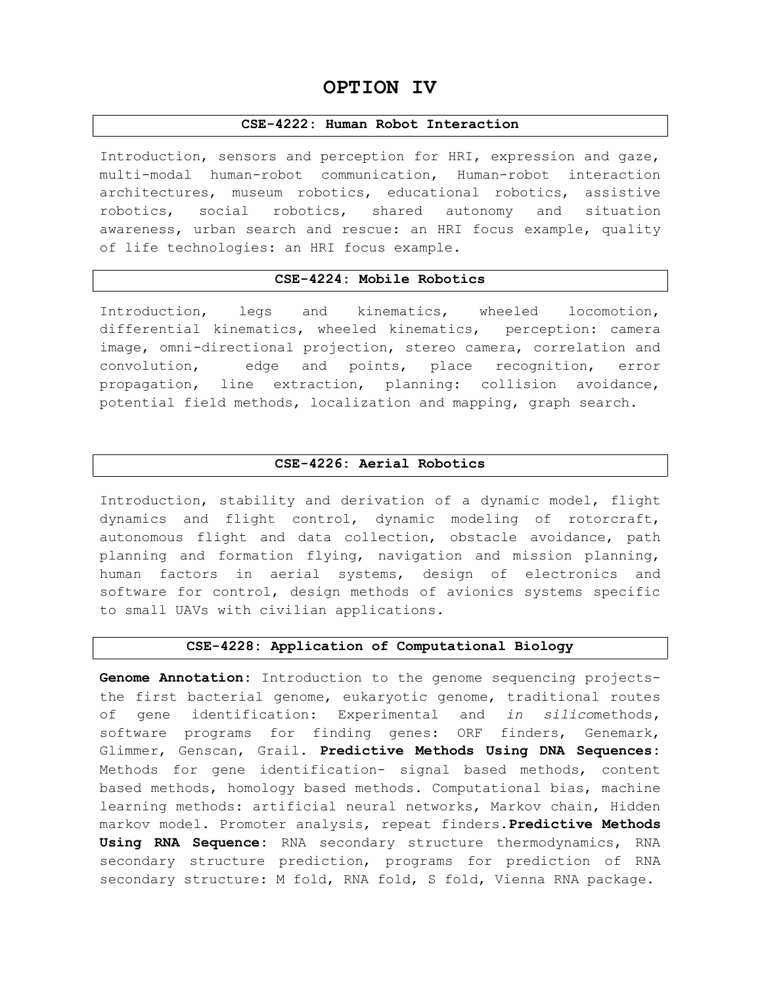# OPTION IV

#### CSE-4222: Human Robot Interaction

Introduction, sensors and perception for HRI, expression and gaze, multi-modal human-robot communication, Human-robot interaction architectures, museum robotics, educational robotics, assistive robotics, social robotics, shared autonomy and situation awareness, urban search and rescue: an HRI focus example, quality of life technologies: an HRI focus example.

#### CSE-4224: Mobile Robotics

Introduction, legs and kinematics, wheeled locomotion, differential kinematics, wheeled kinematics, perception: camera image, omni-directional projection, stereo camera, correlation and convolution, edge and points, place recognition, error propagation, line extraction, planning: collision avoidance, potential field methods, localization and mapping, graph search.

#### CSE-4226: Aerial Robotics

Introduction, stability and derivation of a dynamic model, flight dynamics and flight control, dynamic modeling of rotorcraft, autonomous flight and data collection, obstacle avoidance, path planning and formation flying, navigation and mission planning, human factors in aerial systems, design of electronics and software for control, design methods of avionics systems specific to small UAVs with civilian applications.

#### CSE-4228: Application of Computational Biology

Genome Annotation: Introduction to the genome sequencing projectsthe first bacterial genome, eukaryotic genome, traditional routes of gene identification: Experimental and in silicomethods, software programs for finding genes: ORF finders, Genemark, Glimmer, Genscan, Grail. Predictive Methods Using DNA Sequences: Methods for gene identification- signal based methods, content based methods, homology based methods. Computational bias, machine learning methods: artificial neural networks, Markov chain, Hidden markov model. Promoter analysis, repeat finders. Predictive Methods Using RNA Sequence: RNA secondary structure thermodynamics, RNA secondary structure prediction, programs for prediction of RNA secondary structure: M fold, RNA fold, S fold, Vienna RNA package.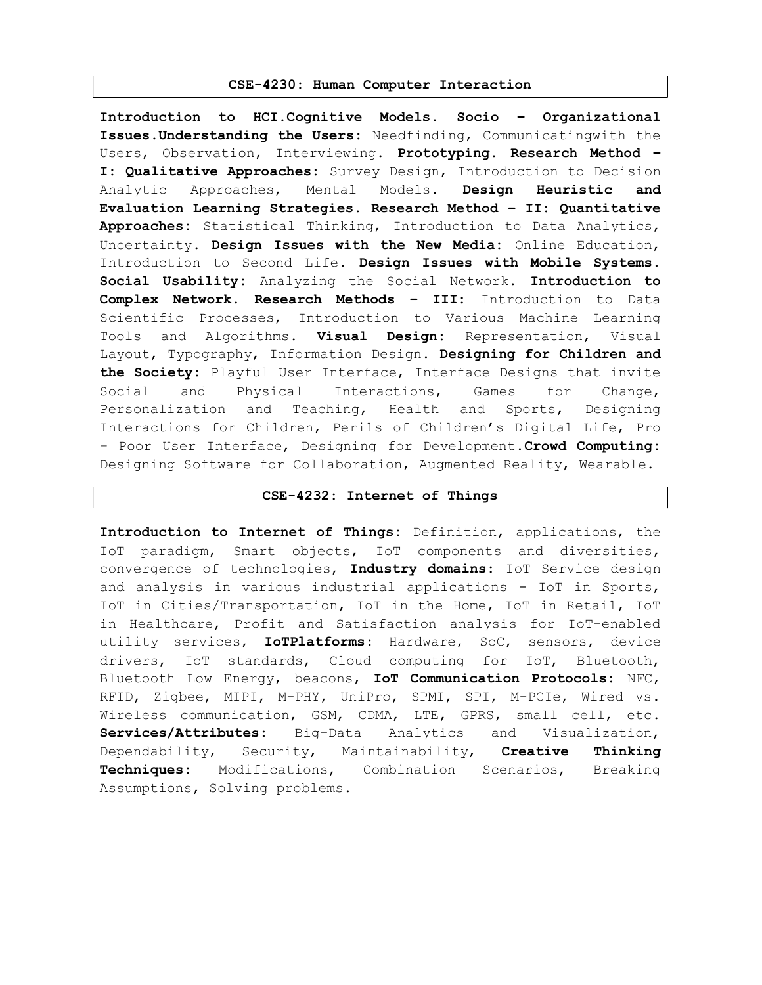#### CSE-4230: Human Computer Interaction

Introduction to HCI.Cognitive Models. Socio – Organizational Issues.Understanding the Users: Needfinding, Communicatingwith the Users, Observation, Interviewing. Prototyping. Research Method -I: Qualitative Approaches: Survey Design, Introduction to Decision Analytic Approaches, Mental Models. Design Heuristic and Evaluation Learning Strategies. Research Method – II: Quantitative Approaches: Statistical Thinking, Introduction to Data Analytics, Uncertainty. Design Issues with the New Media: Online Education, Introduction to Second Life. Design Issues with Mobile Systems. Social Usability: Analyzing the Social Network. Introduction to Complex Network. Research Methods – III: Introduction to Data Scientific Processes, Introduction to Various Machine Learning Tools and Algorithms. Visual Design: Representation, Visual Layout, Typography, Information Design. Designing for Children and the Society: Playful User Interface, Interface Designs that invite Social and Physical Interactions, Games for Change, Personalization and Teaching, Health and Sports, Designing Interactions for Children, Perils of Children's Digital Life, Pro - Poor User Interface, Designing for Development. Crowd Computing: Designing Software for Collaboration, Augmented Reality, Wearable.

### CSE-4232: Internet of Things

Introduction to Internet of Things: Definition, applications, the IoT paradigm, Smart objects, IoT components and diversities, convergence of technologies, Industry domains: IoT Service design and analysis in various industrial applications - IoT in Sports, IoT in Cities/Transportation, IoT in the Home, IoT in Retail, IoT in Healthcare, Profit and Satisfaction analysis for IoT-enabled utility services, IoTPlatforms: Hardware, SoC, sensors, device drivers, IoT standards, Cloud computing for IoT, Bluetooth, Bluetooth Low Energy, beacons, IoT Communication Protocols: NFC, RFID, Zigbee, MIPI, M-PHY, UniPro, SPMI, SPI, M-PCIe, Wired vs. Wireless communication, GSM, CDMA, LTE, GPRS, small cell, etc. Services/Attributes: Big-Data Analytics and Visualization, Dependability, Security, Maintainability, Creative Thinking Techniques: Modifications, Combination Scenarios, Breaking Assumptions, Solving problems.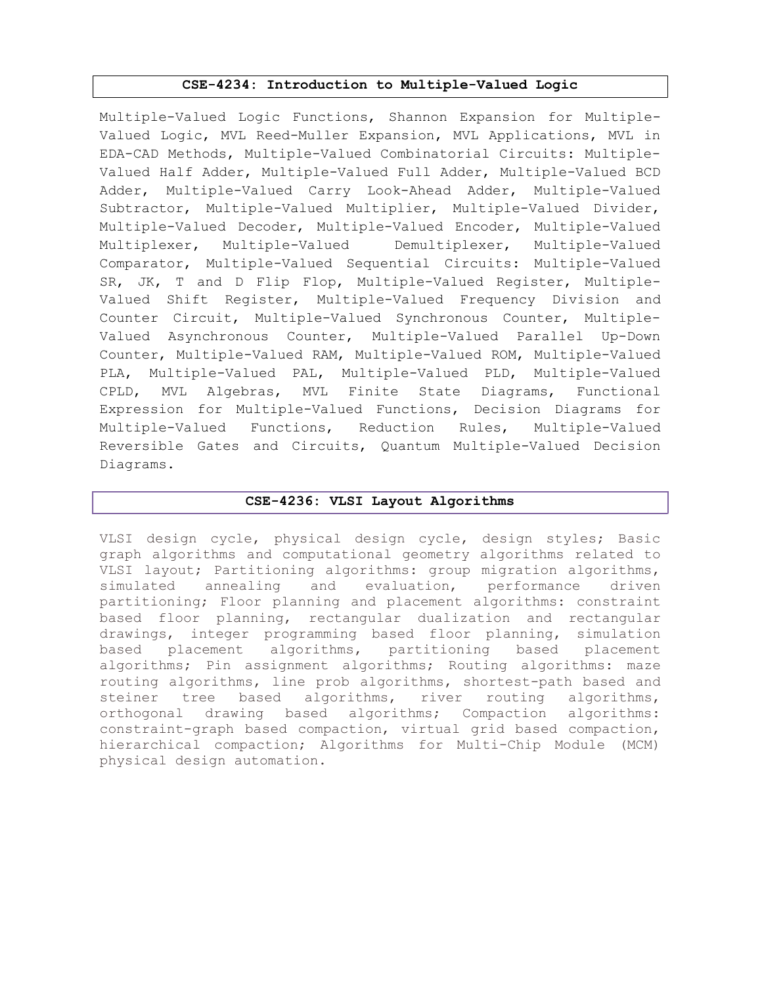### CSE-4234: Introduction to Multiple-Valued Logic

Multiple-Valued Logic Functions, Shannon Expansion for Multiple-Valued Logic, MVL Reed-Muller Expansion, MVL Applications, MVL in EDA-CAD Methods, Multiple-Valued Combinatorial Circuits: Multiple-Valued Half Adder, Multiple-Valued Full Adder, Multiple-Valued BCD Adder, Multiple-Valued Carry Look-Ahead Adder, Multiple-Valued Subtractor, Multiple-Valued Multiplier, Multiple-Valued Divider, Multiple-Valued Decoder, Multiple-Valued Encoder, Multiple-Valued Multiplexer, Multiple-Valued Demultiplexer, Multiple-Valued Comparator, Multiple-Valued Sequential Circuits: Multiple-Valued SR, JK, T and D Flip Flop, Multiple-Valued Register, Multiple-Valued Shift Register, Multiple-Valued Frequency Division and Counter Circuit, Multiple-Valued Synchronous Counter, Multiple-Valued Asynchronous Counter, Multiple-Valued Parallel Up-Down Counter, Multiple-Valued RAM, Multiple-Valued ROM, Multiple-Valued PLA, Multiple-Valued PAL, Multiple-Valued PLD, Multiple-Valued CPLD, MVL Algebras, MVL Finite State Diagrams, Functional Expression for Multiple-Valued Functions, Decision Diagrams for Multiple-Valued Functions, Reduction Rules, Multiple-Valued Reversible Gates and Circuits, Quantum Multiple-Valued Decision Diagrams.

### CSE-4236: VLSI Layout Algorithms

VLSI design cycle, physical design cycle, design styles; Basic graph algorithms and computational geometry algorithms related to VLSI layout; Partitioning algorithms: group migration algorithms, simulated annealing and evaluation, performance driven partitioning; Floor planning and placement algorithms: constraint based floor planning, rectangular dualization and rectangular drawings, integer programming based floor planning, simulation based placement algorithms, partitioning based placement algorithms; Pin assignment algorithms; Routing algorithms: maze routing algorithms, line prob algorithms, shortest-path based and steiner tree based algorithms, river routing algorithms, orthogonal drawing based algorithms; Compaction algorithms: constraint-graph based compaction, virtual grid based compaction, hierarchical compaction; Algorithms for Multi-Chip Module (MCM) physical design automation.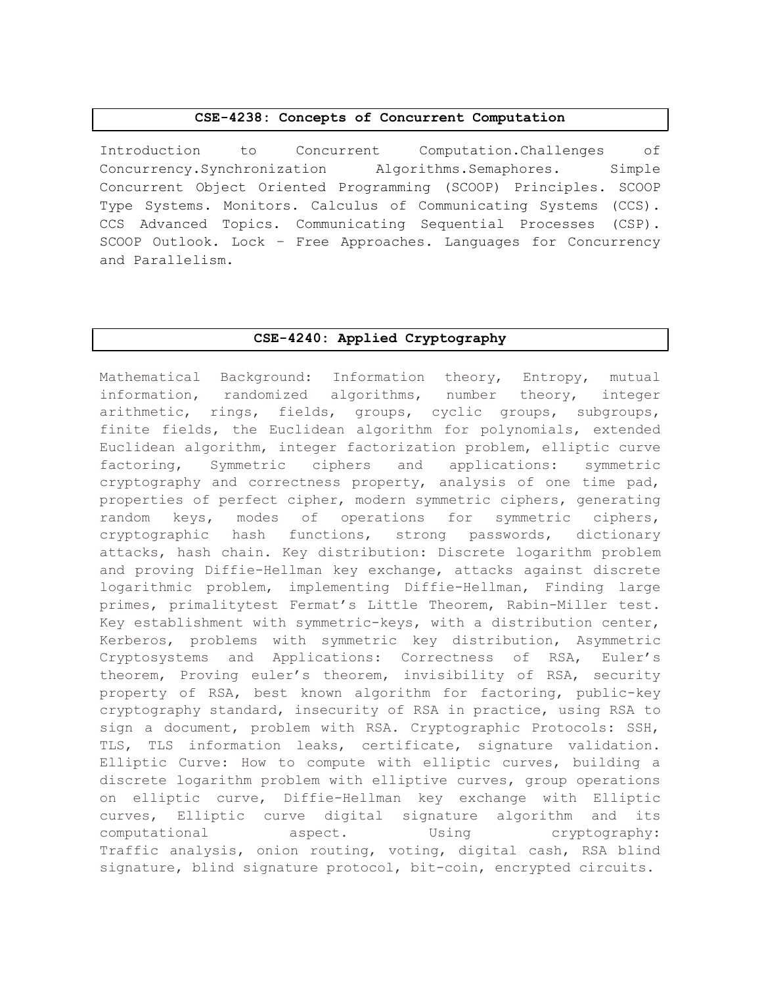#### CSE-4238: Concepts of Concurrent Computation

Introduction to Concurrent Computation.Challenges of Concurrency.Synchronization Algorithms.Semaphores. Simple Concurrent Object Oriented Programming (SCOOP) Principles. SCOOP Type Systems. Monitors. Calculus of Communicating Systems (CCS). CCS Advanced Topics. Communicating Sequential Processes (CSP). SCOOP Outlook. Lock – Free Approaches. Languages for Concurrency and Parallelism.

#### CSE-4240: Applied Cryptography

Mathematical Background: Information theory, Entropy, mutual information, randomized algorithms, number theory, integer arithmetic, rings, fields, groups, cyclic groups, subgroups, finite fields, the Euclidean algorithm for polynomials, extended Euclidean algorithm, integer factorization problem, elliptic curve factoring, Symmetric ciphers and applications: symmetric cryptography and correctness property, analysis of one time pad, properties of perfect cipher, modern symmetric ciphers, generating random keys, modes of operations for symmetric ciphers, cryptographic hash functions, strong passwords, dictionary attacks, hash chain. Key distribution: Discrete logarithm problem and proving Diffie-Hellman key exchange, attacks against discrete logarithmic problem, implementing Diffie-Hellman, Finding large primes, primalitytest Fermat's Little Theorem, Rabin-Miller test. Key establishment with symmetric-keys, with a distribution center, Kerberos, problems with symmetric key distribution, Asymmetric Cryptosystems and Applications: Correctness of RSA, Euler's theorem, Proving euler's theorem, invisibility of RSA, security property of RSA, best known algorithm for factoring, public-key cryptography standard, insecurity of RSA in practice, using RSA to sign a document, problem with RSA. Cryptographic Protocols: SSH, TLS, TLS information leaks, certificate, signature validation. Elliptic Curve: How to compute with elliptic curves, building a discrete logarithm problem with elliptive curves, group operations on elliptic curve, Diffie-Hellman key exchange with Elliptic curves, Elliptic curve digital signature algorithm and its computational aspect. Using cryptography: Traffic analysis, onion routing, voting, digital cash, RSA blind signature, blind signature protocol, bit-coin, encrypted circuits.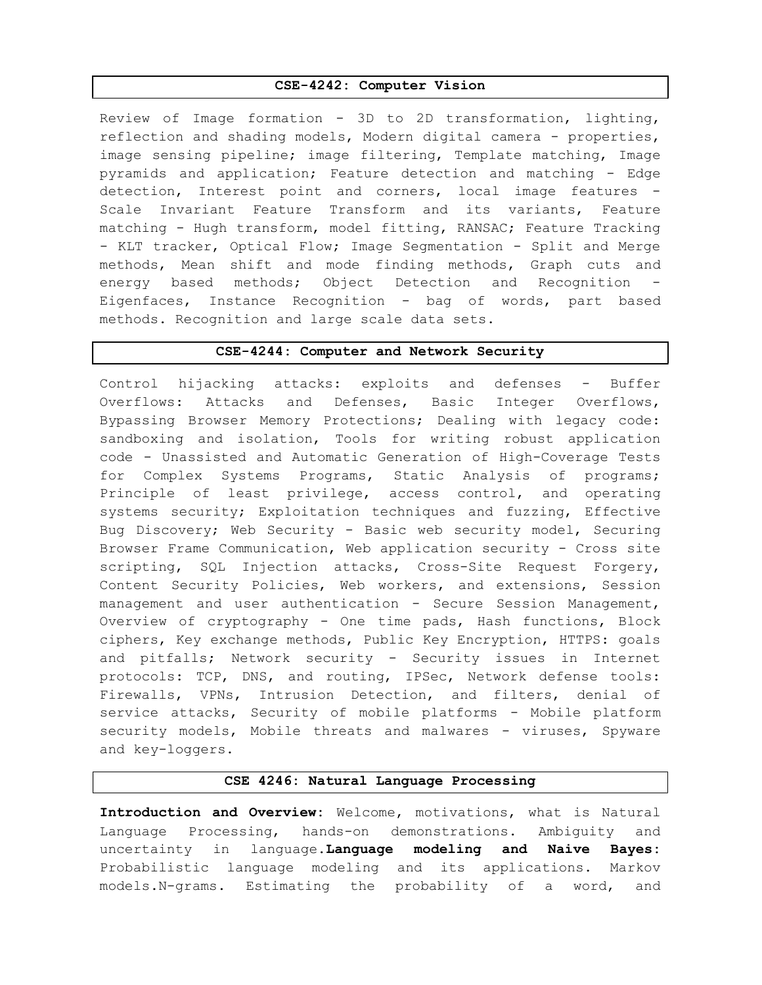#### CSE-4242: Computer Vision

Review of Image formation - 3D to 2D transformation, lighting, reflection and shading models, Modern digital camera - properties, image sensing pipeline; image filtering, Template matching, Image pyramids and application; Feature detection and matching - Edge detection, Interest point and corners, local image features - Scale Invariant Feature Transform and its variants, Feature matching - Hugh transform, model fitting, RANSAC; Feature Tracking - KLT tracker, Optical Flow; Image Segmentation - Split and Merge methods, Mean shift and mode finding methods, Graph cuts and energy based methods; Object Detection and Recognition - Eigenfaces, Instance Recognition - bag of words, part based methods. Recognition and large scale data sets.

#### CSE-4244: Computer and Network Security

Control hijacking attacks: exploits and defenses - Buffer Overflows: Attacks and Defenses, Basic Integer Overflows, Bypassing Browser Memory Protections; Dealing with legacy code: sandboxing and isolation, Tools for writing robust application code - Unassisted and Automatic Generation of High-Coverage Tests for Complex Systems Programs, Static Analysis of programs; Principle of least privilege, access control, and operating systems security; Exploitation techniques and fuzzing, Effective Bug Discovery; Web Security - Basic web security model, Securing Browser Frame Communication, Web application security - Cross site scripting, SQL Injection attacks, Cross-Site Request Forgery, Content Security Policies, Web workers, and extensions, Session management and user authentication - Secure Session Management, Overview of cryptography - One time pads, Hash functions, Block ciphers, Key exchange methods, Public Key Encryption, HTTPS: goals and pitfalls; Network security - Security issues in Internet protocols: TCP, DNS, and routing, IPSec, Network defense tools: Firewalls, VPNs, Intrusion Detection, and filters, denial of service attacks, Security of mobile platforms - Mobile platform security models, Mobile threats and malwares - viruses, Spyware and key-loggers.

#### CSE 4246: Natural Language Processing

Introduction and Overview: Welcome, motivations, what is Natural Language Processing, hands-on demonstrations. Ambiguity and uncertainty in language.Language modeling and Naive Bayes: Probabilistic language modeling and its applications. Markov models.N-grams. Estimating the probability of a word, and